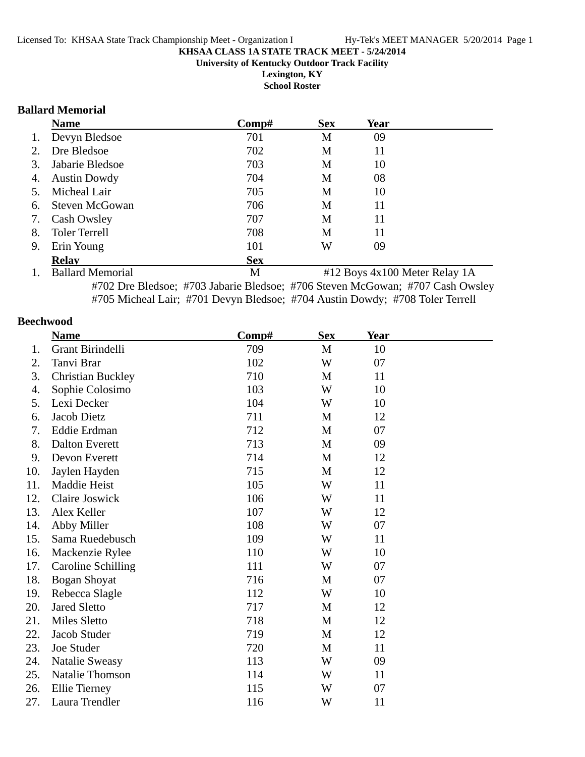**School Roster**

#### **Ballard Memorial**

|    | <b>Name</b>           | Comp#      | <b>Sex</b> | Year |  |
|----|-----------------------|------------|------------|------|--|
| 1. | Devyn Bledsoe         | 701        | M          | 09   |  |
| 2. | Dre Bledsoe           | 702        | M          | 11   |  |
| 3. | Jabarie Bledsoe       | 703        | M          | 10   |  |
| 4. | <b>Austin Dowdy</b>   | 704        | M          | 08   |  |
| 5. | Micheal Lair          | 705        | M          | 10   |  |
| 6. | <b>Steven McGowan</b> | 706        | M          | 11   |  |
| 7. | Cash Owsley           | 707        | M          | 11   |  |
| 8. | <b>Toler Terrell</b>  | 708        | M          | 11   |  |
| 9. | Erin Young            | 101        | W          | 09   |  |
|    | <b>Relav</b>          | <b>Sex</b> |            |      |  |
|    |                       |            |            |      |  |

1. Ballard Memorial M #12 Boys 4x100 Meter Relay 1A #702 Dre Bledsoe; #703 Jabarie Bledsoe; #706 Steven McGowan; #707 Cash Owsley #705 Micheal Lair; #701 Devyn Bledsoe; #704 Austin Dowdy; #708 Toler Terrell

#### **Beechwood**

|     | <b>Name</b>              | Comp# | <b>Sex</b> | <u>Year</u> |  |
|-----|--------------------------|-------|------------|-------------|--|
| 1.  | Grant Birindelli         | 709   | M          | 10          |  |
| 2.  | Tanvi Brar               | 102   | W          | 07          |  |
| 3.  | <b>Christian Buckley</b> | 710   | M          | 11          |  |
| 4.  | Sophie Colosimo          | 103   | W          | 10          |  |
| 5.  | Lexi Decker              | 104   | W          | 10          |  |
| 6.  | <b>Jacob Dietz</b>       | 711   | M          | 12          |  |
| 7.  | Eddie Erdman             | 712   | M          | 07          |  |
| 8.  | <b>Dalton Everett</b>    | 713   | M          | 09          |  |
| 9.  | Devon Everett            | 714   | M          | 12          |  |
| 10. | Jaylen Hayden            | 715   | M          | 12          |  |
| 11. | Maddie Heist             | 105   | W          | 11          |  |
| 12. | Claire Joswick           | 106   | W          | 11          |  |
| 13. | Alex Keller              | 107   | W          | 12          |  |
| 14. | Abby Miller              | 108   | W          | 07          |  |
| 15. | Sama Ruedebusch          | 109   | W          | 11          |  |
| 16. | Mackenzie Rylee          | 110   | W          | 10          |  |
| 17. | Caroline Schilling       | 111   | W          | 07          |  |
| 18. | <b>Bogan Shoyat</b>      | 716   | M          | 07          |  |
| 19. | Rebecca Slagle           | 112   | W          | 10          |  |
| 20. | <b>Jared Sletto</b>      | 717   | M          | 12          |  |
| 21. | Miles Sletto             | 718   | M          | 12          |  |
| 22. | Jacob Studer             | 719   | M          | 12          |  |
| 23. | Joe Studer               | 720   | M          | 11          |  |
| 24. | Natalie Sweasy           | 113   | W          | 09          |  |
| 25. | <b>Natalie Thomson</b>   | 114   | W          | 11          |  |
| 26. | Ellie Tierney            | 115   | W          | 07          |  |
| 27. | Laura Trendler           | 116   | W          | 11          |  |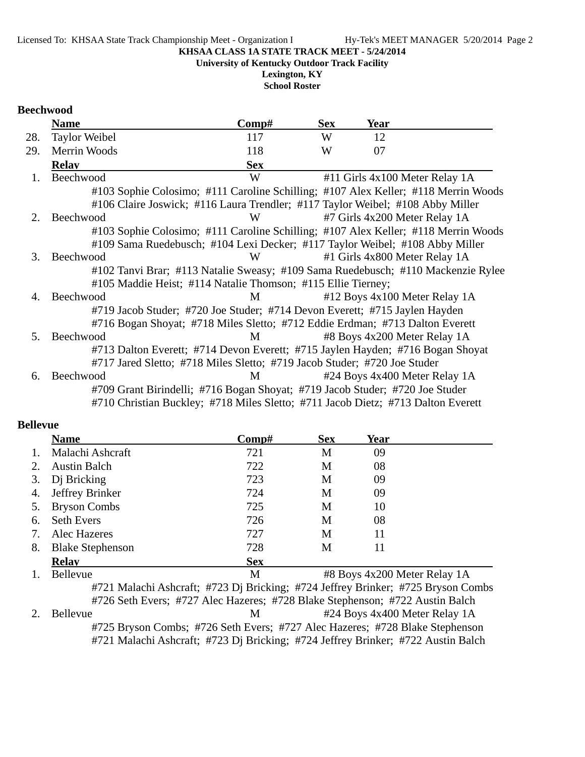**University of Kentucky Outdoor Track Facility**

**Lexington, KY School Roster**

#### **Beechwood**

|         | <b>Name</b>                                                                        | Comp#      | <b>Sex</b> | <b>Year</b> |                                |
|---------|------------------------------------------------------------------------------------|------------|------------|-------------|--------------------------------|
| 28.     | <b>Taylor Weibel</b>                                                               | 117        | W          | 12          |                                |
| 29.     | Merrin Woods                                                                       | 118        | W          | 07          |                                |
|         | <b>Relay</b>                                                                       | <b>Sex</b> |            |             |                                |
| 1.      | Beechwood                                                                          | W          |            |             | #11 Girls 4x100 Meter Relay 1A |
|         | #103 Sophie Colosimo; #111 Caroline Schilling; #107 Alex Keller; #118 Merrin Woods |            |            |             |                                |
|         | #106 Claire Joswick; #116 Laura Trendler; #117 Taylor Weibel; #108 Abby Miller     |            |            |             |                                |
| 2.      | Beechwood                                                                          | W          |            |             | #7 Girls 4x200 Meter Relay 1A  |
|         | #103 Sophie Colosimo; #111 Caroline Schilling; #107 Alex Keller; #118 Merrin Woods |            |            |             |                                |
|         | #109 Sama Ruedebusch; #104 Lexi Decker; #117 Taylor Weibel; #108 Abby Miller       |            |            |             |                                |
| $3_{-}$ | Beechwood                                                                          | W          |            |             | #1 Girls 4x800 Meter Relay 1A  |
|         | #102 Tanvi Brar; #113 Natalie Sweasy; #109 Sama Ruedebusch; #110 Mackenzie Rylee   |            |            |             |                                |
|         | #105 Maddie Heist; #114 Natalie Thomson; #115 Ellie Tierney;                       |            |            |             |                                |
| 4.      | Beechwood                                                                          | M          |            |             | #12 Boys 4x100 Meter Relay 1A  |
|         | #719 Jacob Studer; #720 Joe Studer; #714 Devon Everett; #715 Jaylen Hayden         |            |            |             |                                |
|         | #716 Bogan Shoyat; #718 Miles Sletto; #712 Eddie Erdman; #713 Dalton Everett       |            |            |             |                                |
| 5.      | Beechwood                                                                          | M          |            |             | #8 Boys 4x200 Meter Relay 1A   |
|         | #713 Dalton Everett; #714 Devon Everett; #715 Jaylen Hayden; #716 Bogan Shoyat     |            |            |             |                                |
|         | #717 Jared Sletto; #718 Miles Sletto; #719 Jacob Studer; #720 Joe Studer           |            |            |             |                                |
| 6.      | Beechwood                                                                          | M          |            |             | #24 Boys 4x400 Meter Relay 1A  |
|         | #709 Grant Birindelli; #716 Bogan Shoyat; #719 Jacob Studer; #720 Joe Studer       |            |            |             |                                |
|         | #710 Christian Buckley; #718 Miles Sletto; #711 Jacob Dietz; #713 Dalton Everett   |            |            |             |                                |

#### **Bellevue**

|    | <b>Name</b>             | Comp#      | <b>Sex</b> | Year                         |  |
|----|-------------------------|------------|------------|------------------------------|--|
|    | Malachi Ashcraft        | 721        | М          | 09                           |  |
|    | <b>Austin Balch</b>     | 722        | M          | 08                           |  |
| 3. | Di Bricking             | 723        | М          | 09                           |  |
| 4. | Jeffrey Brinker         | 724        | M          | 09                           |  |
|    | <b>Bryson Combs</b>     | 725        | М          | 10                           |  |
| 6. | <b>Seth Evers</b>       | 726        | М          | 08                           |  |
| 7. | Alec Hazeres            | 727        | М          | 11                           |  |
| 8. | <b>Blake Stephenson</b> | 728        | М          | 11                           |  |
|    | <b>Relay</b>            | <b>Sex</b> |            |                              |  |
|    | Bellevue                | M          |            | #8 Boys 4x200 Meter Relay 1A |  |

#721 Malachi Ashcraft; #723 Dj Bricking; #724 Jeffrey Brinker; #725 Bryson Combs #726 Seth Evers; #727 Alec Hazeres; #728 Blake Stephenson; #722 Austin Balch 2. Bellevue M #24 Boys 4x400 Meter Relay 1A #725 Bryson Combs; #726 Seth Evers; #727 Alec Hazeres; #728 Blake Stephenson #721 Malachi Ashcraft; #723 Dj Bricking; #724 Jeffrey Brinker; #722 Austin Balch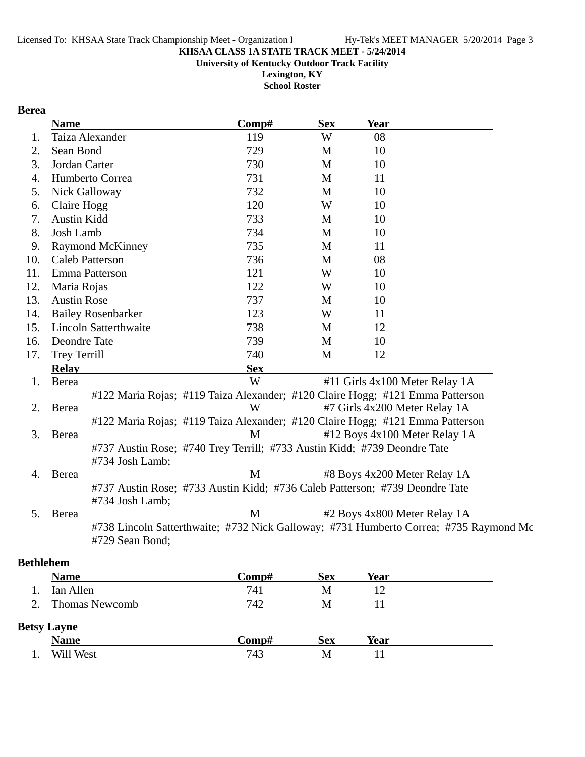**University of Kentucky Outdoor Track Facility**

**Lexington, KY School Roster**

#### **Berea**

|     | <b>Name</b>        |                                                                                             | Comp#      | <b>Sex</b> | <b>Year</b>                                                                           |  |
|-----|--------------------|---------------------------------------------------------------------------------------------|------------|------------|---------------------------------------------------------------------------------------|--|
| 1.  |                    | Taiza Alexander                                                                             | 119        | W          | 08                                                                                    |  |
| 2.  | Sean Bond          |                                                                                             | 729        | M          | 10                                                                                    |  |
| 3.  | Jordan Carter      |                                                                                             | 730        | M          | 10                                                                                    |  |
| 4.  |                    | Humberto Correa                                                                             | 731        | M          | 11                                                                                    |  |
| 5.  |                    | Nick Galloway                                                                               | 732        | M          | 10                                                                                    |  |
| 6.  | Claire Hogg        |                                                                                             | 120        | W          | 10                                                                                    |  |
| 7.  | Austin Kidd        |                                                                                             | 733        | M          | 10                                                                                    |  |
| 8.  | Josh Lamb          |                                                                                             | 734        | M          | 10                                                                                    |  |
| 9.  |                    | <b>Raymond McKinney</b>                                                                     | 735        | M          | 11                                                                                    |  |
| 10. |                    | <b>Caleb Patterson</b>                                                                      | 736        | M          | 08                                                                                    |  |
| 11. |                    | Emma Patterson                                                                              | 121        | W          | 10                                                                                    |  |
| 12. | Maria Rojas        |                                                                                             | 122        | W          | 10                                                                                    |  |
| 13. | <b>Austin Rose</b> |                                                                                             | 737        | M          | 10                                                                                    |  |
| 14. |                    | <b>Bailey Rosenbarker</b>                                                                   | 123        | W          | 11                                                                                    |  |
| 15. |                    | <b>Lincoln Satterthwaite</b>                                                                | 738        | M          | 12                                                                                    |  |
| 16. | Deondre Tate       |                                                                                             | 739        | M          | 10                                                                                    |  |
| 17. | Trey Terrill       |                                                                                             | 740        | M          | 12                                                                                    |  |
|     | <b>Relav</b>       |                                                                                             | <b>Sex</b> |            |                                                                                       |  |
| 1.  | Berea              |                                                                                             | W          |            | #11 Girls 4x100 Meter Relay 1A                                                        |  |
|     |                    |                                                                                             |            |            | #122 Maria Rojas; #119 Taiza Alexander; #120 Claire Hogg; #121 Emma Patterson         |  |
| 2.  | Berea              |                                                                                             | W          |            | #7 Girls 4x200 Meter Relay 1A                                                         |  |
|     |                    |                                                                                             |            |            | #122 Maria Rojas; #119 Taiza Alexander; #120 Claire Hogg; #121 Emma Patterson         |  |
| 3.  | Berea              |                                                                                             | M          |            | #12 Boys 4x100 Meter Relay 1A                                                         |  |
|     |                    | #737 Austin Rose; #740 Trey Terrill; #733 Austin Kidd; #739 Deondre Tate<br>#734 Josh Lamb; |            |            |                                                                                       |  |
| 4.  | Berea              |                                                                                             | M          |            | #8 Boys 4x200 Meter Relay 1A                                                          |  |
|     |                    | #734 Josh Lamb;                                                                             |            |            | #737 Austin Rose; #733 Austin Kidd; #736 Caleb Patterson; #739 Deondre Tate           |  |
| 5.  | Berea              |                                                                                             | M          |            | #2 Boys 4x800 Meter Relay 1A                                                          |  |
|     |                    | #729 Sean Bond;                                                                             |            |            | #738 Lincoln Satterthwaite; #732 Nick Galloway; #731 Humberto Correa; #735 Raymond Mc |  |
|     | othlohom           |                                                                                             |            |            |                                                                                       |  |

### **Bethlehem**

| <b>Name</b>           | Comp#        | <b>Sex</b> | Year |  |  |
|-----------------------|--------------|------------|------|--|--|
| Ian Allen             | 741          | М          | 12   |  |  |
| <b>Thomas Newcomb</b> | 742          | M          |      |  |  |
| <b>Betsy Layne</b>    |              |            |      |  |  |
| <b>Name</b>           | $\bf Comp\#$ | <b>Sex</b> | Year |  |  |
| Will West             | 743          | Μ          |      |  |  |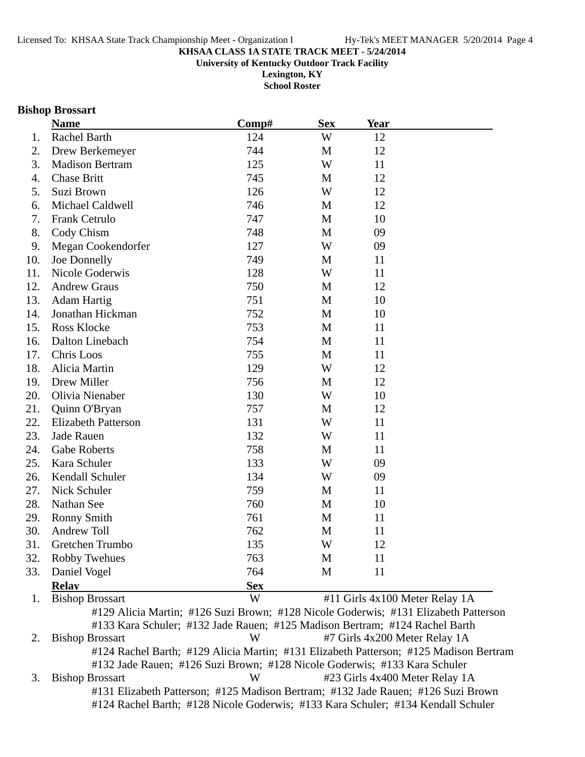**Lexington, KY School Roster**

#### **Bishop Brossart**

|     | <b>Name</b>                                                                         | Comp#      | <b>Sex</b> | <b>Year</b>                    |  |
|-----|-------------------------------------------------------------------------------------|------------|------------|--------------------------------|--|
| 1.  | Rachel Barth                                                                        | 124        | W          | 12                             |  |
| 2.  | Drew Berkemeyer                                                                     | 744        | M          | 12                             |  |
| 3.  | <b>Madison Bertram</b>                                                              | 125        | W          | 11                             |  |
| 4.  | <b>Chase Britt</b>                                                                  | 745        | M          | 12                             |  |
| 5.  | Suzi Brown                                                                          | 126        | W          | 12                             |  |
| 6.  | Michael Caldwell                                                                    | 746        | M          | 12                             |  |
| 7.  | Frank Cetrulo                                                                       | 747        | M          | 10                             |  |
| 8.  | Cody Chism                                                                          | 748        | M          | 09                             |  |
| 9.  | Megan Cookendorfer                                                                  | 127        | W          | 09                             |  |
| 10. | Joe Donnelly                                                                        | 749        | M          | 11                             |  |
| 11. | Nicole Goderwis                                                                     | 128        | W          | 11                             |  |
| 12. | <b>Andrew Graus</b>                                                                 | 750        | M          | 12                             |  |
| 13. | <b>Adam Hartig</b>                                                                  | 751        | M          | 10                             |  |
| 14. | Jonathan Hickman                                                                    | 752        | M          | 10                             |  |
| 15. | <b>Ross Klocke</b>                                                                  | 753        | M          | 11                             |  |
| 16. | Dalton Linebach                                                                     | 754        | M          | 11                             |  |
| 17. | Chris Loos                                                                          | 755        | M          | 11                             |  |
| 18. | Alicia Martin                                                                       | 129        | W          | 12                             |  |
| 19. | Drew Miller                                                                         | 756        | M          | 12                             |  |
| 20. | Olivia Nienaber                                                                     | 130        | W          | 10                             |  |
| 21. | Quinn O'Bryan                                                                       | 757        | M          | 12                             |  |
| 22. | <b>Elizabeth Patterson</b>                                                          | 131        | W          | 11                             |  |
| 23. | <b>Jade Rauen</b>                                                                   | 132        | W          | 11                             |  |
| 24. | <b>Gabe Roberts</b>                                                                 | 758        | M          | 11                             |  |
| 25. | Kara Schuler                                                                        | 133        | W          | 09                             |  |
| 26. | Kendall Schuler                                                                     | 134        | W          | 09                             |  |
| 27. | Nick Schuler                                                                        | 759        | M          | 11                             |  |
| 28. | Nathan See                                                                          | 760        | M          | 10                             |  |
| 29. | Ronny Smith                                                                         | 761        | M          | 11                             |  |
| 30. | <b>Andrew Toll</b>                                                                  | 762        | M          | 11                             |  |
| 31. | Gretchen Trumbo                                                                     | 135        | W          | 12                             |  |
| 32. | Robby Twehues                                                                       | 763        | M          | 11                             |  |
| 33. | Daniel Vogel                                                                        | 764        | M          | 11                             |  |
|     | <b>Relay</b>                                                                        | <b>Sex</b> |            |                                |  |
| 1.  | <b>Bishop Brossart</b>                                                              | W          |            | #11 Girls 4x100 Meter Relay 1A |  |
|     | #129 Alicia Martin; #126 Suzi Brown; #128 Nicole Goderwis; #131 Elizabeth Patterson |            |            |                                |  |

#133 Kara Schuler; #132 Jade Rauen; #125 Madison Bertram; #124 Rachel Barth 2. Bishop Brossart W #7 Girls 4x200 Meter Relay 1A #124 Rachel Barth; #129 Alicia Martin; #131 Elizabeth Patterson; #125 Madison Bertram #132 Jade Rauen; #126 Suzi Brown; #128 Nicole Goderwis; #133 Kara Schuler 3. Bishop Brossart W #23 Girls 4x400 Meter Relay 1A #131 Elizabeth Patterson; #125 Madison Bertram; #132 Jade Rauen; #126 Suzi Brown #124 Rachel Barth; #128 Nicole Goderwis; #133 Kara Schuler; #134 Kendall Schuler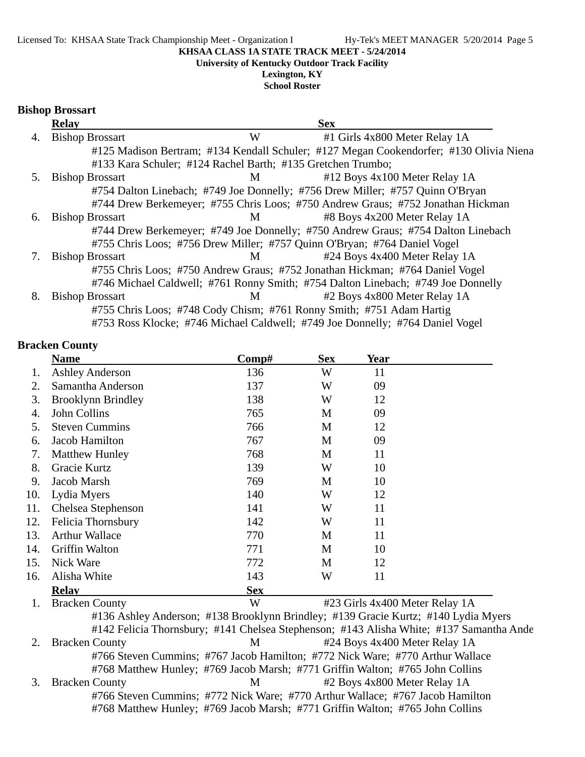**University of Kentucky Outdoor Track Facility**

### **Lexington, KY**

**School Roster**

#### **Bishop Brossart**

|    | <b>Relay</b>                                                |   | <b>Sex</b>                                                                             |
|----|-------------------------------------------------------------|---|----------------------------------------------------------------------------------------|
| 4. | <b>Bishop Brossart</b>                                      | W | #1 Girls 4x800 Meter Relay 1A                                                          |
|    |                                                             |   | #125 Madison Bertram; #134 Kendall Schuler; #127 Megan Cookendorfer; #130 Olivia Niena |
|    | #133 Kara Schuler; #124 Rachel Barth; #135 Gretchen Trumbo; |   |                                                                                        |
| 5. | <b>Bishop Brossart</b>                                      | M | #12 Boys 4x100 Meter Relay 1A                                                          |
|    |                                                             |   | #754 Dalton Linebach; #749 Joe Donnelly; #756 Drew Miller; #757 Quinn O'Bryan          |
|    |                                                             |   | #744 Drew Berkemeyer; #755 Chris Loos; #750 Andrew Graus; #752 Jonathan Hickman        |
| 6. | <b>Bishop Brossart</b>                                      | M | #8 Boys 4x200 Meter Relay 1A                                                           |
|    |                                                             |   | #744 Drew Berkemeyer; #749 Joe Donnelly; #750 Andrew Graus; #754 Dalton Linebach       |
|    |                                                             |   | #755 Chris Loos; #756 Drew Miller; #757 Quinn O'Bryan; #764 Daniel Vogel               |
| 7. | <b>Bishop Brossart</b>                                      | M | #24 Boys 4x400 Meter Relay 1A                                                          |
|    |                                                             |   | #755 Chris Loos; #750 Andrew Graus; #752 Jonathan Hickman; #764 Daniel Vogel           |
|    |                                                             |   | #746 Michael Caldwell; #761 Ronny Smith; #754 Dalton Linebach; #749 Joe Donnelly       |
| 8. | <b>Bishop Brossart</b>                                      | M | #2 Boys 4x800 Meter Relay 1A                                                           |
|    |                                                             |   | #755 Chris Loos; #748 Cody Chism; #761 Ronny Smith; #751 Adam Hartig                   |
|    |                                                             |   | #753 Ross Klocke; #746 Michael Caldwell; #749 Joe Donnelly; #764 Daniel Vogel          |

#### **Bracken County**

|     | <b>Name</b>               | Comp#      | <b>Sex</b> | Year |                                |
|-----|---------------------------|------------|------------|------|--------------------------------|
| 1.  | <b>Ashley Anderson</b>    | 136        | W          | 11   |                                |
| 2.  | Samantha Anderson         | 137        | W          | 09   |                                |
| 3.  | <b>Brooklynn Brindley</b> | 138        | W          | 12   |                                |
| 4.  | John Collins              | 765        | M          | 09   |                                |
| 5.  | <b>Steven Cummins</b>     | 766        | M          | 12   |                                |
| 6.  | Jacob Hamilton            | 767        | M          | 09   |                                |
| 7.  | <b>Matthew Hunley</b>     | 768        | M          | 11   |                                |
| 8.  | Gracie Kurtz              | 139        | W          | 10   |                                |
| 9.  | Jacob Marsh               | 769        | M          | 10   |                                |
| 10. | Lydia Myers               | 140        | W          | 12   |                                |
| 11. | Chelsea Stephenson        | 141        | W          | 11   |                                |
| 12. | Felicia Thornsbury        | 142        | W          | 11   |                                |
| 13. | <b>Arthur Wallace</b>     | 770        | M          | 11   |                                |
| 14. | <b>Griffin Walton</b>     | 771        | M          | 10   |                                |
| 15. | Nick Ware                 | 772        | M          | 12   |                                |
| 16. | Alisha White              | 143        | W          | 11   |                                |
|     | <b>Relav</b>              | <b>Sex</b> |            |      |                                |
| 1.  | <b>Bracken County</b>     | W          |            |      | #23 Girls 4x400 Meter Relay 1A |

#136 Ashley Anderson; #138 Brooklynn Brindley; #139 Gracie Kurtz; #140 Lydia Myers #142 Felicia Thornsbury; #141 Chelsea Stephenson; #143 Alisha White; #137 Samantha Ande 2. Bracken County M #24 Boys 4x400 Meter Relay 1A #766 Steven Cummins; #767 Jacob Hamilton; #772 Nick Ware; #770 Arthur Wallace #768 Matthew Hunley; #769 Jacob Marsh; #771 Griffin Walton; #765 John Collins 3. Bracken County M #2 Boys 4x800 Meter Relay 1A #766 Steven Cummins; #772 Nick Ware; #770 Arthur Wallace; #767 Jacob Hamilton #768 Matthew Hunley; #769 Jacob Marsh; #771 Griffin Walton; #765 John Collins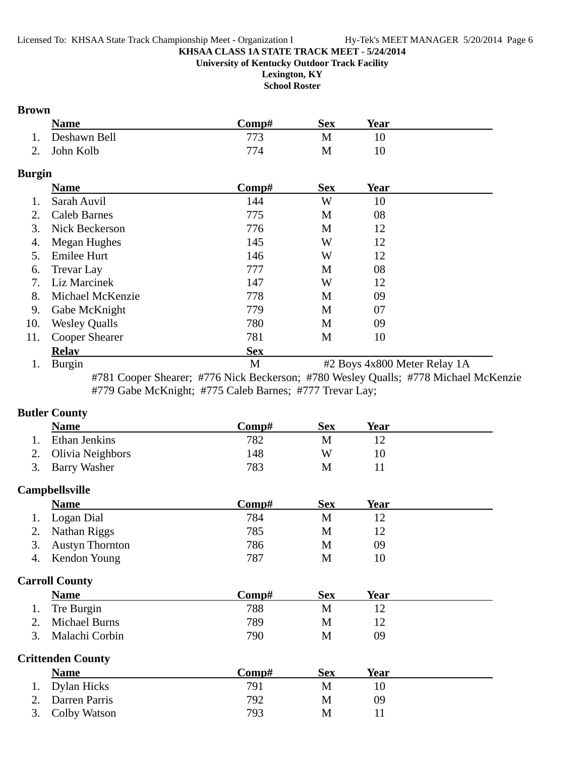**Lexington, KY**

**School Roster**

### **Brown**

|                | <b>Name</b>  | √omp# | Sex | Year |  |
|----------------|--------------|-------|-----|------|--|
| 1.             | Deshawn Bell |       |     |      |  |
| $\gamma$<br>۷. | John Kolb    |       | M   |      |  |

### **Burgin**

|     | <b>Name</b>           | Comp#      | <b>Sex</b> | Year |  |
|-----|-----------------------|------------|------------|------|--|
|     | Sarah Auvil           | 144        | W          | 10   |  |
| 2.  | <b>Caleb Barnes</b>   | 775        | M          | 08   |  |
| 3.  | Nick Beckerson        | 776        | M          | 12   |  |
| 4.  | Megan Hughes          | 145        | W          | 12   |  |
| 5.  | <b>Emilee Hurt</b>    | 146        | W          | 12   |  |
| 6.  | Trevar Lay            | 777        | M          | 08   |  |
| 7.  | Liz Marcinek          | 147        | W          | 12   |  |
| 8.  | Michael McKenzie      | 778        | M          | 09   |  |
| 9.  | Gabe McKnight         | 779        | M          | 07   |  |
| 10. | <b>Wesley Qualls</b>  | 780        | M          | 09   |  |
| 11. | <b>Cooper Shearer</b> | 781        | M          | 10   |  |
|     | <b>Relav</b>          | <b>Sex</b> |            |      |  |
|     |                       |            |            |      |  |

1. Burgin M #2 Boys 4x800 Meter Relay 1A #781 Cooper Shearer; #776 Nick Beckerson; #780 Wesley Qualls; #778 Michael McKenzie #779 Gabe McKnight; #775 Caleb Barnes; #777 Trevar Lay;

### **Butler County**

|    | <b>Name</b>              | Comp# | <b>Sex</b> | <b>Year</b> |  |
|----|--------------------------|-------|------------|-------------|--|
| 1. | Ethan Jenkins            | 782   | M          | 12          |  |
| 2. | Olivia Neighbors         | 148   | W          | 10          |  |
| 3. | <b>Barry Washer</b>      | 783   | M          | 11          |  |
|    | <b>Campbellsville</b>    |       |            |             |  |
|    | <b>Name</b>              | Comp# | <b>Sex</b> | <b>Year</b> |  |
| 1. | Logan Dial               | 784   | M          | 12          |  |
| 2. | Nathan Riggs             | 785   | M          | 12          |  |
| 3. | <b>Austyn Thornton</b>   | 786   | M          | 09          |  |
| 4. | Kendon Young             | 787   | M          | 10          |  |
|    | <b>Carroll County</b>    |       |            |             |  |
|    | <b>Name</b>              | Comp# | <b>Sex</b> | <u>Year</u> |  |
| 1. | Tre Burgin               | 788   | M          | 12          |  |
| 2. | <b>Michael Burns</b>     | 789   | M          | 12          |  |
| 3. | Malachi Corbin           | 790   | M          | 09          |  |
|    | <b>Crittenden County</b> |       |            |             |  |
|    | <b>Name</b>              | Comp# | <b>Sex</b> | <b>Year</b> |  |
| 1. | Dylan Hicks              | 791   | M          | 10          |  |
| 2. | Darren Parris            | 792   | M          | 09          |  |
| 3. | Colby Watson             | 793   | M          | 11          |  |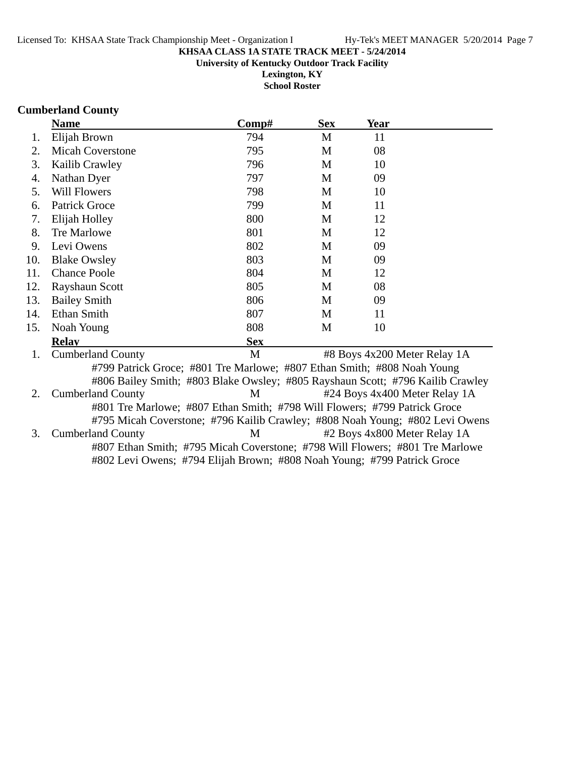**School Roster**

### **Cumberland County**

|     | <b>Name</b>              | Comp#                                                                          | <b>Sex</b> | <b>Year</b> |                               |
|-----|--------------------------|--------------------------------------------------------------------------------|------------|-------------|-------------------------------|
| 1.  | Elijah Brown             | 794                                                                            | M          | 11          |                               |
| 2.  | <b>Micah Coverstone</b>  | 795                                                                            | M          | 08          |                               |
| 3.  | Kailib Crawley           | 796                                                                            | M          | 10          |                               |
| 4.  | Nathan Dyer              | 797                                                                            | M          | 09          |                               |
| 5.  | <b>Will Flowers</b>      | 798                                                                            | M          | 10          |                               |
| 6.  | <b>Patrick Groce</b>     | 799                                                                            | M          | 11          |                               |
| 7.  | Elijah Holley            | 800                                                                            | M          | 12          |                               |
| 8.  | Tre Marlowe              | 801                                                                            | M          | 12          |                               |
| 9.  | Levi Owens               | 802                                                                            | M          | 09          |                               |
| 10. | <b>Blake Owsley</b>      | 803                                                                            | M          | 09          |                               |
| 11. | <b>Chance Poole</b>      | 804                                                                            | M          | 12          |                               |
| 12. | Rayshaun Scott           | 805                                                                            | M          | 08          |                               |
| 13. | <b>Bailey Smith</b>      | 806                                                                            | M          | 09          |                               |
| 14. | Ethan Smith              | 807                                                                            | M          | 11          |                               |
| 15. | Noah Young               | 808                                                                            | M          | 10          |                               |
|     | <b>Relay</b>             | <b>Sex</b>                                                                     |            |             |                               |
| 1.  | <b>Cumberland County</b> | M                                                                              |            |             | #8 Boys 4x200 Meter Relay 1A  |
|     |                          | #799 Patrick Groce; #801 Tre Marlowe; #807 Ethan Smith; #808 Noah Young        |            |             |                               |
|     |                          | #806 Bailey Smith; #803 Blake Owsley; #805 Rayshaun Scott; #796 Kailib Crawley |            |             |                               |
| 2.  | <b>Cumberland County</b> | M                                                                              |            |             | #24 Boys 4x400 Meter Relay 1A |
|     |                          | #801 Tre Marlowe; #807 Ethan Smith; #798 Will Flowers; #799 Patrick Groce      |            |             |                               |
|     |                          | #795 Micah Coverstone; #796 Kailib Crawley; #808 Noah Young; #802 Levi Owens   |            |             |                               |
| 3.  | <b>Cumberland County</b> | M                                                                              |            |             | #2 Boys 4x800 Meter Relay 1A  |
|     |                          | #807 Ethan Smith; #795 Micah Coverstone; #798 Will Flowers; #801 Tre Marlowe   |            |             |                               |

#802 Levi Owens; #794 Elijah Brown; #808 Noah Young; #799 Patrick Groce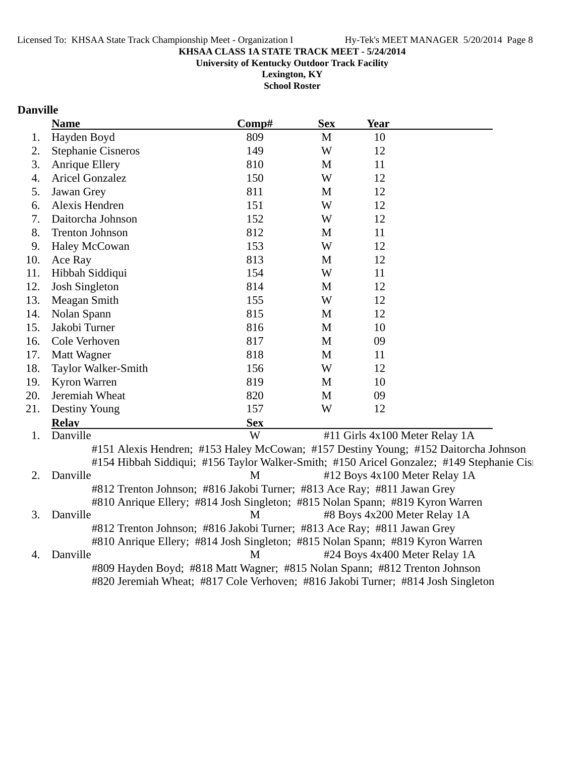**Lexington, KY School Roster**

### **Danville**

|     | <b>Name</b>                                                             | Comp#      | <b>Sex</b>   | Year                                                                                      |
|-----|-------------------------------------------------------------------------|------------|--------------|-------------------------------------------------------------------------------------------|
| 1.  | Hayden Boyd                                                             | 809        | $\mathbf{M}$ | 10                                                                                        |
| 2.  | <b>Stephanie Cisneros</b>                                               | 149        | W            | 12                                                                                        |
| 3.  | <b>Anrique Ellery</b>                                                   | 810        | M            | 11                                                                                        |
| 4.  | <b>Aricel Gonzalez</b>                                                  | 150        | W            | 12                                                                                        |
| 5.  | Jawan Grey                                                              | 811        | M            | 12                                                                                        |
| 6.  | Alexis Hendren                                                          | 151        | W            | 12                                                                                        |
| 7.  | Daitorcha Johnson                                                       | 152        | W            | 12                                                                                        |
| 8.  | <b>Trenton Johnson</b>                                                  | 812        | M            | 11                                                                                        |
| 9.  | <b>Haley McCowan</b>                                                    | 153        | W            | 12                                                                                        |
| 10. | Ace Ray                                                                 | 813        | M            | 12                                                                                        |
| 11. | Hibbah Siddiqui                                                         | 154        | W            | 11                                                                                        |
| 12. | Josh Singleton                                                          | 814        | M            | 12                                                                                        |
| 13. | Meagan Smith                                                            | 155        | W            | 12                                                                                        |
| 14. | Nolan Spann                                                             | 815        | M            | 12                                                                                        |
| 15. | Jakobi Turner                                                           | 816        | M            | 10                                                                                        |
| 16. | Cole Verhoven                                                           | 817        | M            | 09                                                                                        |
| 17. | Matt Wagner                                                             | 818        | M            | 11                                                                                        |
| 18. | Taylor Walker-Smith                                                     | 156        | W            | 12                                                                                        |
| 19. | Kyron Warren                                                            | 819        | M            | 10                                                                                        |
| 20. | Jeremiah Wheat                                                          | 820        | $\mathbf{M}$ | 09                                                                                        |
| 21. | Destiny Young                                                           | 157        | W            | 12                                                                                        |
|     | <b>Relav</b>                                                            | <b>Sex</b> |              |                                                                                           |
| 1.  | Danville                                                                | W          |              | #11 Girls 4x100 Meter Relay 1A                                                            |
|     |                                                                         |            |              | #151 Alexis Hendren; #153 Haley McCowan; #157 Destiny Young; #152 Daitorcha Johnson       |
|     |                                                                         |            |              | #154 Hibbah Siddiqui; #156 Taylor Walker-Smith; #150 Aricel Gonzalez; #149 Stephanie Cisi |
| 2.  | Danville                                                                | M          |              | #12 Boys 4x100 Meter Relay 1A                                                             |
|     | #812 Trenton Johnson; #816 Jakobi Turner; #813 Ace Ray; #811 Jawan Grey |            |              |                                                                                           |
|     |                                                                         |            |              | #810 Anrique Ellery; #814 Josh Singleton; #815 Nolan Spann; #819 Kyron Warren             |
| 3.  | Danville                                                                | M          |              | #8 Boys 4x200 Meter Relay 1A                                                              |
|     | #812 Trenton Johnson; #816 Jakobi Turner; #813 Ace Ray; #811 Jawan Grey |            |              |                                                                                           |
|     |                                                                         |            |              | #810 Anrique Ellery; #814 Josh Singleton; #815 Nolan Spann; #819 Kyron Warren             |
| 4.  | Danville                                                                | M          |              | #24 Boys 4x400 Meter Relay 1A                                                             |

#809 Hayden Boyd; #818 Matt Wagner; #815 Nolan Spann; #812 Trenton Johnson #820 Jeremiah Wheat; #817 Cole Verhoven; #816 Jakobi Turner; #814 Josh Singleton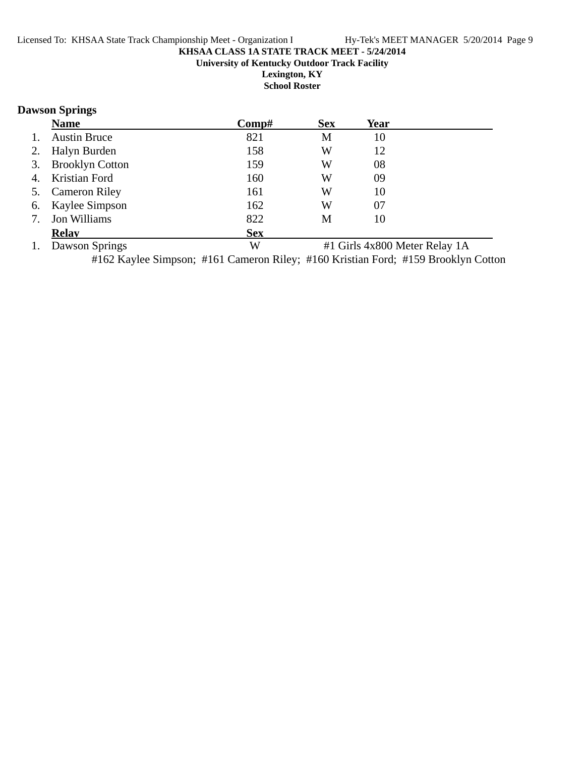**School Roster**

### **Dawson Springs**

|    | <b>Name</b>         | Comp#      | <b>Sex</b> | Year |  |
|----|---------------------|------------|------------|------|--|
| 1. | <b>Austin Bruce</b> | 821        | M          | 10   |  |
| 2. | Halyn Burden        | 158        | W          | 12   |  |
|    | 3. Brooklyn Cotton  | 159        | W          | 08   |  |
| 4. | Kristian Ford       | 160        | W          | 09   |  |
|    | 5. Cameron Riley    | 161        | W          | 10   |  |
| 6. | Kaylee Simpson      | 162        | W          | 07   |  |
| 7. | Jon Williams        | 822        | M          | 10   |  |
|    | <b>Relav</b>        | <b>Sex</b> |            |      |  |

1. Dawson Springs W #1 Girls 4x800 Meter Relay 1A

#162 Kaylee Simpson; #161 Cameron Riley; #160 Kristian Ford; #159 Brooklyn Cotton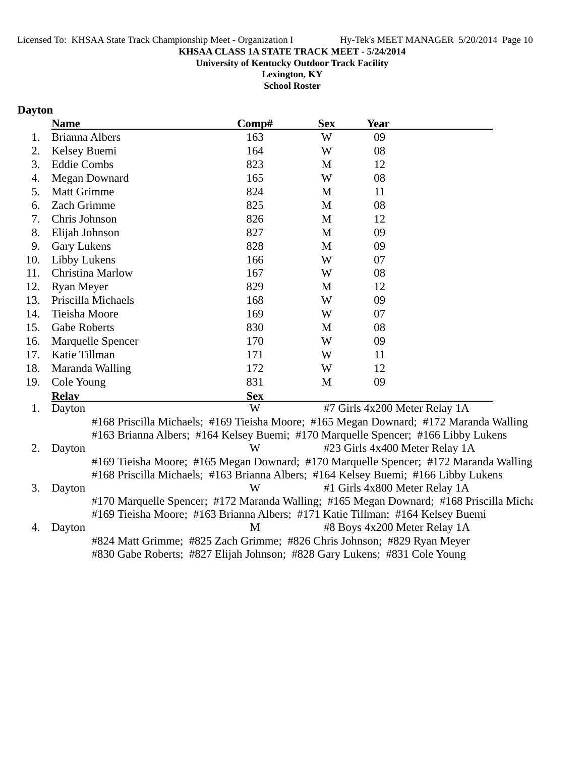**University of Kentucky Outdoor Track Facility**

**Lexington, KY School Roster**

### **Dayton**

|     | <b>Name</b>                                                                            | Comp#      | <b>Sex</b> | Year                           |  |
|-----|----------------------------------------------------------------------------------------|------------|------------|--------------------------------|--|
| 1.  | <b>Brianna Albers</b>                                                                  | 163        | W          | 09                             |  |
| 2.  | Kelsey Buemi                                                                           | 164        | W          | 08                             |  |
| 3.  | <b>Eddie Combs</b>                                                                     | 823        | M          | 12                             |  |
| 4.  | Megan Downard                                                                          | 165        | W          | 08                             |  |
| 5.  | <b>Matt Grimme</b>                                                                     | 824        | M          | 11                             |  |
| 6.  | Zach Grimme                                                                            | 825        | M          | 08                             |  |
| 7.  | Chris Johnson                                                                          | 826        | M          | 12                             |  |
| 8.  | Elijah Johnson                                                                         | 827        | M          | 09                             |  |
| 9.  | <b>Gary Lukens</b>                                                                     | 828        | M          | 09                             |  |
| 10. | Libby Lukens                                                                           | 166        | W          | 07                             |  |
| 11. | Christina Marlow                                                                       | 167        | W          | 08                             |  |
| 12. | Ryan Meyer                                                                             | 829        | M          | 12                             |  |
| 13. | Priscilla Michaels                                                                     | 168        | W          | 09                             |  |
| 14. | Tieisha Moore                                                                          | 169        | W          | 07                             |  |
| 15. | <b>Gabe Roberts</b>                                                                    | 830        | M          | 08                             |  |
| 16. | Marquelle Spencer                                                                      | 170        | W          | 09                             |  |
| 17. | Katie Tillman                                                                          | 171        | W          | 11                             |  |
| 18. | Maranda Walling                                                                        | 172        | W          | 12                             |  |
| 19. | Cole Young                                                                             | 831        | M          | 09                             |  |
|     | <b>Relay</b>                                                                           | <b>Sex</b> |            |                                |  |
| 1.  | Dayton                                                                                 | W          |            | #7 Girls 4x200 Meter Relay 1A  |  |
|     | #168 Priscilla Michaels; #169 Tieisha Moore; #165 Megan Downard; #172 Maranda Walling  |            |            |                                |  |
|     | #163 Brianna Albers; #164 Kelsey Buemi; #170 Marquelle Spencer; #166 Libby Lukens      |            |            |                                |  |
| 2.  | Dayton                                                                                 | W          |            | #23 Girls 4x400 Meter Relay 1A |  |
|     | #169 Tieisha Moore; #165 Megan Downard; #170 Marquelle Spencer; #172 Maranda Walling   |            |            |                                |  |
|     | #168 Priscilla Michaels; #163 Brianna Albers; #164 Kelsey Buemi; #166 Libby Lukens     |            |            |                                |  |
| 3.  | Dayton                                                                                 | W          |            | #1 Girls 4x800 Meter Relay 1A  |  |
|     | #170 Marquelle Spencer; #172 Maranda Walling; #165 Megan Downard; #168 Priscilla Micha |            |            |                                |  |
|     | #169 Tieisha Moore; #163 Brianna Albers; #171 Katie Tillman; #164 Kelsey Buemi         |            |            |                                |  |
| 4.  | Dayton                                                                                 | M          |            | #8 Boys 4x200 Meter Relay 1A   |  |
|     | #824 Matt Grimme; #825 Zach Grimme; #826 Chris Johnson; #829 Ryan Meyer                |            |            |                                |  |
|     | #830 Gabe Roberts; #827 Elijah Johnson; #828 Gary Lukens; #831 Cole Young              |            |            |                                |  |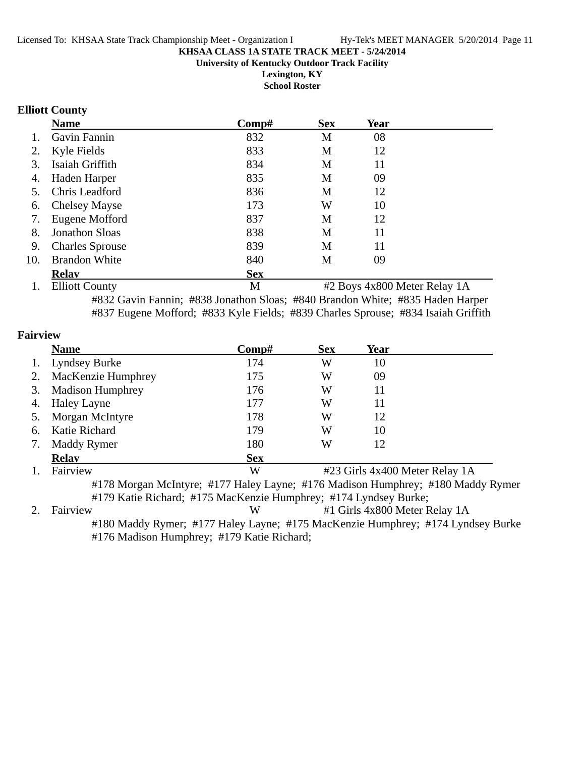**Lexington, KY**

**School Roster**

### **Elliott County**

|     | <b>Name</b>                                            | Comp#        | <b>Sex</b>   | Year       |  |
|-----|--------------------------------------------------------|--------------|--------------|------------|--|
|     | Gavin Fannin                                           | 832          | M            | 08         |  |
| 2.  | Kyle Fields                                            | 833          | M            | 12         |  |
| 3.  | Isaiah Griffith                                        | 834          | M            | 11         |  |
| 4.  | Haden Harper                                           | 835          | M            | 09         |  |
| 5.  | Chris Leadford                                         | 836          | M            | 12         |  |
| 6.  | <b>Chelsey Mayse</b>                                   | 173          | W            | 10         |  |
| 7.  | Eugene Mofford                                         | 837          | M            | 12         |  |
| 8.  | <b>Jonathon Sloas</b>                                  | 838          | M            | 11         |  |
| 9.  | <b>Charles Sprouse</b>                                 | 839          | M            | 11         |  |
| 10. | <b>Brandon White</b>                                   | 840          | M            | 09         |  |
|     | <b>Relav</b>                                           | <b>Sex</b>   |              |            |  |
|     | T111.7.7<br><b>Contract Contract Contract Contract</b> | $\mathbf{r}$ | $\mathbf{a}$ | $\sqrt{2}$ |  |

1. Elliott County **1. Elliott County** 1. #832 Gavin Fannin; #838 Jonathon Sloas; #840 Brandon White; #835 Haden Harper #837 Eugene Mofford; #833 Kyle Fields; #839 Charles Sprouse; #834 Isaiah Griffith

| <b>Fairview</b> |                                                                              |            |            |                                |  |
|-----------------|------------------------------------------------------------------------------|------------|------------|--------------------------------|--|
|                 | <b>Name</b>                                                                  | Comp#      | <b>Sex</b> | Year                           |  |
|                 | <b>Lyndsey Burke</b>                                                         | 174        | W          | 10                             |  |
|                 | MacKenzie Humphrey                                                           | 175        | W          | 09                             |  |
| 3.              | <b>Madison Humphrey</b>                                                      | 176        | W          | 11                             |  |
| 4.              | <b>Haley Layne</b>                                                           | 177        | W          | 11                             |  |
|                 | Morgan McIntyre                                                              | 178        | W          | 12                             |  |
| 6.              | Katie Richard                                                                | 179        | W          | 10                             |  |
|                 | Maddy Rymer                                                                  | 180        | W          | 12                             |  |
|                 | <b>Relav</b>                                                                 | <b>Sex</b> |            |                                |  |
|                 | Fairview                                                                     | W          |            | #23 Girls 4x400 Meter Relay 1A |  |
|                 | #178 Morgan McIntyre: #177 Haley Layne: #176 Madison Humphrey: #180 Maddy Ry |            |            |                                |  |

#178 Morgan McIntyre; #177 Haley Layne; #176 Madison Humphrey; #180 Maddy Rymer #179 Katie Richard; #175 MacKenzie Humphrey; #174 Lyndsey Burke;

2. Fairview W #1 Girls 4x800 Meter Relay 1A #180 Maddy Rymer; #177 Haley Layne; #175 MacKenzie Humphrey; #174 Lyndsey Burke #176 Madison Humphrey; #179 Katie Richard;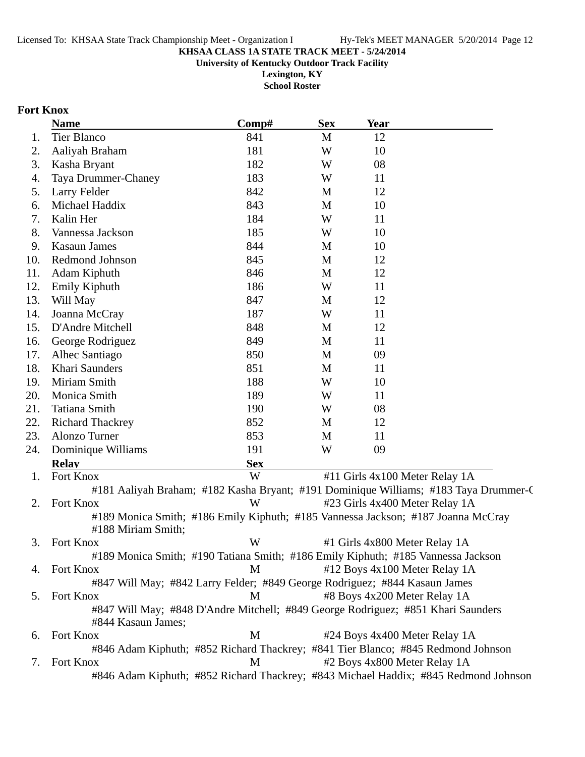**University of Kentucky Outdoor Track Facility**

**Lexington, KY School Roster**

### **Fort Knox**

|     | <b>Name</b>                                                                                            | Comp#      | <b>Sex</b>  | <b>Year</b> |                                                                                      |
|-----|--------------------------------------------------------------------------------------------------------|------------|-------------|-------------|--------------------------------------------------------------------------------------|
| 1.  | Tier Blanco                                                                                            | 841        | M           | 12          |                                                                                      |
| 2.  | Aaliyah Braham                                                                                         | 181        | W           | 10          |                                                                                      |
| 3.  | Kasha Bryant                                                                                           | 182        | W           | 08          |                                                                                      |
| 4.  | Taya Drummer-Chaney                                                                                    | 183        | W           | 11          |                                                                                      |
| 5.  | Larry Felder                                                                                           | 842        | M           | 12          |                                                                                      |
| 6.  | Michael Haddix                                                                                         | 843        | M           | 10          |                                                                                      |
| 7.  | Kalin Her                                                                                              | 184        | W           | 11          |                                                                                      |
| 8.  | Vannessa Jackson                                                                                       | 185        | W           | 10          |                                                                                      |
| 9.  | <b>Kasaun James</b>                                                                                    | 844        | M           | 10          |                                                                                      |
| 10. | Redmond Johnson                                                                                        | 845        | $\mathbf M$ | 12          |                                                                                      |
| 11. | Adam Kiphuth                                                                                           | 846        | M           | 12          |                                                                                      |
| 12. | Emily Kiphuth                                                                                          | 186        | W           | 11          |                                                                                      |
| 13. | Will May                                                                                               | 847        | M           | 12          |                                                                                      |
| 14. | Joanna McCray                                                                                          | 187        | W           | 11          |                                                                                      |
| 15. | D'Andre Mitchell                                                                                       | 848        | M           | 12          |                                                                                      |
| 16. | George Rodriguez                                                                                       | 849        | M           | 11          |                                                                                      |
| 17. | Alhec Santiago                                                                                         | 850        | M           | 09          |                                                                                      |
| 18. | Khari Saunders                                                                                         | 851        | M           | 11          |                                                                                      |
| 19. | Miriam Smith                                                                                           | 188        | W           | 10          |                                                                                      |
| 20. | Monica Smith                                                                                           | 189        | W           | 11          |                                                                                      |
| 21. | <b>Tatiana Smith</b>                                                                                   | 190        | W           | 08          |                                                                                      |
| 22. | <b>Richard Thackrey</b>                                                                                | 852        | M           | 12          |                                                                                      |
| 23. | Alonzo Turner                                                                                          | 853        | M           | 11          |                                                                                      |
| 24. | Dominique Williams                                                                                     | 191        | W           | 09          |                                                                                      |
|     | <b>Relav</b>                                                                                           | <b>Sex</b> |             |             |                                                                                      |
| 1.  | Fort Knox                                                                                              | W          |             |             | #11 Girls 4x100 Meter Relay 1A                                                       |
|     |                                                                                                        |            |             |             | #181 Aaliyah Braham; #182 Kasha Bryant; #191 Dominique Williams; #183 Taya Drummer-C |
| 2.  | Fort Knox                                                                                              | W          |             |             | #23 Girls 4x400 Meter Relay 1A                                                       |
|     | #189 Monica Smith; #186 Emily Kiphuth; #185 Vannessa Jackson; #187 Joanna McCray<br>#188 Miriam Smith; |            |             |             |                                                                                      |
| 3.  | Fort Knox                                                                                              | W          |             |             | #1 Girls 4x800 Meter Relay 1A                                                        |
|     | #189 Monica Smith; #190 Tatiana Smith; #186 Emily Kiphuth; #185 Vannessa Jackson                       |            |             |             |                                                                                      |
| 4.  | Fort Knox                                                                                              | M          |             |             | #12 Boys 4x100 Meter Relay 1A                                                        |
|     | #847 Will May; #842 Larry Felder; #849 George Rodriguez; #844 Kasaun James                             |            |             |             |                                                                                      |
| 5.  | Fort Knox                                                                                              | M          |             |             | #8 Boys 4x200 Meter Relay 1A                                                         |
|     | #847 Will May; #848 D'Andre Mitchell; #849 George Rodriguez; #851 Khari Saunders<br>#844 Kasaun James; |            |             |             |                                                                                      |
| 6.  | Fort Knox                                                                                              | M          |             |             | #24 Boys 4x400 Meter Relay 1A                                                        |
|     | #846 Adam Kiphuth; #852 Richard Thackrey; #841 Tier Blanco; #845 Redmond Johnson                       |            |             |             |                                                                                      |
| 7.  | Fort Knox                                                                                              | M          |             |             | #2 Boys 4x800 Meter Relay 1A                                                         |
|     |                                                                                                        |            |             |             | #846 Adam Kiphuth; #852 Richard Thackrey; #843 Michael Haddix; #845 Redmond Johnson  |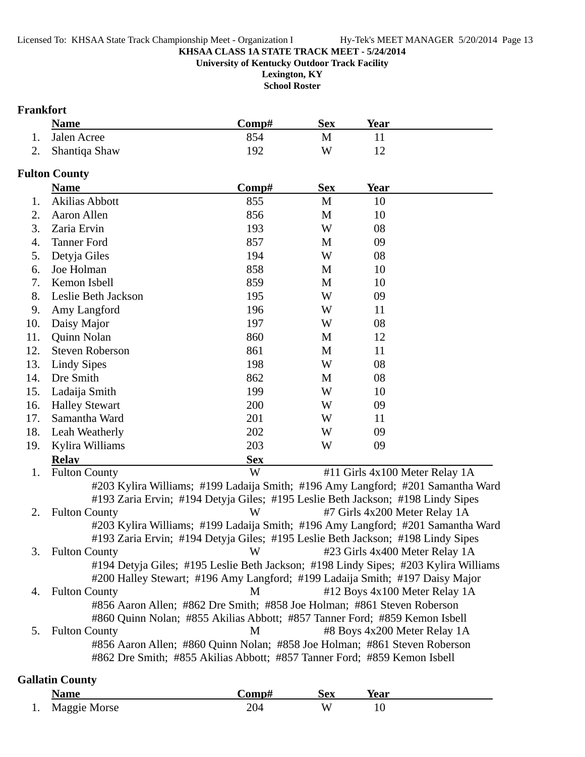**Lexington, KY**

**School Roster**

### **Frankfort**

| <b>Name</b>      | C <b>omp#</b> | Sex | Year |  |
|------------------|---------------|-----|------|--|
| 1. Jalen Acree   | 854           |     |      |  |
| 2. Shantiqa Shaw | 192           | W   |      |  |

### **Fulton County**

|     | <b>Name</b>                                                                         | Comp#      | <b>Sex</b> | Year |                                |
|-----|-------------------------------------------------------------------------------------|------------|------------|------|--------------------------------|
| 1.  | <b>Akilias Abbott</b>                                                               | 855        | M          | 10   |                                |
| 2.  | Aaron Allen                                                                         | 856        | M          | 10   |                                |
| 3.  | Zaria Ervin                                                                         | 193        | W          | 08   |                                |
| 4.  | <b>Tanner Ford</b>                                                                  | 857        | M          | 09   |                                |
| 5.  | Detyja Giles                                                                        | 194        | W          | 08   |                                |
| 6.  | Joe Holman                                                                          | 858        | M          | 10   |                                |
| 7.  | Kemon Isbell                                                                        | 859        | M          | 10   |                                |
| 8.  | Leslie Beth Jackson                                                                 | 195        | W          | 09   |                                |
| 9.  | Amy Langford                                                                        | 196        | W          | 11   |                                |
| 10. | Daisy Major                                                                         | 197        | W          | 08   |                                |
| 11. | Quinn Nolan                                                                         | 860        | M          | 12   |                                |
| 12. | <b>Steven Roberson</b>                                                              | 861        | M          | 11   |                                |
| 13. | <b>Lindy Sipes</b>                                                                  | 198        | W          | 08   |                                |
| 14. | Dre Smith                                                                           | 862        | M          | 08   |                                |
| 15. | Ladaija Smith                                                                       | 199        | W          | 10   |                                |
| 16. | <b>Halley Stewart</b>                                                               | 200        | W          | 09   |                                |
| 17. | Samantha Ward                                                                       | 201        | W          | 11   |                                |
| 18. | Leah Weatherly                                                                      | 202        | W          | 09   |                                |
| 19. | Kylira Williams                                                                     | 203        | W          | 09   |                                |
|     | <b>Relav</b>                                                                        | <b>Sex</b> |            |      |                                |
| 1.  | <b>Fulton County</b>                                                                | W          |            |      | #11 Girls 4x100 Meter Relay 1A |
|     | #203 Kylira Williams; #199 Ladaija Smith; #196 Amy Langford; #201 Samantha Ward     |            |            |      |                                |
|     | #193 Zaria Ervin; #194 Detyja Giles; #195 Leslie Beth Jackson; #198 Lindy Sipes     |            |            |      |                                |
| 2.  | <b>Fulton County</b>                                                                | W          |            |      | #7 Girls 4x200 Meter Relay 1A  |
|     | #203 Kylira Williams; #199 Ladaija Smith; #196 Amy Langford; #201 Samantha Ward     |            |            |      |                                |
|     | #193 Zaria Ervin; #194 Detyja Giles; #195 Leslie Beth Jackson; #198 Lindy Sipes     |            |            |      |                                |
| 3.  | <b>Fulton County</b>                                                                | W          |            |      | #23 Girls 4x400 Meter Relay 1A |
|     | #194 Detyja Giles; #195 Leslie Beth Jackson; #198 Lindy Sipes; #203 Kylira Williams |            |            |      |                                |

#200 Halley Stewart; #196 Amy Langford; #199 Ladaija Smith; #197 Daisy Major 4. Fulton County **M**  $\#12$  Boys 4x100 Meter Relay 1A #856 Aaron Allen; #862 Dre Smith; #858 Joe Holman; #861 Steven Roberson #860 Quinn Nolan; #855 Akilias Abbott; #857 Tanner Ford; #859 Kemon Isbell 5. Fulton County M #8 Boys 4x200 Meter Relay 1A

#856 Aaron Allen; #860 Quinn Nolan; #858 Joe Holman; #861 Steven Roberson #862 Dre Smith; #855 Akilias Abbott; #857 Tanner Ford; #859 Kemon Isbell

### **Gallatin County**

|     | Name         | $\mathsf{Comp}\#$ | Sex | <b>Year</b>    |  |
|-----|--------------|-------------------|-----|----------------|--|
| . . | Maggie Morse | 204               | W   | 1 <sub>0</sub> |  |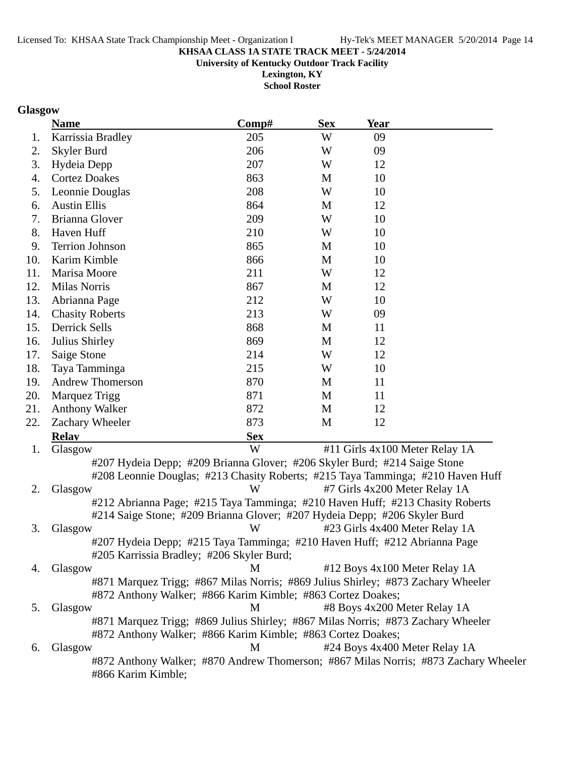#866 Karim Kimble;

## **KHSAA CLASS 1A STATE TRACK MEET - 5/24/2014**

**University of Kentucky Outdoor Track Facility**

**Lexington, KY School Roster**

### **Glasgow**

|     | <b>Name</b>                                                                         | Comp#      | <b>Sex</b> | <b>Year</b>                    |  |
|-----|-------------------------------------------------------------------------------------|------------|------------|--------------------------------|--|
| 1.  | Karrissia Bradley                                                                   | 205        | W          | 09                             |  |
| 2.  | Skyler Burd                                                                         | 206        | W          | 09                             |  |
| 3.  | Hydeia Depp                                                                         | 207        | W          | 12                             |  |
| 4.  | <b>Cortez Doakes</b>                                                                | 863        | M          | 10                             |  |
| 5.  | Leonnie Douglas                                                                     | 208        | W          | 10                             |  |
| 6.  | <b>Austin Ellis</b>                                                                 | 864        | M          | 12                             |  |
| 7.  | Brianna Glover                                                                      | 209        | W          | 10                             |  |
| 8.  | Haven Huff                                                                          | 210        | W          | 10                             |  |
| 9.  | <b>Terrion Johnson</b>                                                              | 865        | M          | 10                             |  |
| 10. | Karim Kimble                                                                        | 866        | M          | 10                             |  |
| 11. | Marisa Moore                                                                        | 211        | W          | 12                             |  |
| 12. | <b>Milas Norris</b>                                                                 | 867        | M          | 12                             |  |
| 13. | Abrianna Page                                                                       | 212        | W          | 10                             |  |
| 14. | <b>Chasity Roberts</b>                                                              | 213        | W          | 09                             |  |
| 15. | Derrick Sells                                                                       | 868        | M          | 11                             |  |
| 16. | Julius Shirley                                                                      | 869        | M          | 12                             |  |
| 17. | Saige Stone                                                                         | 214        | W          | 12                             |  |
| 18. | Taya Tamminga                                                                       | 215        | W          | 10                             |  |
| 19. | <b>Andrew Thomerson</b>                                                             | 870        | M          | 11                             |  |
| 20. | Marquez Trigg                                                                       | 871        | M          | 11                             |  |
| 21. | <b>Anthony Walker</b>                                                               | 872        | M          | 12                             |  |
| 22. | Zachary Wheeler                                                                     | 873        | M          | 12                             |  |
|     | <b>Relav</b>                                                                        | <b>Sex</b> |            |                                |  |
| 1.  | Glasgow                                                                             | W          |            | #11 Girls 4x100 Meter Relay 1A |  |
|     | #207 Hydeia Depp; #209 Brianna Glover; #206 Skyler Burd; #214 Saige Stone           |            |            |                                |  |
|     | #208 Leonnie Douglas; #213 Chasity Roberts; #215 Taya Tamminga; #210 Haven Huff     |            |            |                                |  |
| 2.  | Glasgow                                                                             | W          |            | #7 Girls 4x200 Meter Relay 1A  |  |
|     | #212 Abrianna Page; #215 Taya Tamminga; #210 Haven Huff; #213 Chasity Roberts       |            |            |                                |  |
|     | #214 Saige Stone; #209 Brianna Glover; #207 Hydeia Depp; #206 Skyler Burd           |            |            |                                |  |
| 3.  | Glasgow                                                                             | W          |            | #23 Girls 4x400 Meter Relay 1A |  |
|     | #207 Hydeia Depp; #215 Taya Tamminga; #210 Haven Huff; #212 Abrianna Page           |            |            |                                |  |
|     | #205 Karrissia Bradley; #206 Skyler Burd;                                           |            |            |                                |  |
| 4.  | Glasgow                                                                             | M          |            | #12 Boys 4x100 Meter Relay 1A  |  |
|     | #871 Marquez Trigg; #867 Milas Norris; #869 Julius Shirley; #873 Zachary Wheeler    |            |            |                                |  |
|     | #872 Anthony Walker; #866 Karim Kimble; #863 Cortez Doakes;                         |            |            |                                |  |
| 5.  | Glasgow                                                                             | M          |            | #8 Boys 4x200 Meter Relay 1A   |  |
|     | #871 Marquez Trigg; #869 Julius Shirley; #867 Milas Norris; #873 Zachary Wheeler    |            |            |                                |  |
|     | #872 Anthony Walker; #866 Karim Kimble; #863 Cortez Doakes;                         |            |            |                                |  |
| 6.  | Glasgow                                                                             | M          |            | #24 Boys 4x400 Meter Relay 1A  |  |
|     | #872 Anthony Walker; #870 Andrew Thomerson; #867 Milas Norris; #873 Zachary Wheeler |            |            |                                |  |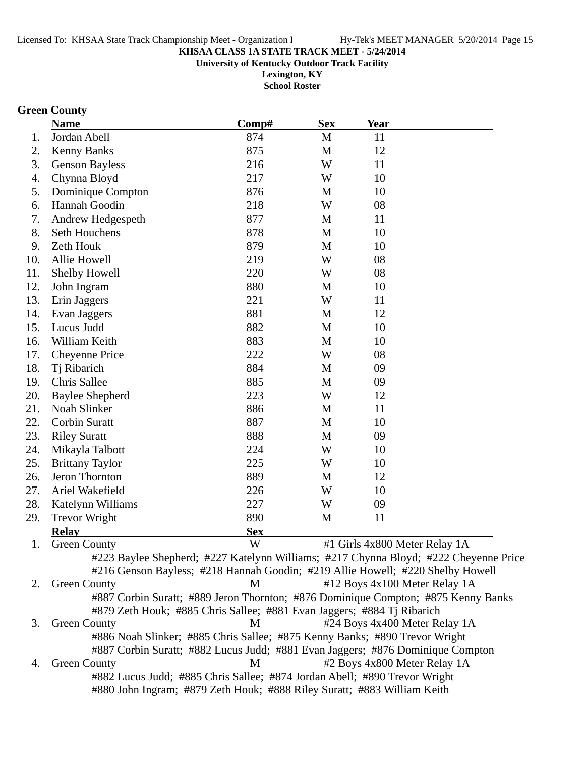**University of Kentucky Outdoor Track Facility**

**Lexington, KY School Roster**

# **Green County**

|     | <b>Name</b>                                                                | Comp#      | <b>Sex</b>   | <u>Year</u>                                                                          |
|-----|----------------------------------------------------------------------------|------------|--------------|--------------------------------------------------------------------------------------|
| 1.  | Jordan Abell                                                               | 874        | $\mathbf M$  | 11                                                                                   |
| 2.  | <b>Kenny Banks</b>                                                         | 875        | M            | 12                                                                                   |
| 3.  | <b>Genson Bayless</b>                                                      | 216        | W            | 11                                                                                   |
| 4.  | Chynna Bloyd                                                               | 217        | W            | 10                                                                                   |
| 5.  | Dominique Compton                                                          | 876        | M            | 10                                                                                   |
| 6.  | Hannah Goodin                                                              | 218        | W            | 08                                                                                   |
| 7.  | Andrew Hedgespeth                                                          | 877        | M            | 11                                                                                   |
| 8.  | Seth Houchens                                                              | 878        | M            | 10                                                                                   |
| 9.  | Zeth Houk                                                                  | 879        | M            | 10                                                                                   |
| 10. | Allie Howell                                                               | 219        | W            | 08                                                                                   |
| 11. | Shelby Howell                                                              | 220        | W            | 08                                                                                   |
| 12. | John Ingram                                                                | 880        | M            | 10                                                                                   |
| 13. | Erin Jaggers                                                               | 221        | W            | 11                                                                                   |
| 14. | Evan Jaggers                                                               | 881        | M            | 12                                                                                   |
| 15. | Lucus Judd                                                                 | 882        | M            | 10                                                                                   |
| 16. | William Keith                                                              | 883        | M            | 10                                                                                   |
| 17. | <b>Cheyenne Price</b>                                                      | 222        | W            | 08                                                                                   |
| 18. | Tj Ribarich                                                                | 884        | M            | 09                                                                                   |
| 19. | Chris Sallee                                                               | 885        | M            | 09                                                                                   |
| 20. | <b>Baylee Shepherd</b>                                                     | 223        | W            | 12                                                                                   |
| 21. | Noah Slinker                                                               | 886        | M            | 11                                                                                   |
| 22. | <b>Corbin Suratt</b>                                                       | 887        | M            | 10                                                                                   |
| 23. | <b>Riley Suratt</b>                                                        | 888        | $\mathbf{M}$ | 09                                                                                   |
| 24. | Mikayla Talbott                                                            | 224        | W            | 10                                                                                   |
| 25. | <b>Brittany Taylor</b>                                                     | 225        | W            | 10                                                                                   |
| 26. | Jeron Thornton                                                             | 889        | M            | 12                                                                                   |
| 27. | Ariel Wakefield                                                            | 226        | W            | 10                                                                                   |
| 28. | Katelynn Williams                                                          | 227        | W            | 09                                                                                   |
| 29. | <b>Trevor Wright</b>                                                       | 890        | M            | 11                                                                                   |
|     | <b>Relay</b>                                                               | <b>Sex</b> |              |                                                                                      |
|     | 1. Green County                                                            | W          |              | #1 Girls 4x800 Meter Relay 1A                                                        |
|     |                                                                            |            |              | #223 Baylee Shepherd; #227 Katelynn Williams; #217 Chynna Bloyd; #222 Cheyenne Price |
|     |                                                                            |            |              | #216 Genson Bayless; #218 Hannah Goodin; #219 Allie Howell; #220 Shelby Howell       |
| 2.  | <b>Green County</b>                                                        | M          |              | #12 Boys 4x100 Meter Relay 1A                                                        |
|     |                                                                            |            |              | #887 Corbin Suratt; #889 Jeron Thornton; #876 Dominique Compton; #875 Kenny Banks    |
|     | #879 Zeth Houk; #885 Chris Sallee; #881 Evan Jaggers; #884 Tj Ribarich     |            |              |                                                                                      |
| 3.  | <b>Green County</b>                                                        | M          |              | #24 Boys 4x400 Meter Relay 1A                                                        |
|     | #886 Noah Slinker; #885 Chris Sallee; #875 Kenny Banks; #890 Trevor Wright |            |              |                                                                                      |
|     |                                                                            |            |              | #887 Corbin Suratt; #882 Lucus Judd; #881 Evan Jaggers; #876 Dominique Compton       |
| 4.  | <b>Green County</b>                                                        | M          |              | #2 Boys 4x800 Meter Relay 1A                                                         |
|     | #882 Lucus Judd; #885 Chris Sallee; #874 Jordan Abell; #890 Trevor Wright  |            |              |                                                                                      |
|     | #880 John Ingram; #879 Zeth Houk; #888 Riley Suratt; #883 William Keith    |            |              |                                                                                      |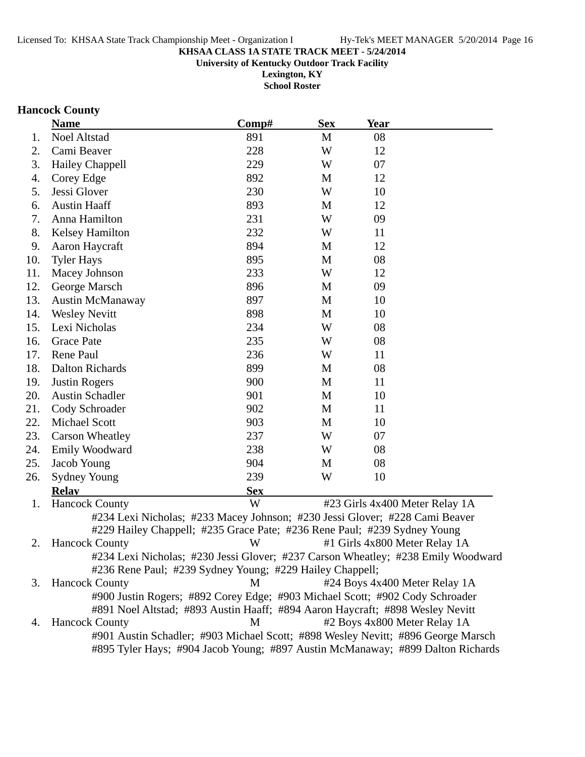**University of Kentucky Outdoor Track Facility**

**Lexington, KY School Roster**

### **Hancock County**

|     | <b>Name</b>                                                                                                                                             | Comp#      | <b>Sex</b> | <b>Year</b>                    |  |
|-----|---------------------------------------------------------------------------------------------------------------------------------------------------------|------------|------------|--------------------------------|--|
| 1.  | <b>Noel Altstad</b>                                                                                                                                     | 891        | M          | 08                             |  |
| 2.  | Cami Beaver                                                                                                                                             | 228        | W          | 12                             |  |
| 3.  | Hailey Chappell                                                                                                                                         | 229        | W          | 07                             |  |
| 4.  | Corey Edge                                                                                                                                              | 892        | M          | 12                             |  |
| 5.  | Jessi Glover                                                                                                                                            | 230        | W          | 10                             |  |
| 6.  | <b>Austin Haaff</b>                                                                                                                                     | 893        | M          | 12                             |  |
| 7.  | Anna Hamilton                                                                                                                                           | 231        | W          | 09                             |  |
| 8.  | <b>Kelsey Hamilton</b>                                                                                                                                  | 232        | W          | 11                             |  |
| 9.  | Aaron Haycraft                                                                                                                                          | 894        | M          | 12                             |  |
| 10. | <b>Tyler Hays</b>                                                                                                                                       | 895        | M          | 08                             |  |
| 11. | Macey Johnson                                                                                                                                           | 233        | W          | 12                             |  |
| 12. | George Marsch                                                                                                                                           | 896        | M          | 09                             |  |
| 13. | <b>Austin McManaway</b>                                                                                                                                 | 897        | M          | 10                             |  |
| 14. | <b>Wesley Nevitt</b>                                                                                                                                    | 898        | M          | 10                             |  |
| 15. | Lexi Nicholas                                                                                                                                           | 234        | W          | 08                             |  |
| 16. | <b>Grace Pate</b>                                                                                                                                       | 235        | W          | 08                             |  |
| 17. | Rene Paul                                                                                                                                               | 236        | W          | 11                             |  |
| 18. | <b>Dalton Richards</b>                                                                                                                                  | 899        | M          | 08                             |  |
| 19. | <b>Justin Rogers</b>                                                                                                                                    | 900        | M          | 11                             |  |
| 20. | <b>Austin Schadler</b>                                                                                                                                  | 901        | M          | 10                             |  |
| 21. | Cody Schroader                                                                                                                                          | 902        | M          | 11                             |  |
| 22. | <b>Michael Scott</b>                                                                                                                                    | 903        | M          | 10                             |  |
| 23. | <b>Carson Wheatley</b>                                                                                                                                  | 237        | W          | 07                             |  |
| 24. | Emily Woodward                                                                                                                                          | 238        | W          | 08                             |  |
| 25. | Jacob Young                                                                                                                                             | 904        | M          | 08                             |  |
| 26. | <b>Sydney Young</b>                                                                                                                                     | 239        | W          | 10                             |  |
|     | <b>Relay</b>                                                                                                                                            | <b>Sex</b> |            |                                |  |
| 1.  | <b>Hancock County</b>                                                                                                                                   | W          |            | #23 Girls 4x400 Meter Relay 1A |  |
|     | #234 Lexi Nicholas; #233 Macey Johnson; #230 Jessi Glover; #228 Cami Beaver<br>#229 Hailey Chappell; #235 Grace Pate; #236 Rene Paul; #239 Sydney Young |            |            |                                |  |
| 2.  | <b>Hancock County</b>                                                                                                                                   | W          |            | #1 Girls 4x800 Meter Relay 1A  |  |
|     | #234 Lexi Nicholas; #230 Jessi Glover; #237 Carson Wheatley; #238 Emily Woodward                                                                        |            |            |                                |  |
|     | #236 Rene Paul; #239 Sydney Young; #229 Hailey Chappell;                                                                                                |            |            |                                |  |
| 3.  | <b>Hancock County</b>                                                                                                                                   | M          |            | #24 Boys 4x400 Meter Relay 1A  |  |
|     | #900 Justin Rogers; #892 Corey Edge; #903 Michael Scott; #902 Cody Schroader                                                                            |            |            |                                |  |
|     | #891 Noel Altstad; #893 Austin Haaff; #894 Aaron Haycraft; #898 Wesley Nevitt                                                                           |            |            |                                |  |
| 4.  | <b>Hancock County</b>                                                                                                                                   | M          |            | #2 Boys 4x800 Meter Relay 1A   |  |
|     | #901 Austin Schadler; #903 Michael Scott; #898 Wesley Nevitt; #896 George Marsch                                                                        |            |            |                                |  |
|     | #895 Tyler Hays; #904 Jacob Young; #897 Austin McManaway; #899 Dalton Richards                                                                          |            |            |                                |  |
|     |                                                                                                                                                         |            |            |                                |  |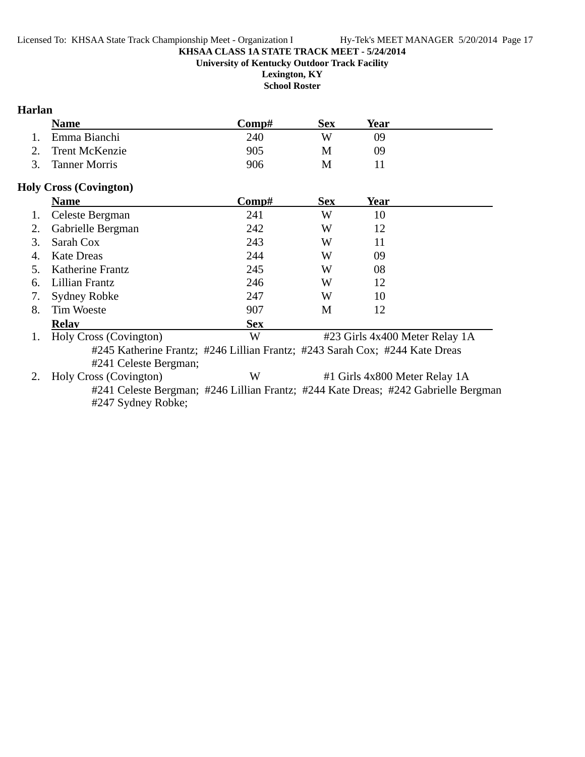**University of Kentucky Outdoor Track Facility**

**Lexington, KY School Roster**

### **Harlan**

|    | <b>Name</b>                                                                 | Comp#      | <b>Sex</b> | Year                           |  |
|----|-----------------------------------------------------------------------------|------------|------------|--------------------------------|--|
|    | Emma Bianchi                                                                | 240        | W          | 09                             |  |
| 2. | <b>Trent McKenzie</b>                                                       | 905        | M          | 09                             |  |
| 3. | <b>Tanner Morris</b>                                                        | 906        | M          | 11                             |  |
|    | <b>Holy Cross (Covington)</b>                                               |            |            |                                |  |
|    | <b>Name</b>                                                                 | Comp#      | <b>Sex</b> | Year                           |  |
| 1. | Celeste Bergman                                                             | 241        | W          | 10                             |  |
| 2. | Gabrielle Bergman                                                           | 242        | W          | 12                             |  |
| 3. | Sarah Cox                                                                   | 243        | W          | 11                             |  |
| 4. | <b>Kate Dreas</b>                                                           | 244        | W          | 09                             |  |
| 5. | Katherine Frantz                                                            | 245        | W          | 08                             |  |
| 6. | Lillian Frantz                                                              | 246        | W          | 12                             |  |
| 7. | Sydney Robke                                                                | 247        | W          | 10                             |  |
| 8. | <b>Tim Woeste</b>                                                           | 907        | M          | 12                             |  |
|    | <b>Relav</b>                                                                | <b>Sex</b> |            |                                |  |
| 1. | Holy Cross (Covington)                                                      | W          |            | #23 Girls 4x400 Meter Relay 1A |  |
|    | #245 Katherine Frantz; #246 Lillian Frantz; #243 Sarah Cox; #244 Kate Dreas |            |            |                                |  |

#241 Celeste Bergman;<br>2. Holy Cross (Covington)

W #1 Girls 4x800 Meter Relay 1A

#241 Celeste Bergman; #246 Lillian Frantz; #244 Kate Dreas; #242 Gabrielle Bergman #247 Sydney Robke;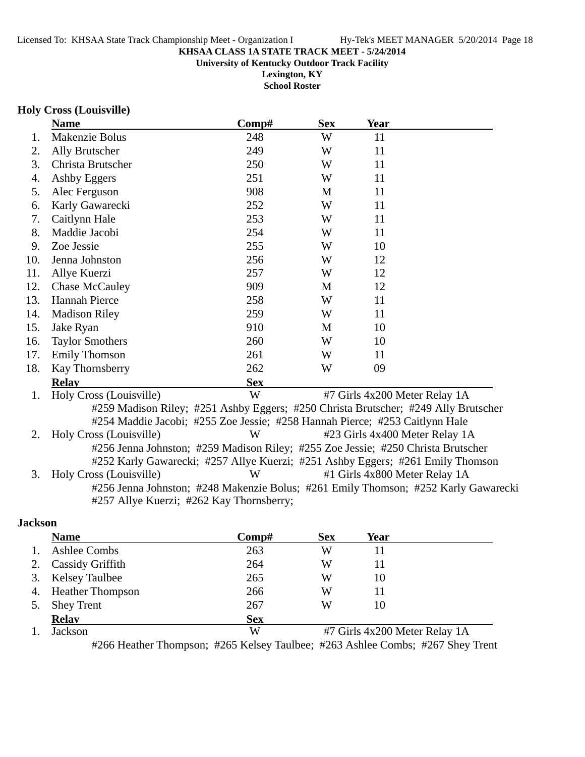**Lexington, KY**

**School Roster**

### **Holy Cross (Louisville)**

|     | <b>Name</b>                              | Comp#      | <b>Sex</b> | Year                                                                               |  |
|-----|------------------------------------------|------------|------------|------------------------------------------------------------------------------------|--|
| 1.  | Makenzie Bolus                           | 248        | W          | 11                                                                                 |  |
| 2.  | Ally Brutscher                           | 249        | W          | 11                                                                                 |  |
| 3.  | Christa Brutscher                        | 250        | W          | 11                                                                                 |  |
| 4.  | Ashby Eggers                             | 251        | W          | 11                                                                                 |  |
| 5.  | Alec Ferguson                            | 908        | M          | 11                                                                                 |  |
| 6.  | Karly Gawarecki                          | 252        | W          | 11                                                                                 |  |
| 7.  | Caitlynn Hale                            | 253        | W          | 11                                                                                 |  |
| 8.  | Maddie Jacobi                            | 254        | W          | 11                                                                                 |  |
| 9.  | Zoe Jessie                               | 255        | W          | 10                                                                                 |  |
| 10. | Jenna Johnston                           | 256        | W          | 12                                                                                 |  |
| 11. | Allye Kuerzi                             | 257        | W          | 12                                                                                 |  |
| 12. | <b>Chase McCauley</b>                    | 909        | M          | 12                                                                                 |  |
| 13. | <b>Hannah Pierce</b>                     | 258        | W          | 11                                                                                 |  |
| 14. | <b>Madison Riley</b>                     | 259        | W          | 11                                                                                 |  |
| 15. | Jake Ryan                                | 910        | M          | 10                                                                                 |  |
| 16. | <b>Taylor Smothers</b>                   | 260        | W          | 10                                                                                 |  |
| 17. | <b>Emily Thomson</b>                     | 261        | W          | 11                                                                                 |  |
| 18. | Kay Thornsberry                          | 262        | W          | 09                                                                                 |  |
|     | <b>Relay</b>                             | <b>Sex</b> |            |                                                                                    |  |
| 1.  | Holy Cross (Louisville)                  | W          |            | #7 Girls 4x200 Meter Relay 1A                                                      |  |
|     |                                          |            |            | #259 Madison Riley; #251 Ashby Eggers; #250 Christa Brutscher; #249 Ally Brutscher |  |
|     |                                          |            |            | #254 Maddie Jacobi; #255 Zoe Jessie; #258 Hannah Pierce; #253 Caitlynn Hale        |  |
| 2.  | Holy Cross (Louisville)                  | W          |            | #23 Girls 4x400 Meter Relay 1A                                                     |  |
|     |                                          |            |            | #256 Jenna Johnston; #259 Madison Riley; #255 Zoe Jessie; #250 Christa Brutscher   |  |
|     |                                          |            |            | #252 Karly Gawarecki; #257 Allye Kuerzi; #251 Ashby Eggers; #261 Emily Thomson     |  |
| 3.  | Holy Cross (Louisville)                  | W          |            | #1 Girls 4x800 Meter Relay 1A                                                      |  |
|     |                                          |            |            | #256 Jenna Johnston; #248 Makenzie Bolus; #261 Emily Thomson; #252 Karly Gawarecki |  |
|     | #257 Allye Kuerzi; #262 Kay Thornsberry; |            |            |                                                                                    |  |
|     |                                          |            |            |                                                                                    |  |

### **Jackson**

|                | <b>Name</b>             | Comp#      | <b>Sex</b> | Year                          |  |
|----------------|-------------------------|------------|------------|-------------------------------|--|
| $\mathbf{1}$ . | <b>Ashlee Combs</b>     | 263        | W          | 11                            |  |
| 2.             | <b>Cassidy Griffith</b> | 264        | W          | 11                            |  |
|                | 3. Kelsey Taulbee       | 265        | W          | 10                            |  |
|                | 4. Heather Thompson     | 266        | W          | 11                            |  |
| 5.             | <b>Shey Trent</b>       | 267        | W          | 10                            |  |
|                | <b>Relay</b>            | <b>Sex</b> |            |                               |  |
|                | Jackson                 | W          |            | #7 Girls 4x200 Meter Relay 1A |  |

#266 Heather Thompson; #265 Kelsey Taulbee; #263 Ashlee Combs; #267 Shey Trent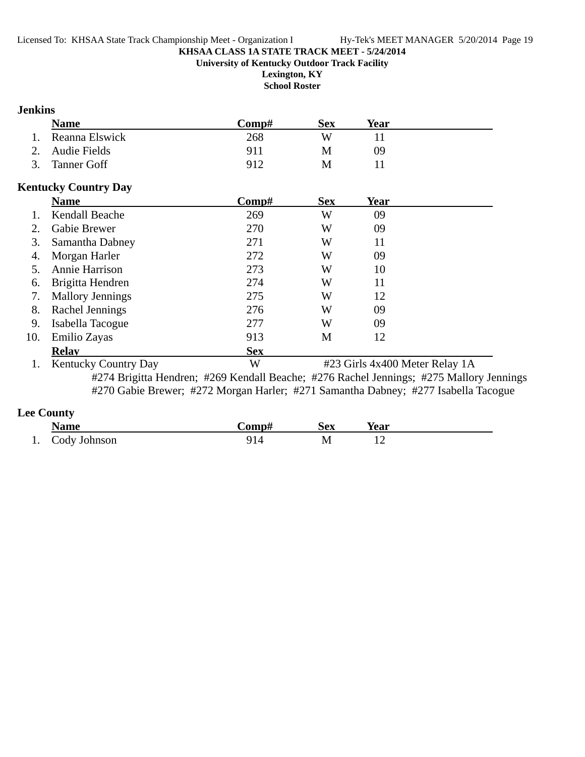**University of Kentucky Outdoor Track Facility**

**Lexington, KY School Roster**

### **Jenkins**

|     | <b>Name</b>                 | Comp#                                                                              | <b>Sex</b> | <b>Year</b>                    |                                                                                         |
|-----|-----------------------------|------------------------------------------------------------------------------------|------------|--------------------------------|-----------------------------------------------------------------------------------------|
| 1.  | Reanna Elswick              | 268                                                                                | W          | 11                             |                                                                                         |
| 2.  | <b>Audie Fields</b>         | 911                                                                                | M          | 09                             |                                                                                         |
| 3.  | <b>Tanner Goff</b>          | 912                                                                                | M          | 11                             |                                                                                         |
|     | <b>Kentucky Country Day</b> |                                                                                    |            |                                |                                                                                         |
|     | <b>Name</b>                 | Comp#                                                                              | <b>Sex</b> | <b>Year</b>                    |                                                                                         |
| 1.  | Kendall Beache              | 269                                                                                | W          | 09                             |                                                                                         |
| 2.  | Gabie Brewer                | 270                                                                                | W          | 09                             |                                                                                         |
| 3.  | Samantha Dabney             | 271                                                                                | W          | 11                             |                                                                                         |
| 4.  | Morgan Harler               | 272                                                                                | W          | 09                             |                                                                                         |
| 5.  | Annie Harrison              | 273                                                                                | W          | 10                             |                                                                                         |
| 6.  | Brigitta Hendren            | 274                                                                                | W          | 11                             |                                                                                         |
| 7.  | <b>Mallory Jennings</b>     | 275                                                                                | W          | 12                             |                                                                                         |
| 8.  | Rachel Jennings             | 276                                                                                | W          | 09                             |                                                                                         |
| 9.  | Isabella Tacogue            | 277                                                                                | W          | 09                             |                                                                                         |
| 10. | Emilio Zayas                | 913                                                                                | M          | 12                             |                                                                                         |
|     | <b>Relav</b>                | <b>Sex</b>                                                                         |            |                                |                                                                                         |
| 1.  | <b>Kentucky Country Day</b> | W                                                                                  |            | #23 Girls 4x400 Meter Relay 1A |                                                                                         |
|     |                             |                                                                                    |            |                                | #274 Brigitta Hendren; #269 Kendall Beache; #276 Rachel Jennings; #275 Mallory Jennings |
|     |                             | #270 Gabie Brewer; #272 Morgan Harler; #271 Samantha Dabney; #277 Isabella Tacogue |            |                                |                                                                                         |

**Lee County**

| <b>Name</b>     | -`omp# | <b>Sex</b> | Year |  |
|-----------------|--------|------------|------|--|
| 1. Cody Johnson | 914    | М          |      |  |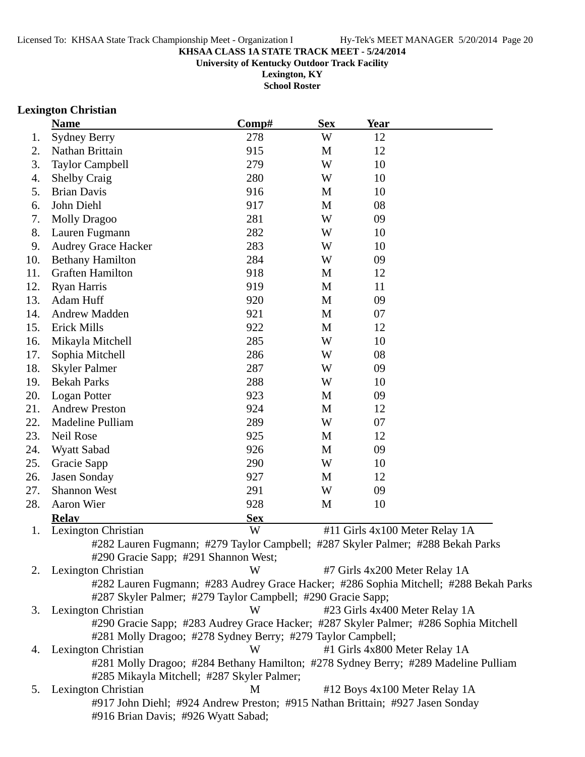**University of Kentucky Outdoor Track Facility**

**Lexington, KY School Roster**

### **Lexington Christian**

|     | <b>Name</b>                                                 | Comp#      | <b>Sex</b>  | <b>Year</b>                                                                           |
|-----|-------------------------------------------------------------|------------|-------------|---------------------------------------------------------------------------------------|
| 1.  | <b>Sydney Berry</b>                                         | 278        | W           | 12                                                                                    |
| 2.  | Nathan Brittain                                             | 915        | M           | 12                                                                                    |
| 3.  | <b>Taylor Campbell</b>                                      | 279        | W           | 10                                                                                    |
| 4.  | <b>Shelby Craig</b>                                         | 280        | W           | 10                                                                                    |
| 5.  | <b>Brian Davis</b>                                          | 916        | M           | 10                                                                                    |
| 6.  | John Diehl                                                  | 917        | M           | 08                                                                                    |
| 7.  | <b>Molly Dragoo</b>                                         | 281        | W           | 09                                                                                    |
| 8.  | Lauren Fugmann                                              | 282        | W           | 10                                                                                    |
| 9.  | <b>Audrey Grace Hacker</b>                                  | 283        | W           | 10                                                                                    |
| 10. | <b>Bethany Hamilton</b>                                     | 284        | W           | 09                                                                                    |
| 11. | <b>Graften Hamilton</b>                                     | 918        | M           | 12                                                                                    |
| 12. | Ryan Harris                                                 | 919        | M           | 11                                                                                    |
| 13. | Adam Huff                                                   | 920        | M           | 09                                                                                    |
| 14. | <b>Andrew Madden</b>                                        | 921        | M           | 07                                                                                    |
| 15. | <b>Erick Mills</b>                                          | 922        | $\mathbf M$ | 12                                                                                    |
| 16. | Mikayla Mitchell                                            | 285        | W           | 10                                                                                    |
| 17. | Sophia Mitchell                                             | 286        | W           | 08                                                                                    |
| 18. | <b>Skyler Palmer</b>                                        | 287        | W           | 09                                                                                    |
| 19. | <b>Bekah Parks</b>                                          | 288        | W           | 10                                                                                    |
| 20. | Logan Potter                                                | 923        | M           | 09                                                                                    |
| 21. | <b>Andrew Preston</b>                                       | 924        | M           | 12                                                                                    |
| 22. | Madeline Pulliam                                            | 289        | W           | 07                                                                                    |
| 23. | Neil Rose                                                   | 925        | M           | 12                                                                                    |
| 24. | Wyatt Sabad                                                 | 926        | M           | 09                                                                                    |
| 25. | Gracie Sapp                                                 | 290        | W           | 10                                                                                    |
| 26. | Jasen Sonday                                                | 927        | M           | 12                                                                                    |
| 27. | <b>Shannon West</b>                                         | 291        | W           | 09                                                                                    |
| 28. | Aaron Wier                                                  | 928        | M           | 10                                                                                    |
|     | <b>Relay</b>                                                | <b>Sex</b> |             |                                                                                       |
| 1.  | Lexington Christian                                         | W          |             | #11 Girls 4x100 Meter Relay 1A                                                        |
|     |                                                             |            |             | #282 Lauren Fugmann; #279 Taylor Campbell; #287 Skyler Palmer; #288 Bekah Parks       |
|     | #290 Gracie Sapp; #291 Shannon West;                        |            |             |                                                                                       |
| 2.  | Lexington Christian                                         | W          |             | #7 Girls 4x200 Meter Relay 1A                                                         |
|     |                                                             |            |             | #282 Lauren Fugmann; #283 Audrey Grace Hacker; #286 Sophia Mitchell; #288 Bekah Parks |
|     | #287 Skyler Palmer; #279 Taylor Campbell; #290 Gracie Sapp; |            |             |                                                                                       |
| 3.  | Lexington Christian                                         | W          |             | #23 Girls 4x400 Meter Relay 1A                                                        |
|     |                                                             |            |             | #290 Gracie Sapp; #283 Audrey Grace Hacker; #287 Skyler Palmer; #286 Sophia Mitchell  |
|     | #281 Molly Dragoo; #278 Sydney Berry; #279 Taylor Campbell; |            |             |                                                                                       |
| 4.  | Lexington Christian                                         | W          |             | #1 Girls 4x800 Meter Relay 1A                                                         |
|     | #285 Mikayla Mitchell; #287 Skyler Palmer;                  |            |             | #281 Molly Dragoo; #284 Bethany Hamilton; #278 Sydney Berry; #289 Madeline Pulliam    |
| 5.  | Lexington Christian                                         | M          |             | #12 Boys 4x100 Meter Relay 1A                                                         |
|     |                                                             |            |             | #917 John Diehl; #924 Andrew Preston; #915 Nathan Brittain; #927 Jasen Sonday         |
|     | #916 Brian Davis; #926 Wyatt Sabad;                         |            |             |                                                                                       |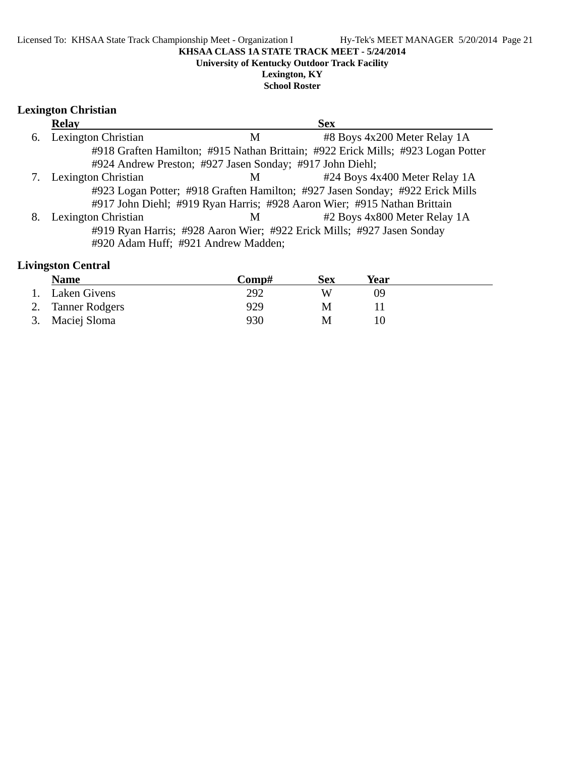#### **University of Kentucky Outdoor Track Facility**

**Lexington, KY School Roster**

### **Lexington Christian**

|    | <b>Relay</b>                                             |   | <b>Sex</b>                                                                       |
|----|----------------------------------------------------------|---|----------------------------------------------------------------------------------|
| 6. | <b>Lexington Christian</b>                               | M | #8 Boys 4x200 Meter Relay 1A                                                     |
|    |                                                          |   | #918 Graften Hamilton; #915 Nathan Brittain; #922 Erick Mills; #923 Logan Potter |
|    | #924 Andrew Preston; #927 Jasen Sonday; #917 John Diehl; |   |                                                                                  |
|    | Lexington Christian                                      | M | #24 Boys 4x400 Meter Relay 1A                                                    |
|    |                                                          |   | #923 Logan Potter; #918 Graften Hamilton; #927 Jasen Sonday; #922 Erick Mills    |
|    |                                                          |   | #917 John Diehl; #919 Ryan Harris; #928 Aaron Wier; #915 Nathan Brittain         |
| 8. | Lexington Christian                                      | M | #2 Boys 4x800 Meter Relay 1A                                                     |
|    |                                                          |   | #919 Ryan Harris; #928 Aaron Wier; #922 Erick Mills; #927 Jasen Sonday           |
|    | #920 Adam Huff; #921 Andrew Madden;                      |   |                                                                                  |

### **Livingston Central**

| <b>Name</b>       | Comp# | Sex | Year |  |
|-------------------|-------|-----|------|--|
| 1. Laken Givens   | 292   | W   | Ng   |  |
| 2. Tanner Rodgers | 929   | M   |      |  |
| 3. Maciej Sloma   | 930   | M   |      |  |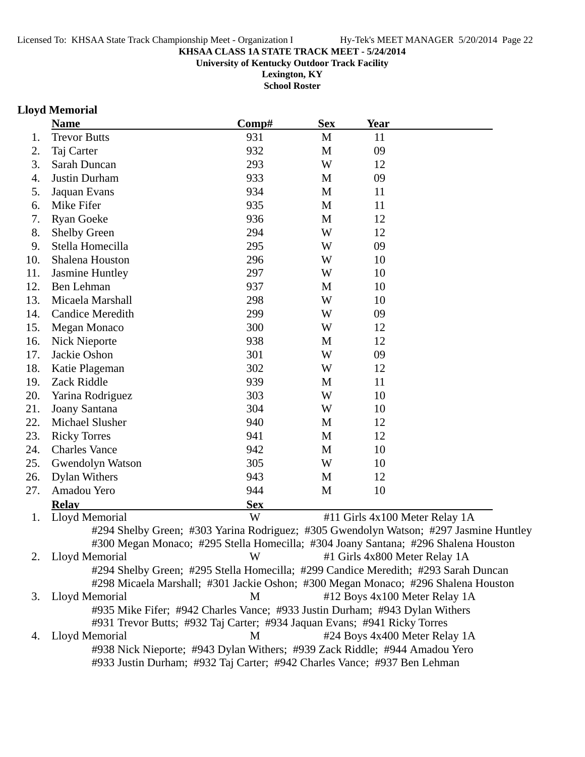**University of Kentucky Outdoor Track Facility**

**Lexington, KY School Roster**

### **Lloyd Memorial**

|     | <b>Name</b>                                                                 | Comp#      | <b>Sex</b> | Year |                                                                                       |
|-----|-----------------------------------------------------------------------------|------------|------------|------|---------------------------------------------------------------------------------------|
| 1.  | <b>Trevor Butts</b>                                                         | 931        | M          | 11   |                                                                                       |
| 2.  | Taj Carter                                                                  | 932        | M          | 09   |                                                                                       |
| 3.  | Sarah Duncan                                                                | 293        | W          | 12   |                                                                                       |
| 4.  | Justin Durham                                                               | 933        | M          | 09   |                                                                                       |
| 5.  | Jaquan Evans                                                                | 934        | M          | 11   |                                                                                       |
| 6.  | Mike Fifer                                                                  | 935        | M          | 11   |                                                                                       |
| 7.  | <b>Ryan Goeke</b>                                                           | 936        | M          | 12   |                                                                                       |
| 8.  | <b>Shelby Green</b>                                                         | 294        | W          | 12   |                                                                                       |
| 9.  | Stella Homecilla                                                            | 295        | W          | 09   |                                                                                       |
| 10. | Shalena Houston                                                             | 296        | W          | 10   |                                                                                       |
| 11. | <b>Jasmine Huntley</b>                                                      | 297        | W          | 10   |                                                                                       |
| 12. | Ben Lehman                                                                  | 937        | M          | 10   |                                                                                       |
| 13. | Micaela Marshall                                                            | 298        | W          | 10   |                                                                                       |
| 14. | <b>Candice Meredith</b>                                                     | 299        | W          | 09   |                                                                                       |
| 15. | Megan Monaco                                                                | 300        | W          | 12   |                                                                                       |
| 16. | <b>Nick Nieporte</b>                                                        | 938        | M          | 12   |                                                                                       |
| 17. | Jackie Oshon                                                                | 301        | W          | 09   |                                                                                       |
| 18. | Katie Plageman                                                              | 302        | W          | 12   |                                                                                       |
| 19. | Zack Riddle                                                                 | 939        | M          | 11   |                                                                                       |
| 20. | Yarina Rodriguez                                                            | 303        | W          | 10   |                                                                                       |
| 21. | Joany Santana                                                               | 304        | W          | 10   |                                                                                       |
| 22. | Michael Slusher                                                             | 940        | M          | 12   |                                                                                       |
| 23. | <b>Ricky Torres</b>                                                         | 941        | M          | 12   |                                                                                       |
| 24. | <b>Charles Vance</b>                                                        | 942        | M          | 10   |                                                                                       |
| 25. | Gwendolyn Watson                                                            | 305        | W          | 10   |                                                                                       |
| 26. | <b>Dylan Withers</b>                                                        | 943        | M          | 12   |                                                                                       |
| 27. | Amadou Yero                                                                 | 944        | M          | 10   |                                                                                       |
|     | <b>Relay</b>                                                                | <b>Sex</b> |            |      |                                                                                       |
| 1.  | Lloyd Memorial                                                              | W          |            |      | #11 Girls 4x100 Meter Relay 1A                                                        |
|     |                                                                             |            |            |      | #294 Shelby Green; #303 Yarina Rodriguez; #305 Gwendolyn Watson; #297 Jasmine Huntley |
|     |                                                                             |            |            |      | #300 Megan Monaco; #295 Stella Homecilla; #304 Joany Santana; #296 Shalena Houston    |
| 2.  | Lloyd Memorial                                                              | W          |            |      | #1 Girls 4x800 Meter Relay 1A                                                         |
|     |                                                                             |            |            |      | #294 Shelby Green; #295 Stella Homecilla; #299 Candice Meredith; #293 Sarah Duncan    |
|     |                                                                             |            |            |      | #298 Micaela Marshall; #301 Jackie Oshon; #300 Megan Monaco; #296 Shalena Houston     |
| 3.  | Lloyd Memorial                                                              | M          |            |      | #12 Boys 4x100 Meter Relay 1A                                                         |
|     | #935 Mike Fifer; #942 Charles Vance; #933 Justin Durham; #943 Dylan Withers |            |            |      |                                                                                       |
|     | #931 Trevor Butts; #932 Taj Carter; #934 Jaquan Evans; #941 Ricky Torres    |            |            |      |                                                                                       |
| 4.  | Lloyd Memorial                                                              | M          |            |      | #24 Boys 4x400 Meter Relay 1A                                                         |
|     | #938 Nick Nieporte; #943 Dylan Withers; #939 Zack Riddle; #944 Amadou Yero  |            |            |      |                                                                                       |
|     | #933 Justin Durham; #932 Taj Carter; #942 Charles Vance; #937 Ben Lehman    |            |            |      |                                                                                       |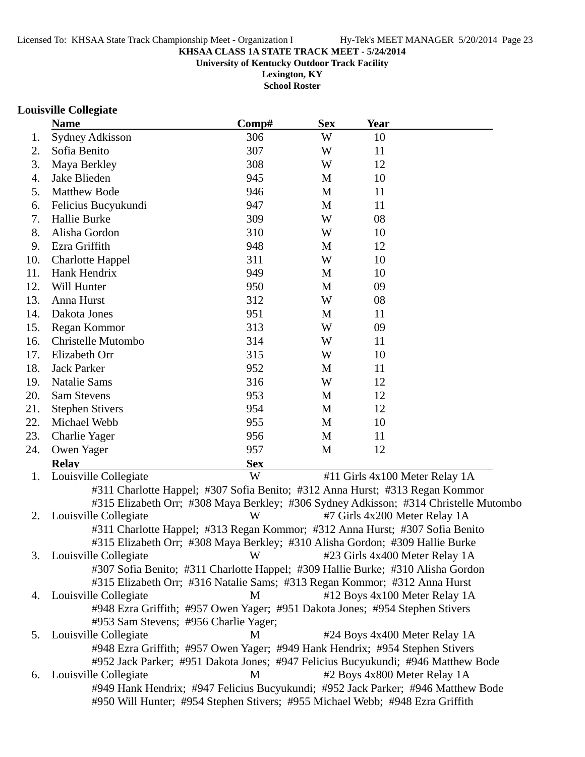**University of Kentucky Outdoor Track Facility**

**Lexington, KY School Roster**

### **Louisville Collegiate**

|     | <b>Name</b>                                                                          | Comp#      | <b>Sex</b> | <b>Year</b> |                                |
|-----|--------------------------------------------------------------------------------------|------------|------------|-------------|--------------------------------|
| 1.  | Sydney Adkisson                                                                      | 306        | W          | 10          |                                |
| 2.  | Sofia Benito                                                                         | 307        | W          | 11          |                                |
| 3.  | Maya Berkley                                                                         | 308        | W          | 12          |                                |
| 4.  | Jake Blieden                                                                         | 945        | M          | 10          |                                |
| 5.  | <b>Matthew Bode</b>                                                                  | 946        | M          | 11          |                                |
| 6.  | Felicius Bucyukundi                                                                  | 947        | M          | 11          |                                |
| 7.  | Hallie Burke                                                                         | 309        | W          | 08          |                                |
| 8.  | Alisha Gordon                                                                        | 310        | W          | 10          |                                |
| 9.  | Ezra Griffith                                                                        | 948        | M          | 12          |                                |
| 10. | <b>Charlotte Happel</b>                                                              | 311        | W          | 10          |                                |
| 11. | Hank Hendrix                                                                         | 949        | M          | 10          |                                |
| 12. | Will Hunter                                                                          | 950        | M          | 09          |                                |
| 13. | Anna Hurst                                                                           | 312        | W          | 08          |                                |
| 14. | Dakota Jones                                                                         | 951        | M          | 11          |                                |
| 15. | Regan Kommor                                                                         | 313        | W          | 09          |                                |
| 16. | Christelle Mutombo                                                                   | 314        | W          | 11          |                                |
| 17. | Elizabeth Orr                                                                        | 315        | W          | 10          |                                |
| 18. | <b>Jack Parker</b>                                                                   | 952        | M          | 11          |                                |
| 19. | <b>Natalie Sams</b>                                                                  | 316        | W          | 12          |                                |
| 20. | <b>Sam Stevens</b>                                                                   | 953        | M          | 12          |                                |
| 21. | <b>Stephen Stivers</b>                                                               | 954        | M          | 12          |                                |
| 22. | Michael Webb                                                                         | 955        | M          | 10          |                                |
| 23. | <b>Charlie Yager</b>                                                                 | 956        | M          | 11          |                                |
| 24. | Owen Yager                                                                           | 957        | M          | 12          |                                |
|     | <b>Relay</b>                                                                         | <b>Sex</b> |            |             |                                |
| 1.  | Louisville Collegiate                                                                | W          |            |             | #11 Girls 4x100 Meter Relay 1A |
|     | #311 Charlotte Happel; #307 Sofia Benito; #312 Anna Hurst; #313 Regan Kommor         |            |            |             |                                |
|     | #315 Elizabeth Orr; #308 Maya Berkley; #306 Sydney Adkisson; #314 Christelle Mutombo |            |            |             |                                |
| 2.  | Louisville Collegiate                                                                | W          |            |             | #7 Girls 4x200 Meter Relay 1A  |
|     | #311 Charlotte Happel; #313 Regan Kommor; #312 Anna Hurst; #307 Sofia Benito         |            |            |             |                                |
|     | #315 Elizabeth Orr; #308 Maya Berkley; #310 Alisha Gordon; #309 Hallie Burke         |            |            |             |                                |
|     | 3. Louisville Collegiate                                                             | W          |            |             | #23 Girls 4x400 Meter Relay 1A |
|     | #307 Sofia Benito; #311 Charlotte Happel; #309 Hallie Burke; #310 Alisha Gordon      |            |            |             |                                |
|     | #315 Elizabeth Orr; #316 Natalie Sams; #313 Regan Kommor; #312 Anna Hurst            |            |            |             |                                |
|     | 4. Louisville Collegiate                                                             | M          |            |             | #12 Boys 4x100 Meter Relay 1A  |
|     | #948 Ezra Griffith; #957 Owen Yager; #951 Dakota Jones; #954 Stephen Stivers         |            |            |             |                                |
|     | #953 Sam Stevens; #956 Charlie Yager;                                                |            |            |             |                                |
| 5.  | Louisville Collegiate                                                                | М          |            |             | #24 Boys 4x400 Meter Relay 1A  |
|     | #948 Ezra Griffith; #957 Owen Yager; #949 Hank Hendrix; #954 Stephen Stivers         |            |            |             |                                |
|     | #952 Jack Parker; #951 Dakota Jones; #947 Felicius Bucyukundi; #946 Matthew Bode     |            |            |             |                                |
| 6.  | Louisville Collegiate                                                                | M          |            |             | #2 Boys 4x800 Meter Relay 1A   |
|     | #949 Hank Hendrix; #947 Felicius Bucyukundi; #952 Jack Parker; #946 Matthew Bode     |            |            |             |                                |
|     | #950 Will Hunter; #954 Stephen Stivers; #955 Michael Webb; #948 Ezra Griffith        |            |            |             |                                |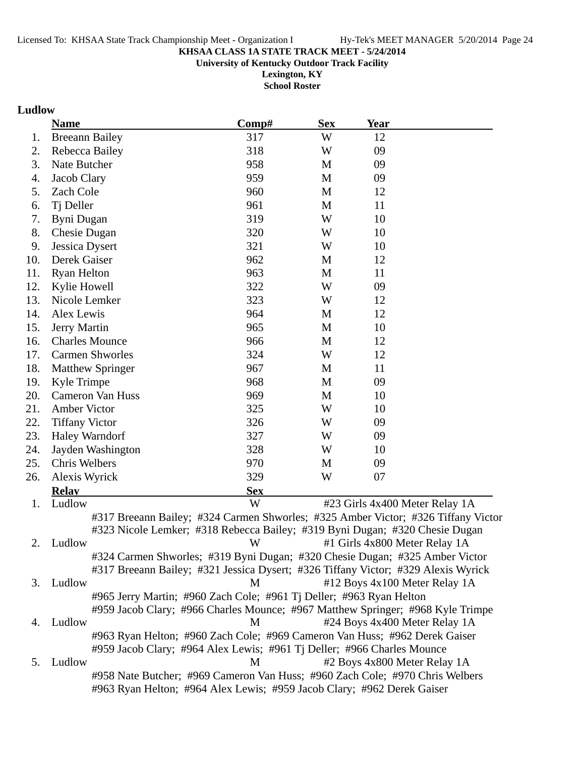**University of Kentucky Outdoor Track Facility**

**Lexington, KY School Roster**

### **Ludlow**

|     | <b>Name</b>                                                                       | Comp#      | <b>Sex</b> | <b>Year</b> |                                |
|-----|-----------------------------------------------------------------------------------|------------|------------|-------------|--------------------------------|
| 1.  | <b>Breeann Bailey</b>                                                             | 317        | W          | 12          |                                |
| 2.  | Rebecca Bailey                                                                    | 318        | W          | 09          |                                |
| 3.  | Nate Butcher                                                                      | 958        | M          | 09          |                                |
| 4.  | Jacob Clary                                                                       | 959        | M          | 09          |                                |
| 5.  | Zach Cole                                                                         | 960        | M          | 12          |                                |
| 6.  | Tj Deller                                                                         | 961        | M          | 11          |                                |
| 7.  | Byni Dugan                                                                        | 319        | W          | 10          |                                |
| 8.  | Chesie Dugan                                                                      | 320        | W          | 10          |                                |
| 9.  | Jessica Dysert                                                                    | 321        | W          | 10          |                                |
| 10. | Derek Gaiser                                                                      | 962        | M          | 12          |                                |
| 11. | <b>Ryan Helton</b>                                                                | 963        | M          | 11          |                                |
| 12. | Kylie Howell                                                                      | 322        | W          | 09          |                                |
| 13. | Nicole Lemker                                                                     | 323        | W          | 12          |                                |
| 14. | Alex Lewis                                                                        | 964        | M          | 12          |                                |
| 15. | Jerry Martin                                                                      | 965        | M          | 10          |                                |
| 16. | <b>Charles Mounce</b>                                                             | 966        | M          | 12          |                                |
| 17. | <b>Carmen Shworles</b>                                                            | 324        | W          | 12          |                                |
| 18. | <b>Matthew Springer</b>                                                           | 967        | M          | 11          |                                |
| 19. | Kyle Trimpe                                                                       | 968        | M          | 09          |                                |
| 20. | <b>Cameron Van Huss</b>                                                           | 969        | M          | 10          |                                |
| 21. | Amber Victor                                                                      | 325        | W          | 10          |                                |
| 22. | <b>Tiffany Victor</b>                                                             | 326        | W          | 09          |                                |
| 23. | Haley Warndorf                                                                    | 327        | W          | 09          |                                |
| 24. | Jayden Washington                                                                 | 328        | W          | 10          |                                |
| 25. | Chris Welbers                                                                     | 970        | M          | 09          |                                |
| 26. | Alexis Wyrick                                                                     | 329        | W          | 07          |                                |
|     | <b>Relay</b>                                                                      | <b>Sex</b> |            |             |                                |
| 1.  | Ludlow                                                                            | W          |            |             | #23 Girls 4x400 Meter Relay 1A |
|     | #317 Breeann Bailey; #324 Carmen Shworles; #325 Amber Victor; #326 Tiffany Victor |            |            |             |                                |
|     | #323 Nicole Lemker; #318 Rebecca Bailey; #319 Byni Dugan; #320 Chesie Dugan       |            |            |             |                                |
| 2.  | Ludlow                                                                            | W          |            |             | #1 Girls 4x800 Meter Relay 1A  |
|     | #324 Carmen Shworles; #319 Byni Dugan; #320 Chesie Dugan; #325 Amber Victor       |            |            |             |                                |
|     | #317 Breeann Bailey; #321 Jessica Dysert; #326 Tiffany Victor; #329 Alexis Wyrick |            |            |             |                                |
| 3.  | Ludlow                                                                            | M          |            |             | #12 Boys 4x100 Meter Relay 1A  |
|     | #965 Jerry Martin; #960 Zach Cole; #961 Tj Deller; #963 Ryan Helton               |            |            |             |                                |
|     | #959 Jacob Clary; #966 Charles Mounce; #967 Matthew Springer; #968 Kyle Trimpe    |            |            |             |                                |
| 4.  | Ludlow                                                                            | М          |            |             | #24 Boys 4x400 Meter Relay 1A  |
|     | #963 Ryan Helton; #960 Zach Cole; #969 Cameron Van Huss; #962 Derek Gaiser        |            |            |             |                                |
|     | #959 Jacob Clary; #964 Alex Lewis; #961 Tj Deller; #966 Charles Mounce            |            |            |             |                                |
| 5.  | Ludlow                                                                            | M          |            |             | #2 Boys 4x800 Meter Relay 1A   |
|     | #958 Nate Butcher; #969 Cameron Van Huss; #960 Zach Cole; #970 Chris Welbers      |            |            |             |                                |
|     | #963 Ryan Helton; #964 Alex Lewis; #959 Jacob Clary; #962 Derek Gaiser            |            |            |             |                                |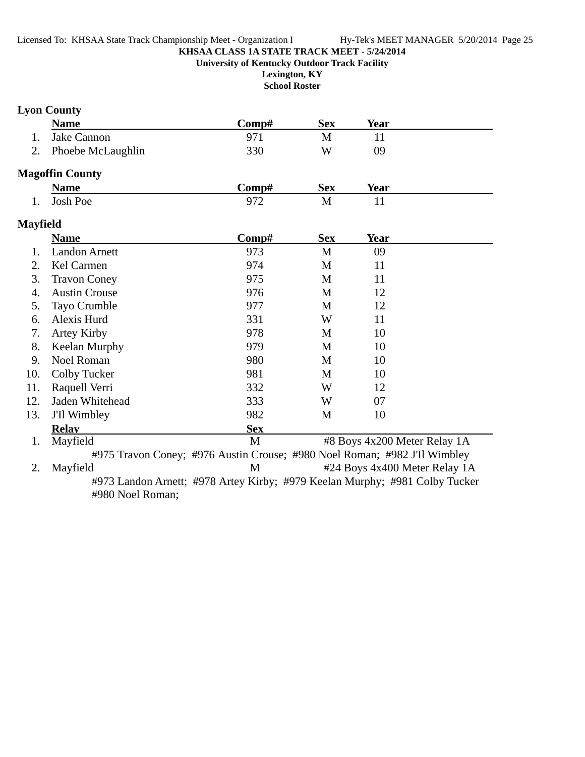**Lexington, KY**

## **School Roster**

## **Lyon County**

|                 | <b>Name</b>            | Comp#                                                                      | <b>Sex</b> | <b>Year</b>                   |  |
|-----------------|------------------------|----------------------------------------------------------------------------|------------|-------------------------------|--|
| 1.              | Jake Cannon            | 971                                                                        | M          | 11                            |  |
| 2.              | Phoebe McLaughlin      | 330                                                                        | W          | 09                            |  |
|                 | <b>Magoffin County</b> |                                                                            |            |                               |  |
|                 | <b>Name</b>            | Comp#                                                                      | <b>Sex</b> | <b>Year</b>                   |  |
| 1.              | <b>Josh Poe</b>        | 972                                                                        | M          | 11                            |  |
| <b>Mayfield</b> |                        |                                                                            |            |                               |  |
|                 | <b>Name</b>            | Comp#                                                                      | <b>Sex</b> | <b>Year</b>                   |  |
| 1.              | <b>Landon Arnett</b>   | 973                                                                        | M          | 09                            |  |
| 2.              | Kel Carmen             | 974                                                                        | M          | 11                            |  |
| 3.              | <b>Travon Coney</b>    | 975                                                                        | M          | 11                            |  |
| 4.              | <b>Austin Crouse</b>   | 976                                                                        | M          | 12                            |  |
| 5.              | Tayo Crumble           | 977                                                                        | M          | 12                            |  |
| 6.              | Alexis Hurd            | 331                                                                        | W          | 11                            |  |
| 7.              | <b>Artey Kirby</b>     | 978                                                                        | M          | 10                            |  |
| 8.              | Keelan Murphy          | 979                                                                        | M          | 10                            |  |
| 9.              | Noel Roman             | 980                                                                        | M          | 10                            |  |
| 10.             | <b>Colby Tucker</b>    | 981                                                                        | M          | 10                            |  |
| 11.             | Raquell Verri          | 332                                                                        | W          | 12                            |  |
| 12.             | Jaden Whitehead        | 333                                                                        | W          | 07                            |  |
| 13.             | J'Il Wimbley           | 982                                                                        | M          | 10                            |  |
|                 | <b>Relav</b>           | <b>Sex</b>                                                                 |            |                               |  |
| 1.              | Mayfield               | M                                                                          |            | #8 Boys 4x200 Meter Relay 1A  |  |
|                 |                        | #975 Travon Coney; #976 Austin Crouse; #980 Noel Roman; #982 J'Il Wimbley  |            |                               |  |
| 2.              | Mayfield               | M                                                                          |            | #24 Boys 4x400 Meter Relay 1A |  |
|                 |                        | #072 Lenden Ametty #079 Autor Kirky: #070 Keelen Mumby: #091 Celby Tuelsen |            |                               |  |

#973 Landon Arnett; #978 Artey Kirby; #979 Keelan Murphy; #981 Colby Tucker #980 Noel Roman;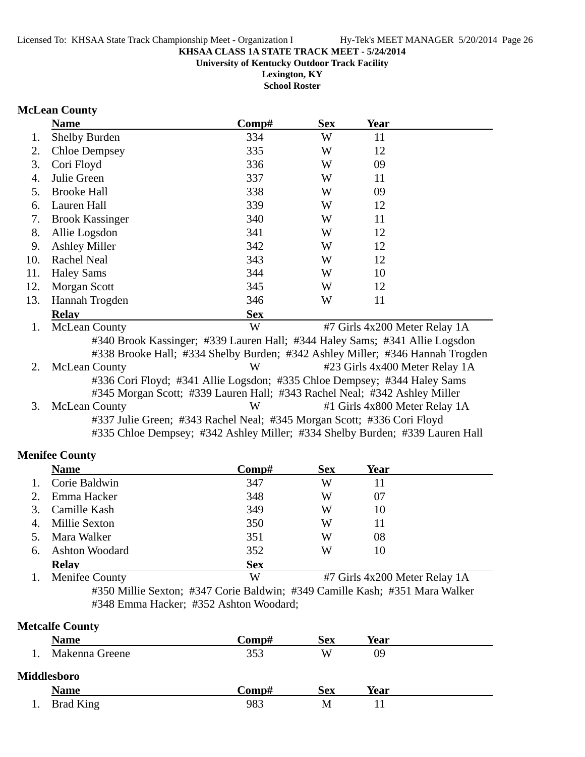**University of Kentucky Outdoor Track Facility**

**Lexington, KY School Roster**

### **McLean County**

|     | <b>Name</b>                                            | Comp#      | <b>Sex</b> | <b>Year</b>                   |  |  |
|-----|--------------------------------------------------------|------------|------------|-------------------------------|--|--|
|     | <b>Shelby Burden</b>                                   | 334        | W          | 11                            |  |  |
| 2.  | <b>Chloe Dempsey</b>                                   | 335        | W          | 12                            |  |  |
| 3.  | Cori Floyd                                             | 336        | W          | 09                            |  |  |
| 4.  | Julie Green                                            | 337        | W          | 11                            |  |  |
| 5.  | <b>Brooke Hall</b>                                     | 338        | W          | 09                            |  |  |
| 6.  | Lauren Hall                                            | 339        | W          | 12                            |  |  |
| 7.  | <b>Brook Kassinger</b>                                 | 340        | W          | 11                            |  |  |
| 8.  | Allie Logsdon                                          | 341        | W          | 12                            |  |  |
| 9.  | <b>Ashley Miller</b>                                   | 342        | W          | 12                            |  |  |
| 10. | Rachel Neal                                            | 343        | W          | 12                            |  |  |
| 11. | <b>Haley Sams</b>                                      | 344        | W          | 10                            |  |  |
| 12. | <b>Morgan Scott</b>                                    | 345        | W          | 12                            |  |  |
| 13. | Hannah Trogden                                         | 346        | W          | 11                            |  |  |
|     | <b>Relav</b>                                           | <b>Sex</b> |            |                               |  |  |
|     | <b>McLean County</b>                                   | W          |            | #7 Girls 4x200 Meter Relay 1A |  |  |
|     | 42.40 D  L IZ 4220 J II. 11. 4244 II. 0 4244 A 11. . I |            |            |                               |  |  |

#340 Brook Kassinger; #339 Lauren Hall; #344 Haley Sams; #341 Allie Logsdon #338 Brooke Hall; #334 Shelby Burden; #342 Ashley Miller; #346 Hannah Trogden 2. McLean County W #23 Girls 4x400 Meter Relay 1A #336 Cori Floyd; #341 Allie Logsdon; #335 Chloe Dempsey; #344 Haley Sams #345 Morgan Scott; #339 Lauren Hall; #343 Rachel Neal; #342 Ashley Miller 3. McLean County W #1 Girls 4x800 Meter Relay 1A #337 Julie Green; #343 Rachel Neal; #345 Morgan Scott; #336 Cori Floyd #335 Chloe Dempsey; #342 Ashley Miller; #334 Shelby Burden; #339 Lauren Hall

#### **Menifee County**

|         | <b>Name</b>           | Comp#      | <b>Sex</b> | Year |  |
|---------|-----------------------|------------|------------|------|--|
| $1_{-}$ | Corie Baldwin         | 347        | W          | 11   |  |
| 2.      | Emma Hacker           | 348        | W          | 07   |  |
| 3.      | Camille Kash          | 349        | W          | 10   |  |
| 4.      | <b>Millie Sexton</b>  | 350        | W          | 11   |  |
| 5.      | Mara Walker           | 351        | W          | 08   |  |
| 6.      | <b>Ashton Woodard</b> | 352        | W          | 10   |  |
|         | <b>Relay</b>          | <b>Sex</b> |            |      |  |

1. Menifee County W #7 Girls 4x200 Meter Relay 1A #350 Millie Sexton; #347 Corie Baldwin; #349 Camille Kash; #351 Mara Walker #348 Emma Hacker; #352 Ashton Woodard;

#### **Metcalfe County**

| <b>Name</b>    | Comp# | <b>Sex</b> | Year |  |
|----------------|-------|------------|------|--|
| Makenna Greene | 353   | W          | 09   |  |
| Middlesboro    |       |            |      |  |
| <b>Name</b>    | Comp# | <b>Sex</b> | Year |  |
| Brad King      | 983   | M          |      |  |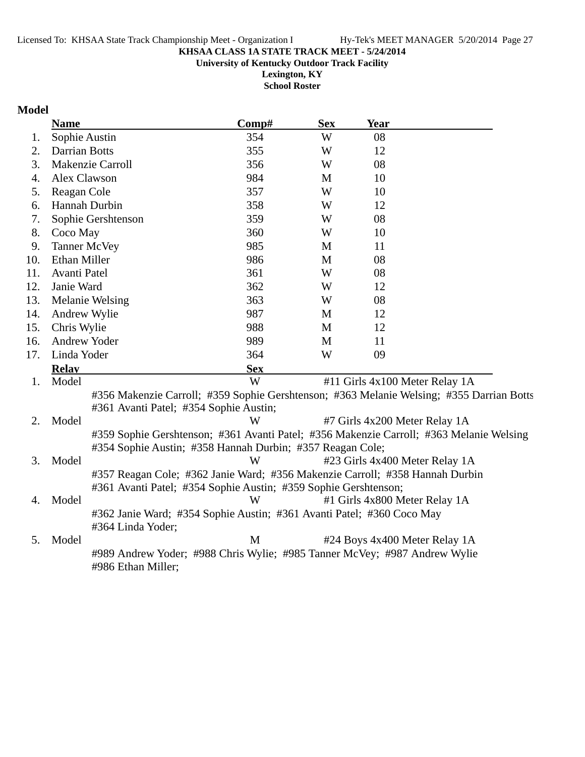**University of Kentucky Outdoor Track Facility**

**Lexington, KY School Roster**

### **Model**

|     | <b>Name</b>                            | Comp#                                                                        | <b>Sex</b> | Year                           |                                                                                          |
|-----|----------------------------------------|------------------------------------------------------------------------------|------------|--------------------------------|------------------------------------------------------------------------------------------|
| 1.  | Sophie Austin                          | 354                                                                          | W          | 08                             |                                                                                          |
| 2.  | <b>Darrian Botts</b>                   | 355                                                                          | W          | 12                             |                                                                                          |
| 3.  | Makenzie Carroll                       | 356                                                                          | W          | 08                             |                                                                                          |
| 4.  | Alex Clawson                           | 984                                                                          | M          | 10                             |                                                                                          |
| 5.  | Reagan Cole                            | 357                                                                          | W          | 10                             |                                                                                          |
| 6.  | Hannah Durbin                          | 358                                                                          | W          | 12                             |                                                                                          |
| 7.  | Sophie Gershtenson                     | 359                                                                          | W          | 08                             |                                                                                          |
| 8.  | Coco May                               | 360                                                                          | W          | 10                             |                                                                                          |
| 9.  | <b>Tanner McVey</b>                    | 985                                                                          | M          | 11                             |                                                                                          |
| 10. | <b>Ethan Miller</b>                    | 986                                                                          | M          | 08                             |                                                                                          |
| 11. | Avanti Patel                           | 361                                                                          | W          | 08                             |                                                                                          |
| 12. | Janie Ward                             | 362                                                                          | W          | 12                             |                                                                                          |
| 13. | Melanie Welsing                        | 363                                                                          | W          | 08                             |                                                                                          |
| 14. | Andrew Wylie                           | 987                                                                          | M          | 12                             |                                                                                          |
| 15. | Chris Wylie                            | 988                                                                          | M          | 12                             |                                                                                          |
| 16. | Andrew Yoder                           | 989                                                                          | M          | 11                             |                                                                                          |
| 17. | Linda Yoder                            | 364                                                                          | W          | 09                             |                                                                                          |
|     | <b>Relay</b>                           | <b>Sex</b>                                                                   |            |                                |                                                                                          |
| 1.  | Model                                  | W                                                                            |            | #11 Girls 4x100 Meter Relay 1A |                                                                                          |
|     |                                        |                                                                              |            |                                | #356 Makenzie Carroll; #359 Sophie Gershtenson; #363 Melanie Welsing; #355 Darrian Botts |
|     | #361 Avanti Patel; #354 Sophie Austin; |                                                                              |            |                                |                                                                                          |
| 2.  | Model                                  | W                                                                            |            | #7 Girls 4x200 Meter Relay 1A  |                                                                                          |
|     |                                        |                                                                              |            |                                | #359 Sophie Gershtenson; #361 Avanti Patel; #356 Makenzie Carroll; #363 Melanie Welsing  |
|     |                                        | #354 Sophie Austin; #358 Hannah Durbin; #357 Reagan Cole;                    |            |                                |                                                                                          |
| 3.  | Model                                  | W                                                                            |            | #23 Girls 4x400 Meter Relay 1A |                                                                                          |
|     |                                        | #357 Reagan Cole; #362 Janie Ward; #356 Makenzie Carroll; #358 Hannah Durbin |            |                                |                                                                                          |
|     |                                        | #361 Avanti Patel; #354 Sophie Austin; #359 Sophie Gershtenson;              |            |                                |                                                                                          |
| 4.  | Model                                  | W                                                                            |            | #1 Girls 4x800 Meter Relay 1A  |                                                                                          |
|     |                                        | #362 Janie Ward; #354 Sophie Austin; #361 Avanti Patel; #360 Coco May        |            |                                |                                                                                          |
|     | #364 Linda Yoder;                      |                                                                              |            |                                |                                                                                          |
| 5.  | Model                                  | M                                                                            |            | #24 Boys 4x400 Meter Relay 1A  |                                                                                          |
|     | #986 Ethan Miller;                     | #989 Andrew Yoder; #988 Chris Wylie; #985 Tanner McVey; #987 Andrew Wylie    |            |                                |                                                                                          |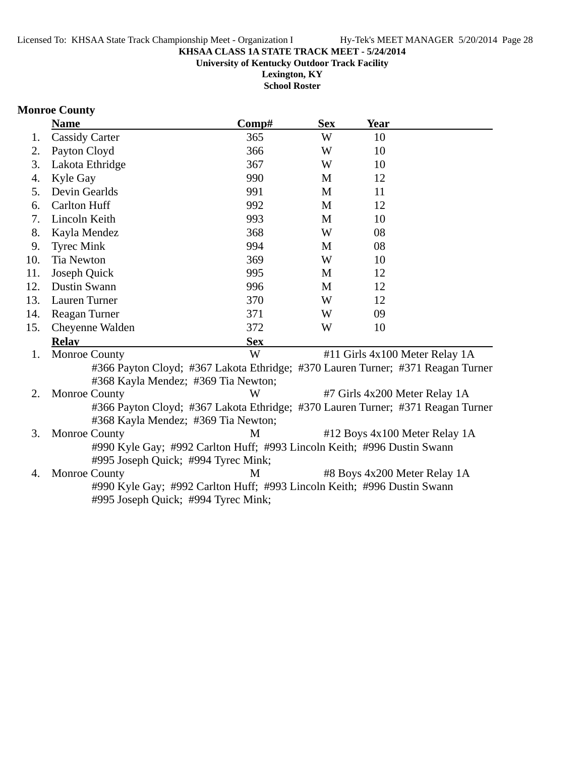**University of Kentucky Outdoor Track Facility**

**Lexington, KY School Roster**

### **Monroe County**

|     | <b>Name</b>                                                                     | $\bf Comp\#$ | <b>Sex</b> | Year |                                |
|-----|---------------------------------------------------------------------------------|--------------|------------|------|--------------------------------|
| 1.  | <b>Cassidy Carter</b>                                                           | 365          | W          | 10   |                                |
| 2.  | Payton Cloyd                                                                    | 366          | W          | 10   |                                |
| 3.  | Lakota Ethridge                                                                 | 367          | W          | 10   |                                |
| 4.  | Kyle Gay                                                                        | 990          | M          | 12   |                                |
| 5.  | Devin Gearlds                                                                   | 991          | M          | 11   |                                |
| 6.  | <b>Carlton Huff</b>                                                             | 992          | M          | 12   |                                |
| 7.  | Lincoln Keith                                                                   | 993          | M          | 10   |                                |
| 8.  | Kayla Mendez                                                                    | 368          | W          | 08   |                                |
| 9.  | <b>Tyrec Mink</b>                                                               | 994          | M          | 08   |                                |
| 10. | <b>Tia Newton</b>                                                               | 369          | W          | 10   |                                |
| 11. | Joseph Quick                                                                    | 995          | M          | 12   |                                |
| 12. | <b>Dustin Swann</b>                                                             | 996          | M          | 12   |                                |
| 13. | Lauren Turner                                                                   | 370          | W          | 12   |                                |
| 14. | Reagan Turner                                                                   | 371          | W          | 09   |                                |
| 15. | Cheyenne Walden                                                                 | 372          | W          | 10   |                                |
|     | <b>Relay</b>                                                                    | <b>Sex</b>   |            |      |                                |
| 1.  | <b>Monroe County</b>                                                            | W            |            |      | #11 Girls 4x100 Meter Relay 1A |
|     | #366 Payton Cloyd; #367 Lakota Ethridge; #370 Lauren Turner; #371 Reagan Turner |              |            |      |                                |
|     | #368 Kayla Mendez; #369 Tia Newton;                                             |              |            |      |                                |
| 2.  | <b>Monroe County</b>                                                            | W            |            |      | #7 Girls 4x200 Meter Relay 1A  |
|     | #366 Payton Cloyd; #367 Lakota Ethridge; #370 Lauren Turner; #371 Reagan Turner |              |            |      |                                |
|     | #368 Kayla Mendez; #369 Tia Newton;                                             |              |            |      |                                |
| 3.  | <b>Monroe County</b>                                                            | M            |            |      | #12 Boys 4x100 Meter Relay 1A  |
|     | #990 Kyle Gay; #992 Carlton Huff; #993 Lincoln Keith; #996 Dustin Swann         |              |            |      |                                |
|     | #995 Joseph Quick; #994 Tyrec Mink;                                             |              |            |      |                                |
| 4.  | <b>Monroe County</b>                                                            | M            |            |      | #8 Boys 4x200 Meter Relay 1A   |
|     | #990 Kyle Gay; #992 Carlton Huff; #993 Lincoln Keith; #996 Dustin Swann         |              |            |      |                                |
|     | #995 Joseph Quick; #994 Tyrec Mink;                                             |              |            |      |                                |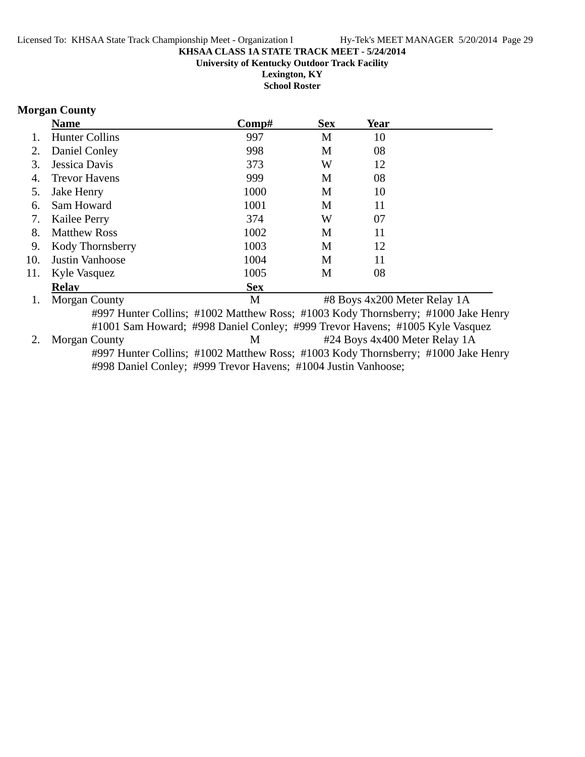**Lexington, KY School Roster**

### **Morgan County**

|     | <b>Name</b>           | Comp#                                                                             | <b>Sex</b> | <b>Year</b>                  |                               |
|-----|-----------------------|-----------------------------------------------------------------------------------|------------|------------------------------|-------------------------------|
|     | <b>Hunter Collins</b> | 997                                                                               | M          | 10                           |                               |
| 2.  | Daniel Conley         | 998                                                                               | M          | 08                           |                               |
| 3.  | Jessica Davis         | 373                                                                               | W          | 12                           |                               |
| 4.  | <b>Trevor Havens</b>  | 999                                                                               | M          | 08                           |                               |
| 5.  | Jake Henry            | 1000                                                                              | M          | 10                           |                               |
| 6.  | Sam Howard            | 1001                                                                              | M          | 11                           |                               |
| 7.  | Kailee Perry          | 374                                                                               | W          | 07                           |                               |
| 8.  | <b>Matthew Ross</b>   | 1002                                                                              | M          | 11                           |                               |
| 9.  | Kody Thornsberry      | 1003                                                                              | M          | 12                           |                               |
| 10. | Justin Vanhoose       | 1004                                                                              | M          | 11                           |                               |
| 11. | Kyle Vasquez          | 1005                                                                              | M          | 08                           |                               |
|     | <b>Relay</b>          | <b>Sex</b>                                                                        |            |                              |                               |
| 1.  | <b>Morgan County</b>  | M                                                                                 |            | #8 Boys 4x200 Meter Relay 1A |                               |
|     |                       | #997 Hunter Collins; #1002 Matthew Ross; #1003 Kody Thornsberry; #1000 Jake Henry |            |                              |                               |
|     |                       | #1001 Sam Howard; #998 Daniel Conley; #999 Trevor Havens; #1005 Kyle Vasquez      |            |                              |                               |
| 2.  | <b>Morgan County</b>  | M                                                                                 |            |                              | #24 Boys 4x400 Meter Relay 1A |
|     |                       | #997 Hunter Collins; #1002 Matthew Ross; #1003 Kody Thornsberry; #1000 Jake Henry |            |                              |                               |
|     |                       | #998 Daniel Conley; #999 Trevor Havens; #1004 Justin Vanhoose;                    |            |                              |                               |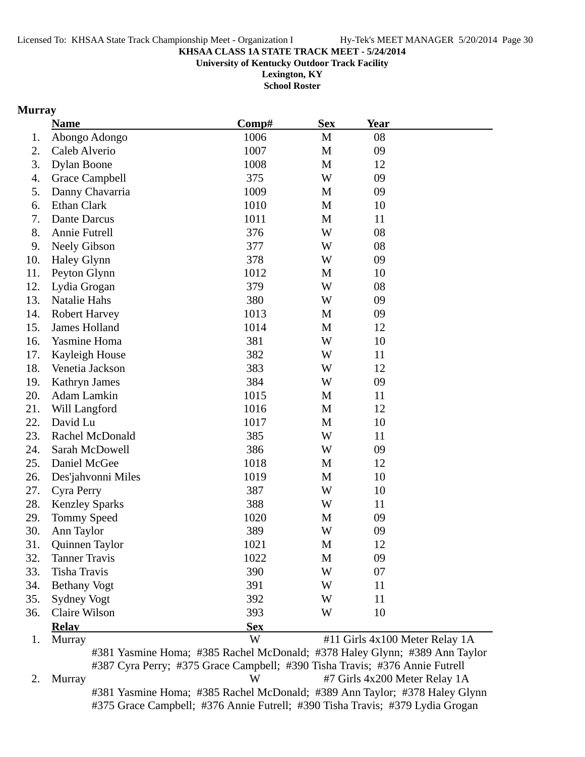**University of Kentucky Outdoor Track Facility**

**Lexington, KY School Roster**

### **Murray**

|     | <b>Name</b>           | Comp#                                                                      | <b>Sex</b>   | <b>Year</b> |                                |
|-----|-----------------------|----------------------------------------------------------------------------|--------------|-------------|--------------------------------|
| 1.  | Abongo Adongo         | 1006                                                                       | M            | 08          |                                |
| 2.  | Caleb Alverio         | 1007                                                                       | $\mathbf M$  | 09          |                                |
| 3.  | <b>Dylan Boone</b>    | 1008                                                                       | M            | 12          |                                |
| 4.  | Grace Campbell        | 375                                                                        | W            | 09          |                                |
| 5.  | Danny Chavarria       | 1009                                                                       | M            | 09          |                                |
| 6.  | <b>Ethan Clark</b>    | 1010                                                                       | M            | 10          |                                |
| 7.  | Dante Darcus          | 1011                                                                       | M            | 11          |                                |
| 8.  | Annie Futrell         | 376                                                                        | W            | 08          |                                |
| 9.  | <b>Neely Gibson</b>   | 377                                                                        | W            | 08          |                                |
| 10. | <b>Haley Glynn</b>    | 378                                                                        | W            | 09          |                                |
| 11. | Peyton Glynn          | 1012                                                                       | M            | 10          |                                |
| 12. | Lydia Grogan          | 379                                                                        | W            | 08          |                                |
| 13. | Natalie Hahs          | 380                                                                        | W            | 09          |                                |
| 14. | <b>Robert Harvey</b>  | 1013                                                                       | M            | 09          |                                |
| 15. | James Holland         | 1014                                                                       | M            | 12          |                                |
| 16. | Yasmine Homa          | 381                                                                        | W            | 10          |                                |
| 17. | Kayleigh House        | 382                                                                        | W            | 11          |                                |
| 18. | Venetia Jackson       | 383                                                                        | W            | 12          |                                |
| 19. | Kathryn James         | 384                                                                        | W            | 09          |                                |
| 20. | Adam Lamkin           | 1015                                                                       | M            | 11          |                                |
| 21. | Will Langford         | 1016                                                                       | $\mathbf{M}$ | 12          |                                |
| 22. | David Lu              | 1017                                                                       | M            | 10          |                                |
| 23. | Rachel McDonald       | 385                                                                        | W            | 11          |                                |
| 24. | Sarah McDowell        | 386                                                                        | W            | 09          |                                |
| 25. | Daniel McGee          | 1018                                                                       | M            | 12          |                                |
| 26. | Des'jahvonni Miles    | 1019                                                                       | M            | 10          |                                |
| 27. | Cyra Perry            | 387                                                                        | W            | 10          |                                |
| 28. | <b>Kenzley Sparks</b> | 388                                                                        | W            | 11          |                                |
| 29. | Tommy Speed           | 1020                                                                       | M            | 09          |                                |
| 30. | Ann Taylor            | 389                                                                        | W            | 09          |                                |
| 31. | Quinnen Taylor        | 1021                                                                       | M            | 12          |                                |
| 32. | <b>Tanner Travis</b>  | 1022                                                                       | M            | 09          |                                |
| 33. | <b>Tisha Travis</b>   | 390                                                                        | W            | 07          |                                |
| 34. | <b>Bethany Vogt</b>   | 391                                                                        | W            | 11          |                                |
| 35. | Sydney Vogt           | 392                                                                        | W            | 11          |                                |
| 36. | Claire Wilson         | 393                                                                        | W            | 10          |                                |
|     | <b>Relay</b>          | <b>Sex</b>                                                                 |              |             |                                |
| 1.  | Murray                | W                                                                          |              |             | #11 Girls 4x100 Meter Relay 1A |
|     |                       | #381 Yasmine Homa; #385 Rachel McDonald; #378 Haley Glynn; #389 Ann Taylor |              |             |                                |

#387 Cyra Perry; #375 Grace Campbell; #390 Tisha Travis; #376 Annie Futrell 2. Murray W #7 Girls 4x200 Meter Relay 1A #381 Yasmine Homa; #385 Rachel McDonald; #389 Ann Taylor; #378 Haley Glynn #375 Grace Campbell; #376 Annie Futrell; #390 Tisha Travis; #379 Lydia Grogan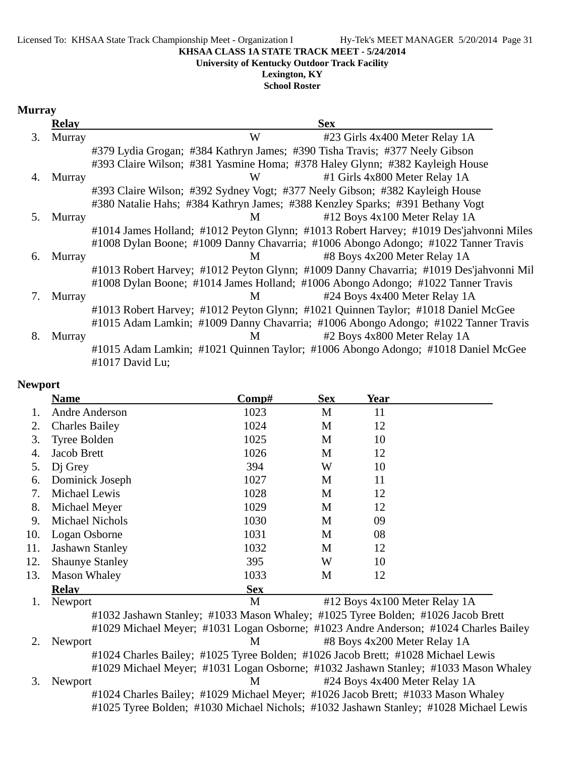#### Licensed To: KHSAA State Track Championship Meet - Organization I Hy-Tek's MEET MANAGER 5/20/2014 Page 31

#### **KHSAA CLASS 1A STATE TRACK MEET - 5/24/2014**

**University of Kentucky Outdoor Track Facility**

### **Lexington, KY**

**School Roster**

#### **Murray**

|    | <b>Relay</b> | <b>Sex</b>                                                                                          |
|----|--------------|-----------------------------------------------------------------------------------------------------|
| 3. | Murray       | W<br>#23 Girls 4x400 Meter Relay 1A                                                                 |
|    |              | #379 Lydia Grogan; #384 Kathryn James; #390 Tisha Travis; #377 Neely Gibson                         |
|    |              | #393 Claire Wilson; #381 Yasmine Homa; #378 Haley Glynn; #382 Kayleigh House                        |
| 4. | Murray       | #1 Girls 4x800 Meter Relay 1A<br>W                                                                  |
|    |              | #393 Claire Wilson; #392 Sydney Vogt; #377 Neely Gibson; #382 Kayleigh House                        |
|    |              | #380 Natalie Hahs; #384 Kathryn James; #388 Kenzley Sparks; #391 Bethany Vogt                       |
| 5. | Murray       | #12 Boys 4x100 Meter Relay 1A<br>M                                                                  |
|    |              | #1014 James Holland; #1012 Peyton Glynn; #1013 Robert Harvey; #1019 Des'jahvonni Miles              |
|    |              | #1008 Dylan Boone; #1009 Danny Chavarria; #1006 Abongo Adongo; #1022 Tanner Travis                  |
| 6. | Murray       | #8 Boys 4x200 Meter Relay 1A<br>M                                                                   |
|    |              | #1013 Robert Harvey; #1012 Peyton Glynn; #1009 Danny Chavarria; #1019 Des'jahvonni Mil              |
|    |              | #1008 Dylan Boone; #1014 James Holland; #1006 Abongo Adongo; #1022 Tanner Travis                    |
| 7. | Murray       | #24 Boys 4x400 Meter Relay 1A<br>M                                                                  |
|    |              | #1013 Robert Harvey; #1012 Peyton Glynn; #1021 Quinnen Taylor; #1018 Daniel McGee                   |
|    |              | #1015 Adam Lamkin; #1009 Danny Chavarria; #1006 Abongo Adongo; #1022 Tanner Travis                  |
| 8. | Murray       | #2 Boys 4x800 Meter Relay 1A<br>M                                                                   |
|    |              | #1015 Adam Lamkin; #1021 Quinnen Taylor; #1006 Abongo Adongo; #1018 Daniel McGee<br>#1017 David Lu; |

### **Newport**

|     | <b>Name</b>            | <u>Comp#</u>                                                                             | <b>Sex</b> | Year                          |  |
|-----|------------------------|------------------------------------------------------------------------------------------|------------|-------------------------------|--|
| 1.  | Andre Anderson         | 1023                                                                                     | M          | 11                            |  |
| 2.  | <b>Charles Bailey</b>  | 1024                                                                                     | M          | 12                            |  |
| 3.  | Tyree Bolden           | 1025                                                                                     | M          | 10                            |  |
| 4.  | Jacob Brett            | 1026                                                                                     | M          | 12                            |  |
| 5.  | D <sub>i</sub> Grey    | 394                                                                                      | W          | 10                            |  |
| 6.  | Dominick Joseph        | 1027                                                                                     | M          | 11                            |  |
| 7.  | Michael Lewis          | 1028                                                                                     | M          | 12                            |  |
| 8.  | Michael Meyer          | 1029                                                                                     | M          | 12                            |  |
| 9.  | Michael Nichols        | 1030                                                                                     | M          | 09                            |  |
| 10. | Logan Osborne          | 1031                                                                                     | M          | 08                            |  |
| 11. | <b>Jashawn Stanley</b> | 1032                                                                                     | M          | 12                            |  |
| 12. | <b>Shaunye Stanley</b> | 395                                                                                      | W          | 10                            |  |
| 13. | <b>Mason Whaley</b>    | 1033                                                                                     | M          | 12                            |  |
|     | <b>Relav</b>           | <b>Sex</b>                                                                               |            |                               |  |
|     | Newport                | M                                                                                        |            | #12 Boys 4x100 Meter Relay 1A |  |
|     |                        | #1032 Jashawn Stanley; #1033 Mason Whaley; #1025 Tyree Bolden; #1026 Jacob Brett         |            |                               |  |
|     |                        | #1029 Michael Meyer; #1031 Logan Osborne; #1023 Andre Anderson; #1024 Charles Bailey     |            |                               |  |
|     | Newport                | M                                                                                        |            | #8 Boys 4x200 Meter Relay 1A  |  |
|     |                        | $#1024$ Charles Deiley, $#1025$ Tyres Delden, $#1025$ Leech Drott, $#1029$ Michael Lewis |            |                               |  |

#1024 Charles Bailey; #1025 Tyree Bolden; #1026 Jacob Brett; #1028 Michael Lewis #1029 Michael Meyer; #1031 Logan Osborne; #1032 Jashawn Stanley; #1033 Mason Whaley

### 3. Newport M  $\#24$  Boys 4x400 Meter Relay 1A #1024 Charles Bailey; #1029 Michael Meyer; #1026 Jacob Brett; #1033 Mason Whaley #1025 Tyree Bolden; #1030 Michael Nichols; #1032 Jashawn Stanley; #1028 Michael Lewis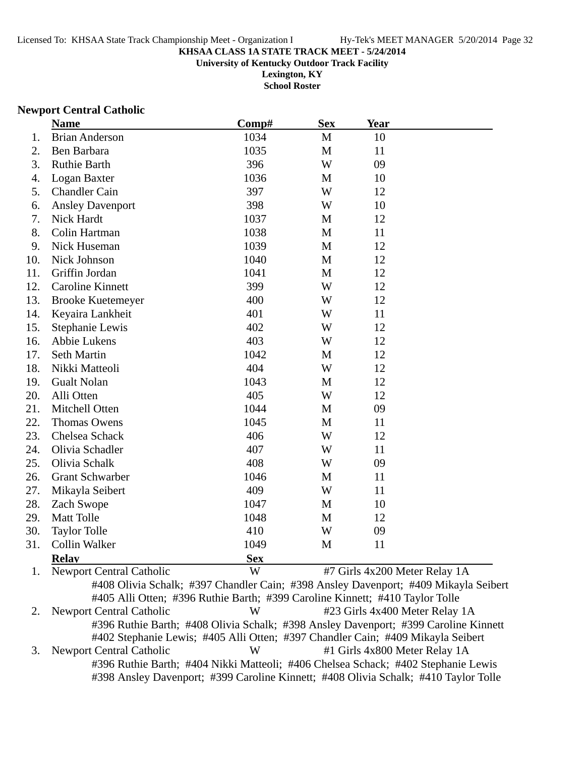**University of Kentucky Outdoor Track Facility**

**Lexington, KY School Roster**

#### **Newport Central Catholic**

|     | <b>Name</b>              | Comp#      | <b>Sex</b>   | <b>Year</b> |  |
|-----|--------------------------|------------|--------------|-------------|--|
| 1.  | <b>Brian Anderson</b>    | 1034       | M            | 10          |  |
| 2.  | Ben Barbara              | 1035       | $\mathbf{M}$ | 11          |  |
| 3.  | <b>Ruthie Barth</b>      | 396        | W            | 09          |  |
| 4.  | Logan Baxter             | 1036       | M            | 10          |  |
| 5.  | <b>Chandler Cain</b>     | 397        | W            | 12          |  |
| 6.  | <b>Ansley Davenport</b>  | 398        | W            | 10          |  |
| 7.  | Nick Hardt               | 1037       | M            | 12          |  |
| 8.  | Colin Hartman            | 1038       | M            | 11          |  |
| 9.  | Nick Huseman             | 1039       | M            | 12          |  |
| 10. | Nick Johnson             | 1040       | M            | 12          |  |
| 11. | Griffin Jordan           | 1041       | M            | 12          |  |
| 12. | <b>Caroline Kinnett</b>  | 399        | W            | 12          |  |
| 13. | <b>Brooke Kuetemeyer</b> | 400        | W            | 12          |  |
| 14. | Keyaira Lankheit         | 401        | W            | 11          |  |
| 15. | Stephanie Lewis          | 402        | W            | 12          |  |
| 16. | Abbie Lukens             | 403        | W            | 12          |  |
| 17. | Seth Martin              | 1042       | M            | 12          |  |
| 18. | Nikki Matteoli           | 404        | W            | 12          |  |
| 19. | <b>Gualt Nolan</b>       | 1043       | M            | 12          |  |
| 20. | Alli Otten               | 405        | W            | 12          |  |
| 21. | Mitchell Otten           | 1044       | M            | 09          |  |
| 22. | <b>Thomas Owens</b>      | 1045       | M            | 11          |  |
| 23. | Chelsea Schack           | 406        | W            | 12          |  |
| 24. | Olivia Schadler          | 407        | W            | 11          |  |
| 25. | Olivia Schalk            | 408        | W            | 09          |  |
| 26. | <b>Grant Schwarber</b>   | 1046       | M            | 11          |  |
| 27. | Mikayla Seibert          | 409        | W            | 11          |  |
| 28. | Zach Swope               | 1047       | M            | 10          |  |
| 29. | Matt Tolle               | 1048       | $\mathbf M$  | 12          |  |
| 30. | <b>Taylor Tolle</b>      | 410        | W            | 09          |  |
| 31. | Collin Walker            | 1049       | M            | 11          |  |
|     | <b>Relay</b>             | <b>Sex</b> |              |             |  |
|     | $\ddotsc$                |            |              |             |  |

1. Newport Central Catholic **W** #7 Girls 4x200 Meter Relay 1A #408 Olivia Schalk; #397 Chandler Cain; #398 Ansley Davenport; #409 Mikayla Seibert #405 Alli Otten; #396 Ruthie Barth; #399 Caroline Kinnett; #410 Taylor Tolle 2. Newport Central Catholic W #23 Girls 4x400 Meter Relay 1A #396 Ruthie Barth; #408 Olivia Schalk; #398 Ansley Davenport; #399 Caroline Kinnett #402 Stephanie Lewis; #405 Alli Otten; #397 Chandler Cain; #409 Mikayla Seibert 3. Newport Central Catholic W #1 Girls 4x800 Meter Relay 1A #396 Ruthie Barth; #404 Nikki Matteoli; #406 Chelsea Schack; #402 Stephanie Lewis #398 Ansley Davenport; #399 Caroline Kinnett; #408 Olivia Schalk; #410 Taylor Tolle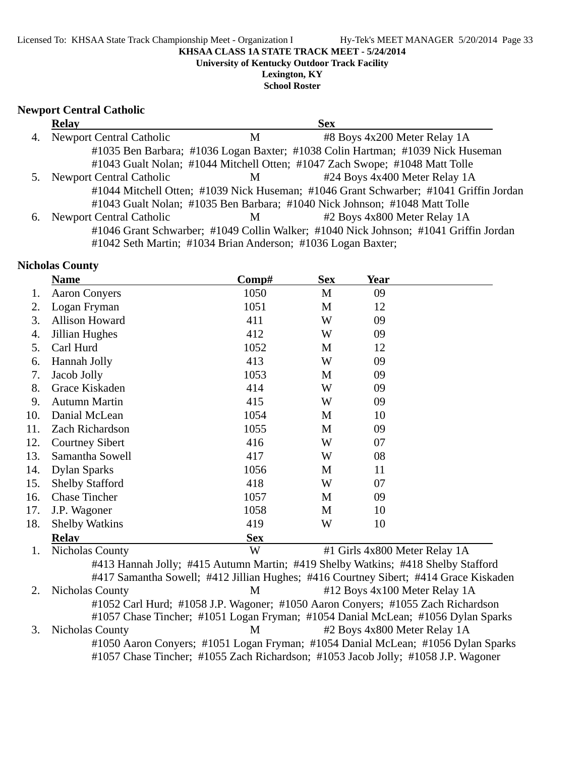**University of Kentucky Outdoor Track Facility**

**Lexington, KY School Roster**

### **Newport Central Catholic**

|    | <b>Relay</b>                    |   | <b>Sex</b>                                                                            |  |
|----|---------------------------------|---|---------------------------------------------------------------------------------------|--|
| 4. | <b>Newport Central Catholic</b> | M | #8 Boys 4x200 Meter Relay 1A                                                          |  |
|    |                                 |   | #1035 Ben Barbara; #1036 Logan Baxter; #1038 Colin Hartman; #1039 Nick Huseman        |  |
|    |                                 |   | #1043 Gualt Nolan; #1044 Mitchell Otten; #1047 Zach Swope; #1048 Matt Tolle           |  |
|    | <b>Newport Central Catholic</b> | M | #24 Boys 4x400 Meter Relay 1A                                                         |  |
|    |                                 |   | #1044 Mitchell Otten; #1039 Nick Huseman; #1046 Grant Schwarber; #1041 Griffin Jordan |  |
|    |                                 |   | #1043 Gualt Nolan; #1035 Ben Barbara; #1040 Nick Johnson; #1048 Matt Tolle            |  |
| 6. | <b>Newport Central Catholic</b> | M | #2 Boys 4x800 Meter Relay 1A                                                          |  |
|    |                                 |   | #1046 Grant Schwarber; #1049 Collin Walker; #1040 Nick Johnson; #1041 Griffin Jordan  |  |
|    |                                 |   | #1042 Seth Martin; #1034 Brian Anderson; #1036 Logan Baxter;                          |  |

### **Nicholas County**

|     | <b>Name</b>                                                                          | Comp#      | <b>Sex</b> | Year |                               |
|-----|--------------------------------------------------------------------------------------|------------|------------|------|-------------------------------|
| 1.  | <b>Aaron Conyers</b>                                                                 | 1050       | M          | 09   |                               |
| 2.  | Logan Fryman                                                                         | 1051       | M          | 12   |                               |
| 3.  | Allison Howard                                                                       | 411        | W          | 09   |                               |
| 4.  | Jillian Hughes                                                                       | 412        | W          | 09   |                               |
| 5.  | Carl Hurd                                                                            | 1052       | M          | 12   |                               |
| 6.  | Hannah Jolly                                                                         | 413        | W          | 09   |                               |
| 7.  | Jacob Jolly                                                                          | 1053       | M          | 09   |                               |
| 8.  | Grace Kiskaden                                                                       | 414        | W          | 09   |                               |
| 9.  | <b>Autumn Martin</b>                                                                 | 415        | W          | 09   |                               |
| 10. | Danial McLean                                                                        | 1054       | M          | 10   |                               |
| 11. | Zach Richardson                                                                      | 1055       | M          | 09   |                               |
| 12. | <b>Courtney Sibert</b>                                                               | 416        | W          | 07   |                               |
| 13. | Samantha Sowell                                                                      | 417        | W          | 08   |                               |
| 14. | <b>Dylan Sparks</b>                                                                  | 1056       | M          | 11   |                               |
| 15. | <b>Shelby Stafford</b>                                                               | 418        | W          | 07   |                               |
| 16. | <b>Chase Tincher</b>                                                                 | 1057       | M          | 09   |                               |
| 17. | J.P. Wagoner                                                                         | 1058       | M          | 10   |                               |
| 18. | <b>Shelby Watkins</b>                                                                | 419        | W          | 10   |                               |
|     | <b>Relav</b>                                                                         | <b>Sex</b> |            |      |                               |
| 1.  | <b>Nicholas County</b>                                                               | W          |            |      | #1 Girls 4x800 Meter Relay 1A |
|     | #413 Hannah Jolly; #415 Autumn Martin; #419 Shelby Watkins; #418 Shelby Stafford     |            |            |      |                               |
|     | #417 Samantha Sowell; #412 Jillian Hughes; #416 Courtney Sibert; #414 Grace Kiskaden |            |            |      |                               |
| 2.  | Nicholas County                                                                      | M          |            |      | #12 Boys 4x100 Meter Relay 1A |
|     | #1052 Carl Hurd; #1058 J.P. Wagoner; #1050 Aaron Conyers; #1055 Zach Richardson      |            |            |      |                               |
|     | #1057 Chase Tincher; #1051 Logan Fryman; #1054 Danial McLean; #1056 Dylan Sparks     |            |            |      |                               |
| 3.  | Nicholas County                                                                      | M          |            |      | #2 Boys 4x800 Meter Relay 1A  |
|     | #1050 Aaron Conyers; #1051 Logan Fryman; #1054 Danial McLean; #1056 Dylan Sparks     |            |            |      |                               |
|     | #1057 Chase Tincher; #1055 Zach Richardson; #1053 Jacob Jolly; #1058 J.P. Wagoner    |            |            |      |                               |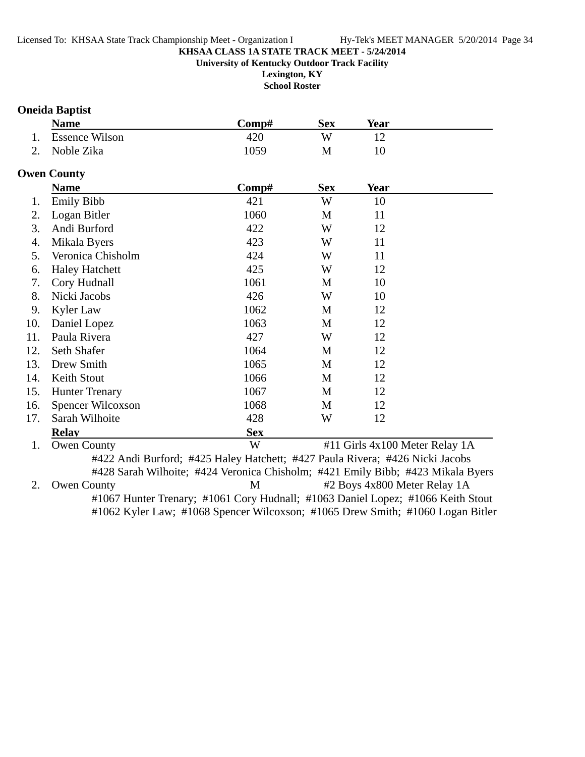**Lexington, KY**

**School Roster**

### **Oneida Baptist**

|                     | <b>Name</b>           | -Comp# | Sex | Year |  |
|---------------------|-----------------------|--------|-----|------|--|
| 1.                  | <b>Essence Wilson</b> | 420    | W   |      |  |
| $\mathcal{D}$<br>۷. | Noble Zika            | .059   | M   |      |  |

### **Owen County**

|     | <b>Name</b>           | Comp#                                                                           | <b>Sex</b> | <b>Year</b>                    |  |
|-----|-----------------------|---------------------------------------------------------------------------------|------------|--------------------------------|--|
| 1.  | <b>Emily Bibb</b>     | 421                                                                             | W          | 10                             |  |
| 2.  | Logan Bitler          | 1060                                                                            | M          | 11                             |  |
| 3.  | Andi Burford          | 422                                                                             | W          | 12                             |  |
| 4.  | Mikala Byers          | 423                                                                             | W          | 11                             |  |
| 5.  | Veronica Chisholm     | 424                                                                             | W          | 11                             |  |
| 6.  | <b>Haley Hatchett</b> | 425                                                                             | W          | 12                             |  |
| 7.  | Cory Hudnall          | 1061                                                                            | M          | 10                             |  |
| 8.  | Nicki Jacobs          | 426                                                                             | W          | 10                             |  |
| 9.  | Kyler Law             | 1062                                                                            | M          | 12                             |  |
| 10. | Daniel Lopez          | 1063                                                                            | M          | 12                             |  |
| 11. | Paula Rivera          | 427                                                                             | W          | 12                             |  |
| 12. | Seth Shafer           | 1064                                                                            | M          | 12                             |  |
| 13. | Drew Smith            | 1065                                                                            | M          | 12                             |  |
| 14. | Keith Stout           | 1066                                                                            | M          | 12                             |  |
| 15. | <b>Hunter Trenary</b> | 1067                                                                            | M          | 12                             |  |
| 16. | Spencer Wilcoxson     | 1068                                                                            | M          | 12                             |  |
| 17. | Sarah Wilhoite        | 428                                                                             | W          | 12                             |  |
|     | <b>Relav</b>          | <b>Sex</b>                                                                      |            |                                |  |
| 1.  | <b>Owen County</b>    | W                                                                               |            | #11 Girls 4x100 Meter Relay 1A |  |
|     |                       | #422 Andi Burford; #425 Haley Hatchett; #427 Paula Rivera; #426 Nicki Jacobs    |            |                                |  |
|     |                       | #428 Sarah Wilhoite; #424 Veronica Chisholm; #421 Emily Bibb; #423 Mikala Byers |            |                                |  |
| 2.  | <b>Owen County</b>    | M                                                                               |            | #2 Boys 4x800 Meter Relay 1A   |  |

#1067 Hunter Trenary; #1061 Cory Hudnall; #1063 Daniel Lopez; #1066 Keith Stout #1062 Kyler Law; #1068 Spencer Wilcoxson; #1065 Drew Smith; #1060 Logan Bitler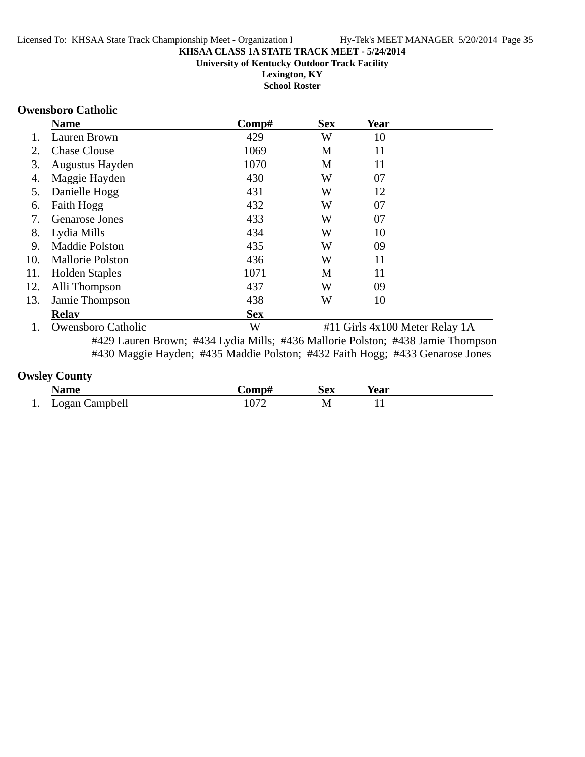**Lexington, KY School Roster**

#### **Owensboro Catholic**

|     | <b>Name</b>               | Comp#      | <b>Sex</b> | Year                           |  |
|-----|---------------------------|------------|------------|--------------------------------|--|
|     | Lauren Brown              | 429        | W          | 10                             |  |
| 2.  | <b>Chase Clouse</b>       | 1069       | M          | 11                             |  |
| 3.  | Augustus Hayden           | 1070       | M          | 11                             |  |
| 4.  | Maggie Hayden             | 430        | W          | 07                             |  |
| 5.  | Danielle Hogg             | 431        | W          | 12                             |  |
| 6.  | Faith Hogg                | 432        | W          | 07                             |  |
| 7.  | <b>Genarose Jones</b>     | 433        | W          | 07                             |  |
| 8.  | Lydia Mills               | 434        | W          | 10                             |  |
| 9.  | <b>Maddie Polston</b>     | 435        | W          | 09                             |  |
| 10. | <b>Mallorie Polston</b>   | 436        | W          | 11                             |  |
| 11. | <b>Holden Staples</b>     | 1071       | M          | 11                             |  |
| 12. | Alli Thompson             | 437        | W          | 09                             |  |
| 13. | Jamie Thompson            | 438        | W          | 10                             |  |
|     | <b>Relav</b>              | <b>Sex</b> |            |                                |  |
|     | <b>Owensboro Catholic</b> | W          |            | #11 Girls 4x100 Meter Relay 1A |  |

#429 Lauren Brown; #434 Lydia Mills; #436 Mallorie Polston; #438 Jamie Thompson #430 Maggie Hayden; #435 Maddie Polston; #432 Faith Hogg; #433 Genarose Jones

### **Owsley County**

|          | <b>Name</b>    | '∩mn‡ | <b>Sex</b> | <b>Year</b> |  |
|----------|----------------|-------|------------|-------------|--|
| $\cdots$ | Logan Campbell |       |            |             |  |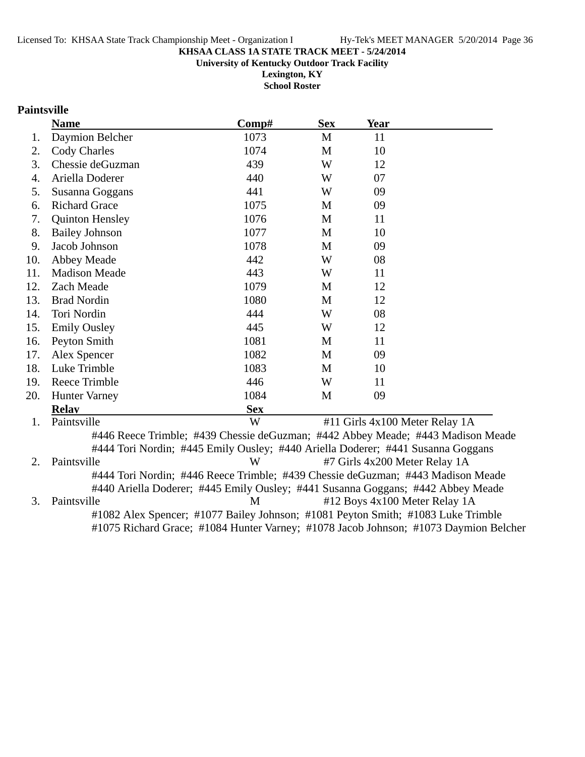**University of Kentucky Outdoor Track Facility**

**Lexington, KY School Roster**

### **Paintsville**

|     | <b>Name</b>                                                                     | Comp#      | <b>Sex</b> | Year                           |  |
|-----|---------------------------------------------------------------------------------|------------|------------|--------------------------------|--|
| 1.  | Daymion Belcher                                                                 | 1073       | M          | 11                             |  |
| 2.  | <b>Cody Charles</b>                                                             | 1074       | M          | 10                             |  |
| 3.  | Chessie deGuzman                                                                | 439        | W          | 12                             |  |
| 4.  | Ariella Doderer                                                                 | 440        | W          | 07                             |  |
| 5.  | Susanna Goggans                                                                 | 441        | W          | 09                             |  |
| 6.  | <b>Richard Grace</b>                                                            | 1075       | M          | 09                             |  |
| 7.  | <b>Quinton Hensley</b>                                                          | 1076       | M          | 11                             |  |
| 8.  | <b>Bailey Johnson</b>                                                           | 1077       | M          | 10                             |  |
| 9.  | Jacob Johnson                                                                   | 1078       | M          | 09                             |  |
| 10. | Abbey Meade                                                                     | 442        | W          | 08                             |  |
| 11. | <b>Madison Meade</b>                                                            | 443        | W          | 11                             |  |
| 12. | Zach Meade                                                                      | 1079       | M          | 12                             |  |
| 13. | <b>Brad Nordin</b>                                                              | 1080       | M          | 12                             |  |
| 14. | Tori Nordin                                                                     | 444        | W          | 08                             |  |
| 15. | <b>Emily Ousley</b>                                                             | 445        | W          | 12                             |  |
| 16. | Peyton Smith                                                                    | 1081       | M          | 11                             |  |
| 17. | Alex Spencer                                                                    | 1082       | M          | 09                             |  |
| 18. | Luke Trimble                                                                    | 1083       | M          | 10                             |  |
| 19. | <b>Reece Trimble</b>                                                            | 446        | W          | 11                             |  |
| 20. | <b>Hunter Varney</b>                                                            | 1084       | M          | 09                             |  |
|     | <b>Relay</b>                                                                    | <b>Sex</b> |            |                                |  |
| 1.  | Paintsville                                                                     | W          |            | #11 Girls 4x100 Meter Relay 1A |  |
|     | #446 Reece Trimble; #439 Chessie deGuzman; #442 Abbey Meade; #443 Madison Meade |            |            |                                |  |
|     | #444 Tori Nordin; #445 Emily Ousley; #440 Ariella Doderer; #441 Susanna Goggans |            |            |                                |  |
| 2.  | Paintsville                                                                     | W          |            | #7 Girls 4x200 Meter Relay 1A  |  |
|     | #444 Tori Nordin; #446 Reece Trimble; #439 Chessie deGuzman; #443 Madison Meade |            |            |                                |  |
|     | #440 Ariella Doderer; #445 Emily Ousley; #441 Susanna Goggans; #442 Abbey Meade |            |            |                                |  |

3. Paintsville **All Accords** M 412 Boys 4x100 Meter Relay 1A #1082 Alex Spencer; #1077 Bailey Johnson; #1081 Peyton Smith; #1083 Luke Trimble

#1075 Richard Grace; #1084 Hunter Varney; #1078 Jacob Johnson; #1073 Daymion Belcher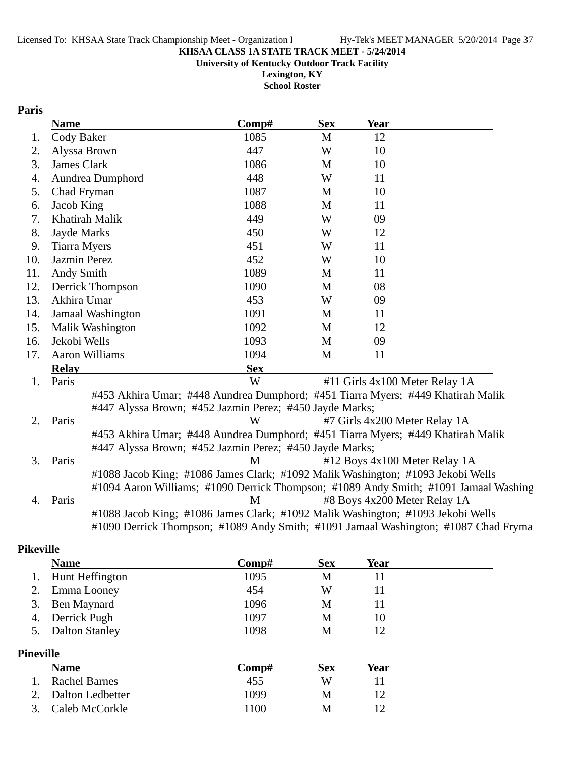**University of Kentucky Outdoor Track Facility**

**Lexington, KY School Roster**

### **Paris**

|     | <b>Name</b>         |                       | Comp#                                                                           | <b>Sex</b> | <b>Year</b>                    |                                                                                      |
|-----|---------------------|-----------------------|---------------------------------------------------------------------------------|------------|--------------------------------|--------------------------------------------------------------------------------------|
| 1.  | Cody Baker          |                       | 1085                                                                            | M          | 12                             |                                                                                      |
| 2.  |                     | Alyssa Brown          | 447                                                                             | W          | 10                             |                                                                                      |
| 3.  | James Clark         |                       | 1086                                                                            | M          | 10                             |                                                                                      |
| 4.  |                     | Aundrea Dumphord      | 448                                                                             | W          | 11                             |                                                                                      |
| 5.  | Chad Fryman         |                       | 1087                                                                            | M          | 10                             |                                                                                      |
| 6.  | Jacob King          |                       | 1088                                                                            | M          | 11                             |                                                                                      |
| 7.  |                     | Khatirah Malik        | 449                                                                             | W          | 09                             |                                                                                      |
| 8.  | Jayde Marks         |                       | 450                                                                             | W          | 12                             |                                                                                      |
| 9.  | <b>Tiarra Myers</b> |                       | 451                                                                             | W          | 11                             |                                                                                      |
| 10. | Jazmin Perez        |                       | 452                                                                             | W          | 10                             |                                                                                      |
| 11. | Andy Smith          |                       | 1089                                                                            | M          | 11                             |                                                                                      |
| 12. |                     | Derrick Thompson      | 1090                                                                            | M          | 08                             |                                                                                      |
| 13. | Akhira Umar         |                       | 453                                                                             | W          | 09                             |                                                                                      |
| 14. |                     | Jamaal Washington     | 1091                                                                            | M          | 11                             |                                                                                      |
| 15. |                     | Malik Washington      | 1092                                                                            | M          | 12                             |                                                                                      |
| 16. | Jekobi Wells        |                       | 1093                                                                            | M          | 09                             |                                                                                      |
| 17. |                     | <b>Aaron Williams</b> | 1094                                                                            | M          | 11                             |                                                                                      |
|     | <b>Relay</b>        |                       | <b>Sex</b>                                                                      |            |                                |                                                                                      |
| 1.  | Paris               |                       | W                                                                               |            | #11 Girls 4x100 Meter Relay 1A |                                                                                      |
|     |                     |                       | #453 Akhira Umar; #448 Aundrea Dumphord; #451 Tiarra Myers; #449 Khatirah Malik |            |                                |                                                                                      |
|     |                     |                       | #447 Alyssa Brown; #452 Jazmin Perez; #450 Jayde Marks;                         |            |                                |                                                                                      |
| 2.  | Paris               |                       | W                                                                               |            | #7 Girls 4x200 Meter Relay 1A  |                                                                                      |
|     |                     |                       | #453 Akhira Umar; #448 Aundrea Dumphord; #451 Tiarra Myers; #449 Khatirah Malik |            |                                |                                                                                      |
|     |                     |                       | #447 Alyssa Brown; #452 Jazmin Perez; #450 Jayde Marks;                         |            |                                |                                                                                      |
| 3.  | Paris               |                       | M                                                                               |            | #12 Boys 4x100 Meter Relay 1A  |                                                                                      |
|     |                     |                       | #1088 Jacob King; #1086 James Clark; #1092 Malik Washington; #1093 Jekobi Wells |            |                                |                                                                                      |
|     |                     |                       |                                                                                 |            |                                | #1094 Aaron Williams; #1090 Derrick Thompson; #1089 Andy Smith; #1091 Jamaal Washing |
| 4.  | Paris               |                       | M                                                                               |            | #8 Boys 4x200 Meter Relay 1A   |                                                                                      |
|     |                     |                       | #1088 Jacob King; #1086 James Clark; #1092 Malik Washington; #1093 Jekobi Wells |            |                                |                                                                                      |
|     |                     |                       |                                                                                 |            |                                | #1090 Derrick Thompson; #1089 Andy Smith; #1091 Jamaal Washington; #1087 Chad Fryma  |

### **Pikeville**

|                  | <b>Name</b>           | Comp# | <b>Sex</b> | <b>Year</b> |  |
|------------------|-----------------------|-------|------------|-------------|--|
|                  | Hunt Heffington       | 1095  | M          | 11          |  |
|                  | Emma Looney           | 454   | W          | 11          |  |
| 3.               | Ben Maynard           | 1096  | M          | 11          |  |
| 4.               | Derrick Pugh          | 1097  | M          | 10          |  |
| 5.               | <b>Dalton Stanley</b> | 1098  | M          | 12          |  |
| <b>Pineville</b> |                       |       |            |             |  |
|                  | <b>Name</b>           | Comp# | <b>Sex</b> | <b>Year</b> |  |
|                  | <b>Rachel Barnes</b>  | 455   | W          | 11          |  |
|                  | Dalton Ledbetter      | 1099  | М          | 12          |  |

3. Caleb McCorkle 1100 M 12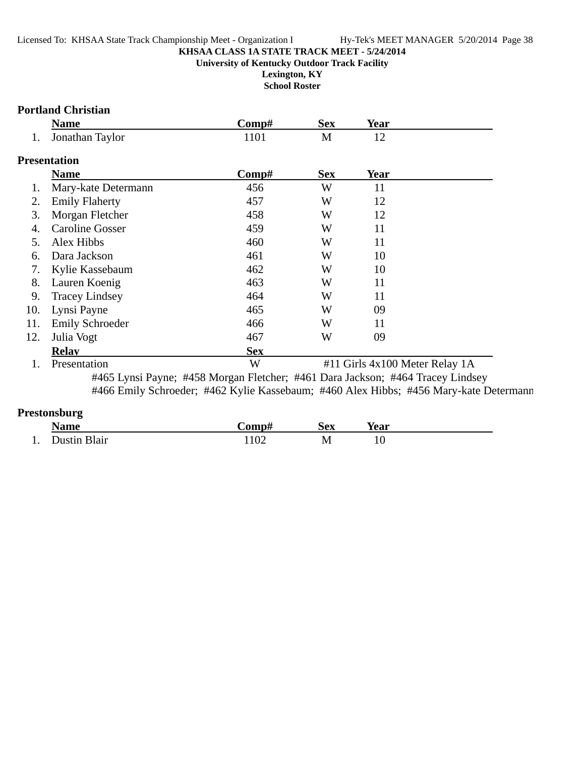**Lexington, KY School Roster**

### **Portland Christian**

|     | <b>Name</b>     | '≥omp# | <b>Sex</b> | Year |
|-----|-----------------|--------|------------|------|
| . . | Jonathan Taylor |        | M          |      |

### **Presentation**

|     | <b>Name</b>            | Comp#        | <b>Sex</b> | Year                                          |
|-----|------------------------|--------------|------------|-----------------------------------------------|
|     | Mary-kate Determann    | 456          | W          | 11                                            |
| 2.  | <b>Emily Flaherty</b>  | 457          | W          | 12                                            |
| 3.  | Morgan Fletcher        | 458          | W          | 12                                            |
| 4.  | <b>Caroline Gosser</b> | 459          | W          | 11                                            |
| 5.  | Alex Hibbs             | 460          | W          | 11                                            |
| 6.  | Dara Jackson           | 461          | W          | 10                                            |
| 7.  | Kylie Kassebaum        | 462          | W          | 10                                            |
| 8.  | Lauren Koenig          | 463          | W          | 11                                            |
| 9.  | <b>Tracey Lindsey</b>  | 464          | W          | 11                                            |
| 10. | Lynsi Payne            | 465          | W          | 09                                            |
| 11. | <b>Emily Schroeder</b> | 466          | W          | 11                                            |
| 12. | Julia Vogt             | 467          | W          | 09                                            |
|     | <b>Relav</b>           | <b>Sex</b>   |            |                                               |
|     | <b>Drocontotion</b>    | $\mathbf{X}$ |            | $#11$ Girls $4x100$ Motor $D$ olov $1\Lambda$ |

1. Presentation **1. Presentation W** #11 Girls 4x100 Meter Relay 1A #465 Lynsi Payne; #458 Morgan Fletcher; #461 Dara Jackson; #464 Tracey Lindsey #466 Emily Schroeder; #462 Kylie Kassebaum; #460 Alex Hibbs; #456 Mary-kate Determann

### **Prestonsburg**

|     | __<br><b>Name</b> | `omp# | <b>Sex</b> | Year |  |
|-----|-------------------|-------|------------|------|--|
| -1. | Dustin Blair      | 102   | M<br>TAT   | 10   |  |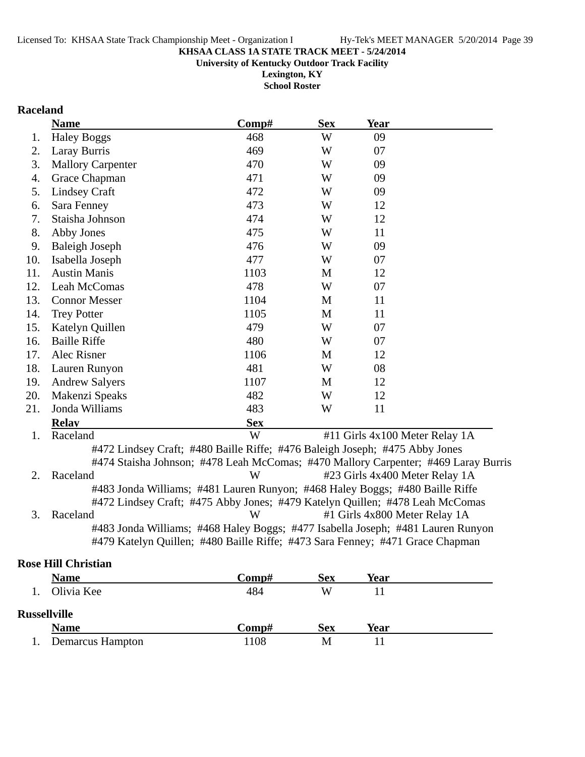**Lexington, KY**

**School Roster**

## **Raceland**

|     | <b>Name</b>                                                                 | Comp#      | <b>Sex</b> | <b>Year</b>                                                                        |  |
|-----|-----------------------------------------------------------------------------|------------|------------|------------------------------------------------------------------------------------|--|
| 1.  | <b>Haley Boggs</b>                                                          | 468        | W          | 09                                                                                 |  |
| 2.  | Laray Burris                                                                | 469        | W          | 07                                                                                 |  |
| 3.  | <b>Mallory Carpenter</b>                                                    | 470        | W          | 09                                                                                 |  |
| 4.  | Grace Chapman                                                               | 471        | W          | 09                                                                                 |  |
| 5.  | <b>Lindsey Craft</b>                                                        | 472        | W          | 09                                                                                 |  |
| 6.  | Sara Fenney                                                                 | 473        | W          | 12                                                                                 |  |
| 7.  | Staisha Johnson                                                             | 474        | W          | 12                                                                                 |  |
| 8.  | Abby Jones                                                                  | 475        | W          | 11                                                                                 |  |
| 9.  | <b>Baleigh Joseph</b>                                                       | 476        | W          | 09                                                                                 |  |
| 10. | Isabella Joseph                                                             | 477        | W          | 07                                                                                 |  |
| 11. | <b>Austin Manis</b>                                                         | 1103       | M          | 12                                                                                 |  |
| 12. | Leah McComas                                                                | 478        | W          | 07                                                                                 |  |
| 13. | <b>Connor Messer</b>                                                        | 1104       | M          | 11                                                                                 |  |
| 14. | <b>Trey Potter</b>                                                          | 1105       | M          | 11                                                                                 |  |
| 15. | Katelyn Quillen                                                             | 479        | W          | 07                                                                                 |  |
| 16. | <b>Baille Riffe</b>                                                         | 480        | W          | 07                                                                                 |  |
| 17. | Alec Risner                                                                 | 1106       | M          | 12                                                                                 |  |
| 18. | Lauren Runyon                                                               | 481        | W          | 08                                                                                 |  |
| 19. | <b>Andrew Salyers</b>                                                       | 1107       | M          | 12                                                                                 |  |
| 20. | Makenzi Speaks                                                              | 482        | W          | 12                                                                                 |  |
| 21. | Jonda Williams                                                              | 483        | W          | 11                                                                                 |  |
|     | <b>Relay</b>                                                                | <b>Sex</b> |            |                                                                                    |  |
| 1.  | Raceland                                                                    | W          |            | #11 Girls 4x100 Meter Relay 1A                                                     |  |
|     | #472 Lindsey Craft; #480 Baille Riffe; #476 Baleigh Joseph; #475 Abby Jones |            |            |                                                                                    |  |
|     |                                                                             |            |            | #474 Staisha Johnson; #478 Leah McComas; #470 Mallory Carpenter; #469 Laray Burris |  |
| 2.  | Raceland                                                                    | W          |            | #23 Girls 4x400 Meter Relay 1A                                                     |  |
|     |                                                                             |            |            | #483 Jonda Williams; #481 Lauren Runyon; #468 Haley Boggs; #480 Baille Riffe       |  |
|     |                                                                             |            |            | #472 Lindsey Craft; #475 Abby Jones; #479 Katelyn Quillen; #478 Leah McComas       |  |
| 3.  | Raceland                                                                    | W          |            | #1 Girls 4x800 Meter Relay 1A                                                      |  |
|     |                                                                             |            |            | #483 Jonda Williams; #468 Haley Boggs; #477 Isabella Joseph; #481 Lauren Runyon    |  |
|     |                                                                             |            |            | #479 Katelyn Quillen; #480 Baille Riffe; #473 Sara Fenney; #471 Grace Chapman      |  |
|     |                                                                             |            |            |                                                                                    |  |

### **Rose Hill Christian**

|                     | <b>Name</b>      | Comp# | <b>Sex</b> | Year |  |  |
|---------------------|------------------|-------|------------|------|--|--|
|                     | Olivia Kee       | 484   | W          |      |  |  |
| <b>Russellville</b> |                  |       |            |      |  |  |
|                     | <b>Name</b>      | Comp# | <b>Sex</b> | Year |  |  |
|                     | Demarcus Hampton | 1108  | M          |      |  |  |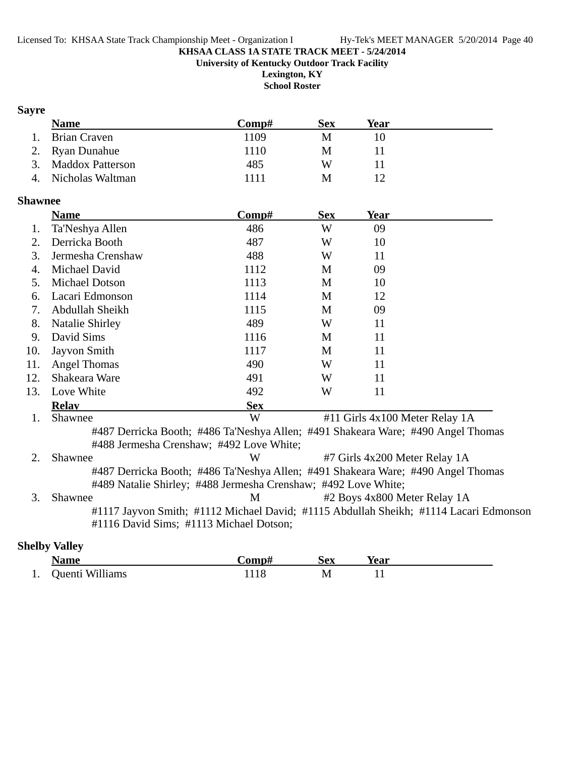**University of Kentucky Outdoor Track Facility Lexington, KY**

**School Roster**

## **Sayre**

| <b>Name</b>         | Comp# | <b>Sex</b> | Year |
|---------------------|-------|------------|------|
| Brian Craven<br>1.  | 1109  | M          |      |
| 2. Ryan Dunahue     | 1110  | M          |      |
| 3. Maddox Patterson | 485   | W          |      |
| 4. Nicholas Waltman | 1111  | M          |      |

### **Shawnee**

|     | <b>Name</b>                                                    | Comp#      | <b>Sex</b> | Year                                                                                  |  |
|-----|----------------------------------------------------------------|------------|------------|---------------------------------------------------------------------------------------|--|
| 1.  | Ta'Neshya Allen                                                | 486        | W          | 09                                                                                    |  |
| 2.  | Derricka Booth                                                 | 487        | W          | 10                                                                                    |  |
| 3.  | Jermesha Crenshaw                                              | 488        | W          | 11                                                                                    |  |
| 4.  | Michael David                                                  | 1112       | M          | 09                                                                                    |  |
| 5.  | <b>Michael Dotson</b>                                          | 1113       | M          | 10                                                                                    |  |
| 6.  | Lacari Edmonson                                                | 1114       | M          | 12                                                                                    |  |
| 7.  | Abdullah Sheikh                                                | 1115       | M          | 09                                                                                    |  |
| 8.  | <b>Natalie Shirley</b>                                         | 489        | W          | 11                                                                                    |  |
| 9.  | David Sims                                                     | 1116       | M          | 11                                                                                    |  |
| 10. | Jayvon Smith                                                   | 1117       | M          | 11                                                                                    |  |
| 11. | <b>Angel Thomas</b>                                            | 490        | W          | 11                                                                                    |  |
| 12. | Shakeara Ware                                                  | 491        | W          | 11                                                                                    |  |
| 13. | Love White                                                     | 492        | W          | 11                                                                                    |  |
|     | <b>Relay</b>                                                   | <b>Sex</b> |            |                                                                                       |  |
| 1.  | Shawnee                                                        | W          |            | #11 Girls 4x100 Meter Relay 1A                                                        |  |
|     | #488 Jermesha Crenshaw; #492 Love White;                       |            |            | #487 Derricka Booth; #486 Ta'Neshya Allen; #491 Shakeara Ware; #490 Angel Thomas      |  |
| 2.  | Shawnee                                                        | W          |            | #7 Girls 4x200 Meter Relay 1A                                                         |  |
|     | #489 Natalie Shirley; #488 Jermesha Crenshaw; #492 Love White; |            |            | #487 Derricka Booth; #486 Ta'Neshya Allen; #491 Shakeara Ware; #490 Angel Thomas      |  |
| 3.  | Shawnee                                                        | M          |            | #2 Boys 4x800 Meter Relay 1A                                                          |  |
|     | #1116 David Sims; #1113 Michael Dotson;                        |            |            | #1117 Jayvon Smith; #1112 Michael David; #1115 Abdullah Sheikh; #1114 Lacari Edmonson |  |

### **Shelby Valley**

| <b>Name</b>        | -comp# | Sex | Year |
|--------------------|--------|-----|------|
| 1. Quenti Williams |        | M   |      |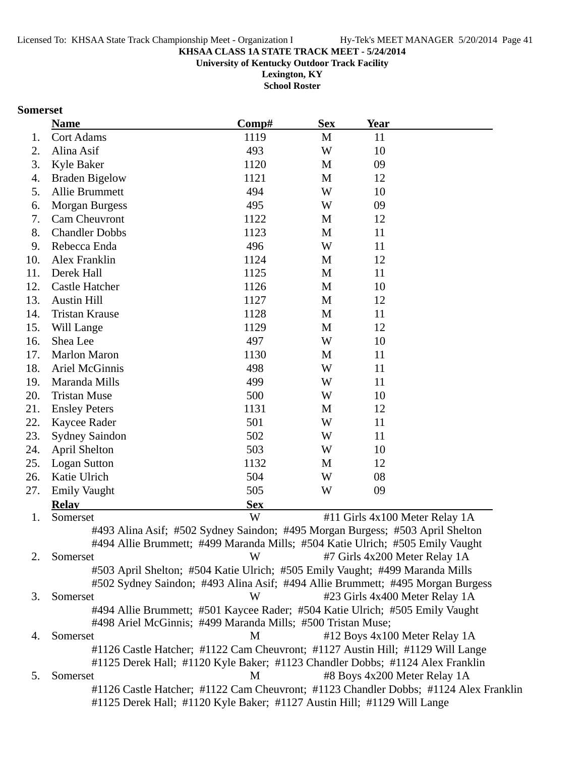**University of Kentucky Outdoor Track Facility**

**Lexington, KY School Roster**

#### **Somerset**

|     | <b>Name</b>                                                                          | Comp#      | <b>Sex</b> | <b>Year</b> |                                |  |
|-----|--------------------------------------------------------------------------------------|------------|------------|-------------|--------------------------------|--|
| 1.  | <b>Cort Adams</b>                                                                    | 1119       | M          | 11          |                                |  |
| 2.  | Alina Asif                                                                           | 493        | W          | 10          |                                |  |
| 3.  | Kyle Baker                                                                           | 1120       | M          | 09          |                                |  |
| 4.  | <b>Braden Bigelow</b>                                                                | 1121       | M          | 12          |                                |  |
| 5.  | Allie Brummett                                                                       | 494        | W          | 10          |                                |  |
| 6.  | <b>Morgan Burgess</b>                                                                | 495        | W          | 09          |                                |  |
| 7.  | Cam Cheuvront                                                                        | 1122       | M          | 12          |                                |  |
| 8.  | <b>Chandler Dobbs</b>                                                                | 1123       | M          | 11          |                                |  |
| 9.  | Rebecca Enda                                                                         | 496        | W          | 11          |                                |  |
| 10. | Alex Franklin                                                                        | 1124       | M          | 12          |                                |  |
| 11. | Derek Hall                                                                           | 1125       | M          | 11          |                                |  |
| 12. | <b>Castle Hatcher</b>                                                                | 1126       | M          | 10          |                                |  |
| 13. | <b>Austin Hill</b>                                                                   | 1127       | M          | 12          |                                |  |
| 14. | <b>Tristan Krause</b>                                                                | 1128       | M          | 11          |                                |  |
| 15. | Will Lange                                                                           | 1129       | M          | 12          |                                |  |
| 16. | Shea Lee                                                                             | 497        | W          | 10          |                                |  |
| 17. | <b>Marlon Maron</b>                                                                  | 1130       | M          | 11          |                                |  |
| 18. | Ariel McGinnis                                                                       | 498        | W          | 11          |                                |  |
| 19. | Maranda Mills                                                                        | 499        | W          | 11          |                                |  |
| 20. | <b>Tristan Muse</b>                                                                  | 500        | W          | 10          |                                |  |
| 21. | <b>Ensley Peters</b>                                                                 | 1131       | M          | 12          |                                |  |
| 22. | Kaycee Rader                                                                         | 501        | W          | 11          |                                |  |
| 23. | <b>Sydney Saindon</b>                                                                | 502        | W          | 11          |                                |  |
| 24. | <b>April Shelton</b>                                                                 | 503        | W          | 10          |                                |  |
| 25. | <b>Logan Sutton</b>                                                                  | 1132       | M          | 12          |                                |  |
| 26. | Katie Ulrich                                                                         | 504        | W          | 08          |                                |  |
| 27. | <b>Emily Vaught</b>                                                                  | 505        | W          | 09          |                                |  |
|     | <b>Relay</b>                                                                         | <b>Sex</b> |            |             |                                |  |
| 1.  | Somerset                                                                             | W          |            |             | #11 Girls 4x100 Meter Relay 1A |  |
|     | #493 Alina Asif; #502 Sydney Saindon; #495 Morgan Burgess; #503 April Shelton        |            |            |             |                                |  |
|     | #494 Allie Brummett; #499 Maranda Mills; #504 Katie Ulrich; #505 Emily Vaught        |            |            |             |                                |  |
| 2.  | Somerset                                                                             | W          |            |             | #7 Girls 4x200 Meter Relay 1A  |  |
|     | #503 April Shelton; #504 Katie Ulrich; #505 Emily Vaught; #499 Maranda Mills         |            |            |             |                                |  |
|     | #502 Sydney Saindon; #493 Alina Asif; #494 Allie Brummett; #495 Morgan Burgess       |            |            |             |                                |  |
| 3.  | Somerset                                                                             | W          |            |             | #23 Girls 4x400 Meter Relay 1A |  |
|     | #494 Allie Brummett; #501 Kaycee Rader; #504 Katie Ulrich; #505 Emily Vaught         |            |            |             |                                |  |
|     | #498 Ariel McGinnis; #499 Maranda Mills; #500 Tristan Muse;                          |            |            |             |                                |  |
| 4.  | Somerset                                                                             | M          |            |             | #12 Boys 4x100 Meter Relay 1A  |  |
|     | #1126 Castle Hatcher; #1122 Cam Cheuvront; #1127 Austin Hill; #1129 Will Lange       |            |            |             |                                |  |
|     | #1125 Derek Hall; #1120 Kyle Baker; #1123 Chandler Dobbs; #1124 Alex Franklin        |            |            |             |                                |  |
| 5.  | Somerset                                                                             | M          |            |             | #8 Boys 4x200 Meter Relay 1A   |  |
|     | #1126 Castle Hatcher; #1122 Cam Cheuvront; #1123 Chandler Dobbs; #1124 Alex Franklin |            |            |             |                                |  |
|     | #1125 Derek Hall; #1120 Kyle Baker; #1127 Austin Hill; #1129 Will Lange              |            |            |             |                                |  |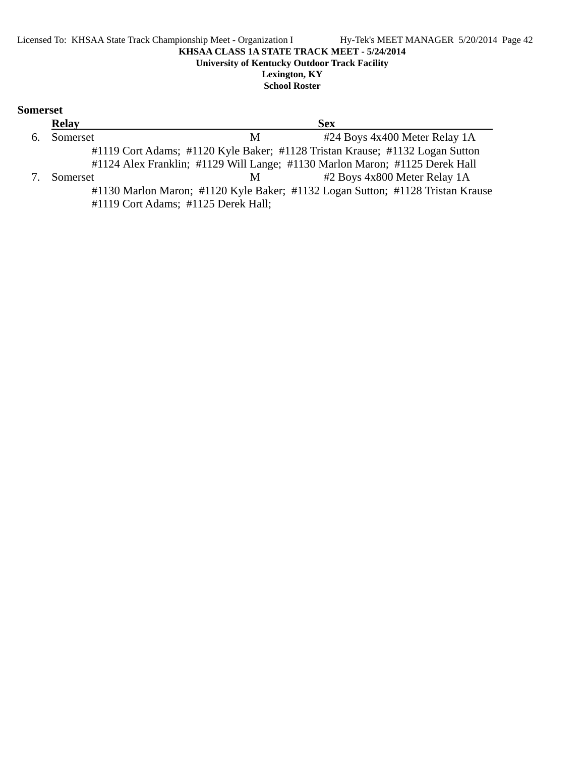### **Relay Sex** 6. Somerset M #24 Boys 4x400 Meter Relay 1A #1119 Cort Adams; #1120 Kyle Baker; #1128 Tristan Krause; #1132 Logan Sutton #1124 Alex Franklin; #1129 Will Lange; #1130 Marlon Maron; #1125 Derek Hall 7. Somerset M #2 Boys 4x800 Meter Relay 1A #1130 Marlon Maron; #1120 Kyle Baker; #1132 Logan Sutton; #1128 Tristan Krause #1119 Cort Adams; #1125 Derek Hall;

**Somerset**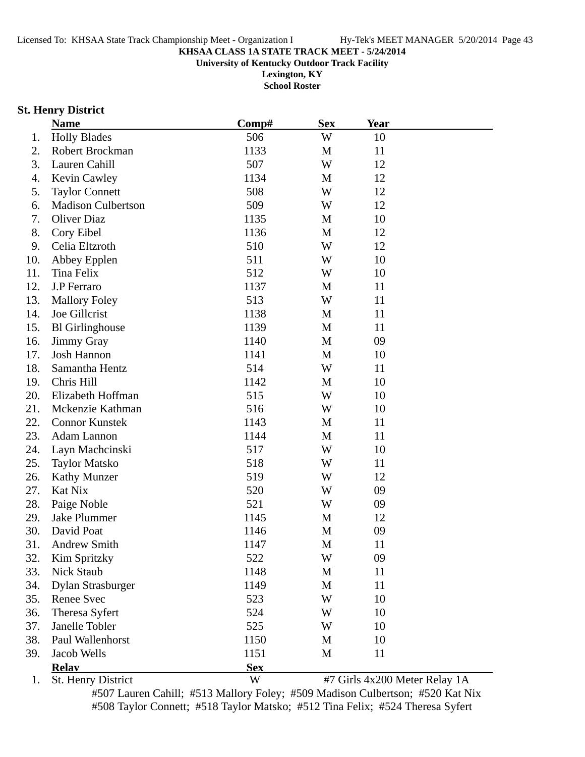**University of Kentucky Outdoor Track Facility**

**Lexington, KY School Roster**

### **St. Henry District**

|     | <b>Name</b>               | Comp#      | <b>Sex</b>  | <b>Year</b>                   |  |
|-----|---------------------------|------------|-------------|-------------------------------|--|
| 1.  | <b>Holly Blades</b>       | 506        | W           | 10                            |  |
| 2.  | Robert Brockman           | 1133       | M           | 11                            |  |
| 3.  | Lauren Cahill             | 507        | W           | 12                            |  |
| 4.  | <b>Kevin Cawley</b>       | 1134       | M           | 12                            |  |
| 5.  | <b>Taylor Connett</b>     | 508        | W           | 12                            |  |
| 6.  | <b>Madison Culbertson</b> | 509        | W           | 12                            |  |
| 7.  | <b>Oliver Diaz</b>        | 1135       | M           | 10                            |  |
| 8.  | Cory Eibel                | 1136       | M           | 12                            |  |
| 9.  | Celia Eltzroth            | 510        | W           | 12                            |  |
| 10. | Abbey Epplen              | 511        | W           | 10                            |  |
| 11. | Tina Felix                | 512        | W           | 10                            |  |
| 12. | J.P Ferraro               | 1137       | M           | 11                            |  |
| 13. | <b>Mallory Foley</b>      | 513        | W           | 11                            |  |
| 14. | Joe Gillcrist             | 1138       | M           | 11                            |  |
| 15. | <b>Bl</b> Girlinghouse    | 1139       | M           | 11                            |  |
| 16. | <b>Jimmy Gray</b>         | 1140       | M           | 09                            |  |
| 17. | Josh Hannon               | 1141       | M           | 10                            |  |
| 18. | Samantha Hentz            | 514        | W           | 11                            |  |
| 19. | Chris Hill                | 1142       | M           | 10                            |  |
| 20. | Elizabeth Hoffman         | 515        | W           | 10                            |  |
| 21. | Mckenzie Kathman          | 516        | W           | 10                            |  |
| 22. | <b>Connor Kunstek</b>     | 1143       | M           | 11                            |  |
| 23. | Adam Lannon               | 1144       | $\mathbf M$ | 11                            |  |
| 24. | Layn Machcinski           | 517        | W           | 10                            |  |
| 25. | <b>Taylor Matsko</b>      | 518        | W           | 11                            |  |
| 26. | <b>Kathy Munzer</b>       | 519        | W           | 12                            |  |
| 27. | Kat Nix                   | 520        | W           | 09                            |  |
| 28. | Paige Noble               | 521        | W           | 09                            |  |
| 29. | <b>Jake Plummer</b>       | 1145       | M           | 12                            |  |
| 30. | David Poat                | 1146       | M           | 09                            |  |
| 31. | <b>Andrew Smith</b>       | 1147       | M           | 11                            |  |
| 32. | Kim Spritzky              | 522        | W           | 09                            |  |
| 33. | <b>Nick Staub</b>         | 1148       | M           | 11                            |  |
| 34. | <b>Dylan Strasburger</b>  | 1149       | M           | 11                            |  |
| 35. | Renee Svec                | 523        | W           | 10                            |  |
| 36. | Theresa Syfert            | 524        | W           | 10                            |  |
| 37. | Janelle Tobler            | 525        | W           | 10                            |  |
| 38. | Paul Wallenhorst          | 1150       | M           | 10                            |  |
| 39. | Jacob Wells               | 1151       | M           | 11                            |  |
|     | <b>Relay</b>              | <b>Sex</b> |             |                               |  |
| 1.  | St. Henry District        | W          |             | #7 Girls 4x200 Meter Relay 1A |  |

#507 Lauren Cahill; #513 Mallory Foley; #509 Madison Culbertson; #520 Kat Nix #508 Taylor Connett; #518 Taylor Matsko; #512 Tina Felix; #524 Theresa Syfert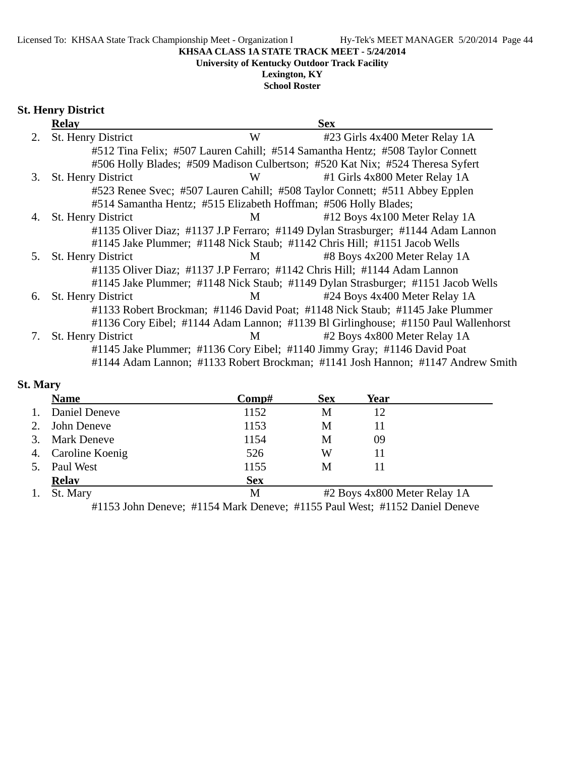**University of Kentucky Outdoor Track Facility**

### **Lexington, KY**

**School Roster**

### **St. Henry District**

|    | <b>Relay</b>              |                                                                 | <b>Sex</b>                                                                         |
|----|---------------------------|-----------------------------------------------------------------|------------------------------------------------------------------------------------|
| 2. | <b>St. Henry District</b> | W                                                               | #23 Girls 4x400 Meter Relay 1A                                                     |
|    |                           |                                                                 | #512 Tina Felix; #507 Lauren Cahill; #514 Samantha Hentz; #508 Taylor Connett      |
|    |                           |                                                                 | #506 Holly Blades; #509 Madison Culbertson; #520 Kat Nix; #524 Theresa Syfert      |
| 3. | St. Henry District        | W                                                               | #1 Girls 4x800 Meter Relay 1A                                                      |
|    |                           |                                                                 | #523 Renee Svec; #507 Lauren Cahill; #508 Taylor Connett; #511 Abbey Epplen        |
|    |                           | #514 Samantha Hentz; #515 Elizabeth Hoffman; #506 Holly Blades; |                                                                                    |
| 4. | St. Henry District        | M                                                               | #12 Boys 4x100 Meter Relay 1A                                                      |
|    |                           |                                                                 | #1135 Oliver Diaz; #1137 J.P Ferraro; #1149 Dylan Strasburger; #1144 Adam Lannon   |
|    |                           |                                                                 | #1145 Jake Plummer; #1148 Nick Staub; #1142 Chris Hill; #1151 Jacob Wells          |
| 5. | St. Henry District        | M                                                               | #8 Boys 4x200 Meter Relay 1A                                                       |
|    |                           |                                                                 | #1135 Oliver Diaz; #1137 J.P Ferraro; #1142 Chris Hill; #1144 Adam Lannon          |
|    |                           |                                                                 | #1145 Jake Plummer; #1148 Nick Staub; #1149 Dylan Strasburger; #1151 Jacob Wells   |
| 6. | <b>St. Henry District</b> | M                                                               | #24 Boys 4x400 Meter Relay 1A                                                      |
|    |                           |                                                                 | #1133 Robert Brockman; #1146 David Poat; #1148 Nick Staub; #1145 Jake Plummer      |
|    |                           |                                                                 | #1136 Cory Eibel; #1144 Adam Lannon; #1139 Bl Girlinghouse; #1150 Paul Wallenhorst |
|    | St. Henry District        | M                                                               | #2 Boys 4x800 Meter Relay 1A                                                       |
|    |                           |                                                                 | #1145 Jake Plummer; #1136 Cory Eibel; #1140 Jimmy Gray; #1146 David Poat           |
|    |                           |                                                                 | #1144 Adam Lannon; #1133 Robert Brockman; #1141 Josh Hannon; #1147 Andrew Smith    |

### **St. Mary**

|    | <b>Name</b>        | $\bf Comp\#$ | <b>Sex</b>                   | Year |  |
|----|--------------------|--------------|------------------------------|------|--|
|    | Daniel Deneve      | 1152         | M                            | 12   |  |
|    | John Deneve        | 1153         | M                            | 11   |  |
|    | <b>Mark Deneve</b> | 1154         | М                            | 09   |  |
| 4. | Caroline Koenig    | 526          | W                            | 11   |  |
|    | Paul West          | 1155         | M                            |      |  |
|    | <b>Relav</b>       | <b>Sex</b>   |                              |      |  |
|    | St. Mary           | M            | #2 Boys 4x800 Meter Relay 1A |      |  |

#1153 John Deneve; #1154 Mark Deneve; #1155 Paul West; #1152 Daniel Deneve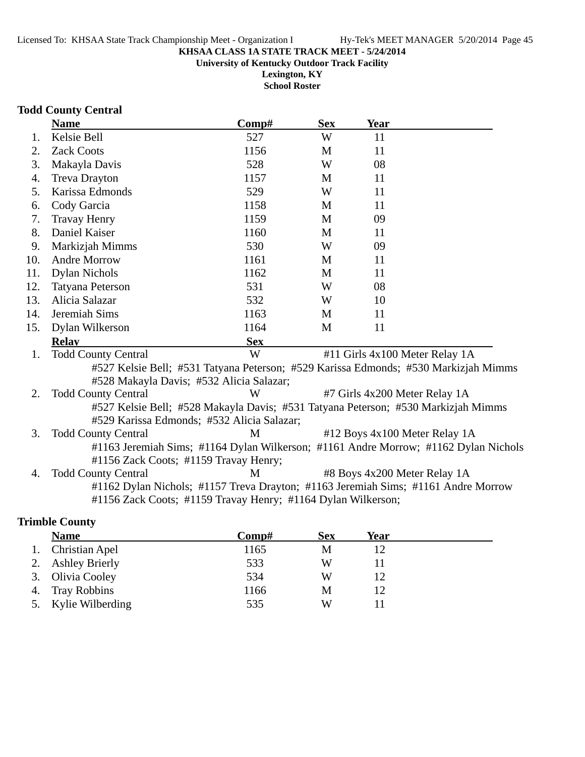**Lexington, KY School Roster**

**Todd County Central**

|     | <b>Name</b>                                                                         | Comp#      | <b>Sex</b> | Year                           |  |  |  |
|-----|-------------------------------------------------------------------------------------|------------|------------|--------------------------------|--|--|--|
| 1.  | Kelsie Bell                                                                         | 527        | W          | 11                             |  |  |  |
| 2.  | <b>Zack Coots</b>                                                                   | 1156       | M          | 11                             |  |  |  |
| 3.  | Makayla Davis                                                                       | 528        | W          | 08                             |  |  |  |
| 4.  | <b>Treva Drayton</b>                                                                | 1157       | M          | 11                             |  |  |  |
| 5.  | Karissa Edmonds                                                                     | 529        | W          | 11                             |  |  |  |
| 6.  | Cody Garcia                                                                         | 1158       | M          | 11                             |  |  |  |
| 7.  | <b>Travay Henry</b>                                                                 | 1159       | M          | 09                             |  |  |  |
| 8.  | Daniel Kaiser                                                                       | 1160       | M          | 11                             |  |  |  |
| 9.  | Markizjah Mimms                                                                     | 530        | W          | 09                             |  |  |  |
| 10. | <b>Andre Morrow</b>                                                                 | 1161       | M          | 11                             |  |  |  |
| 11. | <b>Dylan Nichols</b>                                                                | 1162       | M          | 11                             |  |  |  |
| 12. | <b>Tatyana Peterson</b>                                                             | 531        | W          | 08                             |  |  |  |
| 13. | Alicia Salazar                                                                      | 532        | W          | 10                             |  |  |  |
| 14. | Jeremiah Sims                                                                       | 1163       | M          | 11                             |  |  |  |
| 15. | Dylan Wilkerson                                                                     | 1164       | M          | 11                             |  |  |  |
|     | <b>Relav</b>                                                                        | <b>Sex</b> |            |                                |  |  |  |
| 1.  | <b>Todd County Central</b>                                                          | W          |            | #11 Girls 4x100 Meter Relay 1A |  |  |  |
|     | #527 Kelsie Bell; #531 Tatyana Peterson; #529 Karissa Edmonds; #530 Markizjah Mimms |            |            |                                |  |  |  |
|     | #528 Makayla Davis; #532 Alicia Salazar;                                            |            |            |                                |  |  |  |
| 2.  | <b>Todd County Central</b>                                                          | W          |            | #7 Girls 4x200 Meter Relay 1A  |  |  |  |
|     | #527 Kelsie Bell; #528 Makayla Davis; #531 Tatyana Peterson; #530 Markizjah Mimms   |            |            |                                |  |  |  |
|     | #529 Karissa Edmonds; #532 Alicia Salazar;                                          |            |            |                                |  |  |  |
| 3.  | <b>Todd County Central</b>                                                          | M          |            | #12 Boys 4x100 Meter Relay 1A  |  |  |  |
|     | #1163 Jeremiah Sims; #1164 Dylan Wilkerson; #1161 Andre Morrow; #1162 Dylan Nichols |            |            |                                |  |  |  |
|     | #1156 Zack Coots; #1159 Travay Henry;                                               |            |            |                                |  |  |  |
| 4.  | <b>Todd County Central</b>                                                          | M          |            | #8 Boys 4x200 Meter Relay 1A   |  |  |  |
|     | #1162 Dylan Nichols; #1157 Treva Drayton; #1163 Jeremiah Sims; #1161 Andre Morrow   |            |            |                                |  |  |  |
|     | #1156 Zack Coots; #1159 Travay Henry; #1164 Dylan Wilkerson;                        |            |            |                                |  |  |  |
|     | <b>Trimble County</b>                                                               |            |            |                                |  |  |  |

| <b>Name</b>         | $\bf Comp\#$ | <b>Sex</b> | Year |
|---------------------|--------------|------------|------|
| 1. Christian Apel   | 1165         | М          |      |
| 2. Ashley Brierly   | 533          | W          |      |
| 3. Olivia Cooley    | 534          | W          |      |
| 4. Tray Robbins     | 1166         | M          |      |
| 5. Kylie Wilberding | 535          | W          |      |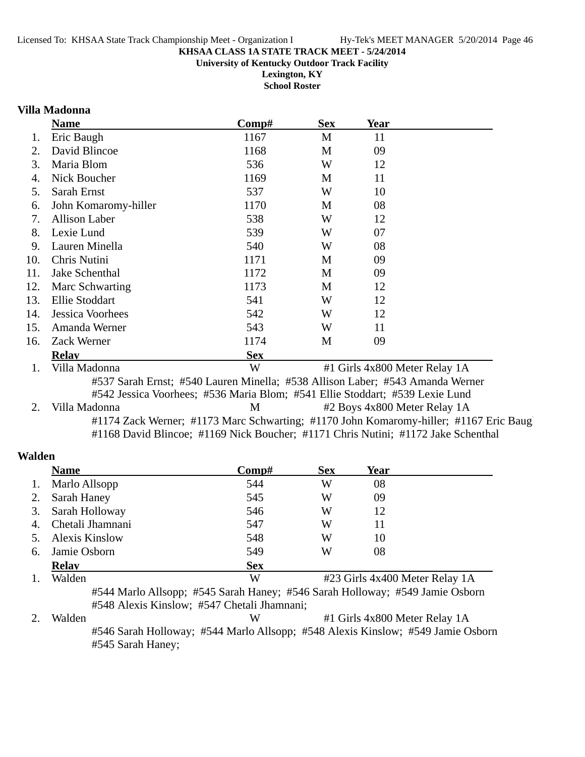**Lexington, KY School Roster**

#### **Villa Madonna**

|     | <b>Name</b>          | Comp#      | <b>Sex</b> | Year                          |  |
|-----|----------------------|------------|------------|-------------------------------|--|
| 1.  | Eric Baugh           | 1167       | M          | 11                            |  |
| 2.  | David Blincoe        | 1168       | M          | 09                            |  |
| 3.  | Maria Blom           | 536        | W          | 12                            |  |
| 4.  | Nick Boucher         | 1169       | M          | 11                            |  |
| 5.  | Sarah Ernst          | 537        | W          | 10                            |  |
| 6.  | John Komaromy-hiller | 1170       | M          | 08                            |  |
| 7.  | <b>Allison Laber</b> | 538        | W          | 12                            |  |
| 8.  | Lexie Lund           | 539        | W          | 07                            |  |
| 9.  | Lauren Minella       | 540        | W          | 08                            |  |
| 10. | Chris Nutini         | 1171       | M          | 09                            |  |
| 11. | Jake Schenthal       | 1172       | M          | 09                            |  |
| 12. | Marc Schwarting      | 1173       | M          | 12                            |  |
| 13. | Ellie Stoddart       | 541        | W          | 12                            |  |
| 14. | Jessica Voorhees     | 542        | W          | 12                            |  |
| 15. | Amanda Werner        | 543        | W          | 11                            |  |
| 16. | Zack Werner          | 1174       | M          | 09                            |  |
|     | <b>Relav</b>         | <b>Sex</b> |            |                               |  |
| 1.  | Villa Madonna        | W          |            | #1 Girls 4x800 Meter Relay 1A |  |

#537 Sarah Ernst; #540 Lauren Minella; #538 Allison Laber; #543 Amanda Werner #542 Jessica Voorhees; #536 Maria Blom; #541 Ellie Stoddart; #539 Lexie Lund 2. Villa Madonna **12 Boys 4x800 Meter Relay 1A**  $#2$  Boys 4x800 Meter Relay 1A #1174 Zack Werner; #1173 Marc Schwarting; #1170 John Komaromy-hiller; #1167 Eric Baugl #1168 David Blincoe; #1169 Nick Boucher; #1171 Chris Nutini; #1172 Jake Schenthal

#### **Walden**

|    | <b>Name</b>           | $\bf Comp\#$ | <b>Sex</b> | Year |  |
|----|-----------------------|--------------|------------|------|--|
| 1. | Marlo Allsopp         | 544          | W          | 08   |  |
| 2. | Sarah Haney           | 545          | W          | 09   |  |
| 3. | Sarah Holloway        | 546          | W          | 12   |  |
| 4. | Chetali Jhamnani      | 547          | W          | 11   |  |
| 5. | <b>Alexis Kinslow</b> | 548          | W          | 10   |  |
| 6. | Jamie Osborn          | 549          | W          | 08   |  |
|    | <b>Relay</b>          | <b>Sex</b>   |            |      |  |
|    |                       |              |            |      |  |

1. Walden W #23 Girls 4x400 Meter Relay 1A #544 Marlo Allsopp; #545 Sarah Haney; #546 Sarah Holloway; #549 Jamie Osborn #548 Alexis Kinslow; #547 Chetali Jhamnani;

<sup>2.</sup> Walden **12. W** #1 Girls 4x800 Meter Relay 1A #546 Sarah Holloway; #544 Marlo Allsopp; #548 Alexis Kinslow; #549 Jamie Osborn #545 Sarah Haney;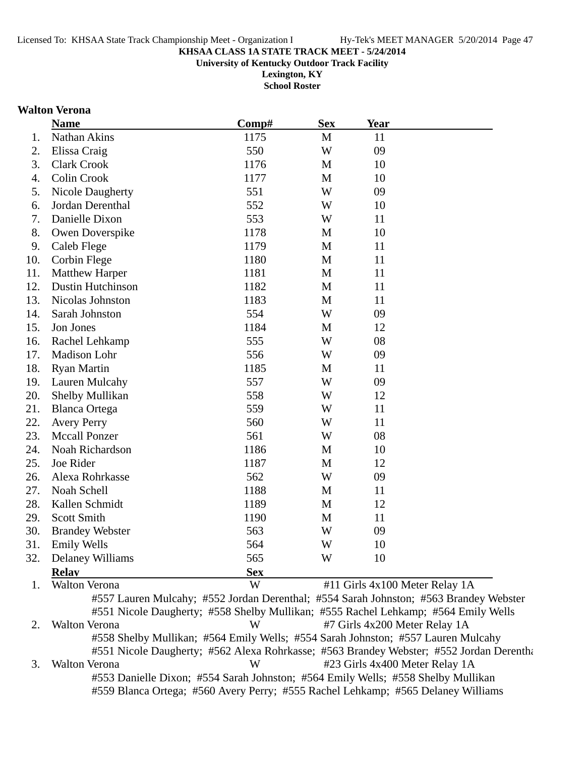**University of Kentucky Outdoor Track Facility**

**Lexington, KY School Roster**

#### **Walton Verona**

|     | <b>Name</b>              | Comp#      | <b>Sex</b>   | Year                           |  |
|-----|--------------------------|------------|--------------|--------------------------------|--|
| 1.  | Nathan Akins             | 1175       | M            | 11                             |  |
| 2.  | Elissa Craig             | 550        | W            | 09                             |  |
| 3.  | <b>Clark Crook</b>       | 1176       | M            | 10                             |  |
| 4.  | Colin Crook              | 1177       | M            | 10                             |  |
| 5.  | <b>Nicole Daugherty</b>  | 551        | W            | 09                             |  |
| 6.  | Jordan Derenthal         | 552        | W            | 10                             |  |
| 7.  | Danielle Dixon           | 553        | W            | 11                             |  |
| 8.  | Owen Doverspike          | 1178       | M            | 10                             |  |
| 9.  | Caleb Flege              | 1179       | M            | 11                             |  |
| 10. | <b>Corbin Flege</b>      | 1180       | M            | 11                             |  |
| 11. | <b>Matthew Harper</b>    | 1181       | M            | 11                             |  |
| 12. | <b>Dustin Hutchinson</b> | 1182       | M            | 11                             |  |
| 13. | Nicolas Johnston         | 1183       | M            | 11                             |  |
| 14. | Sarah Johnston           | 554        | W            | 09                             |  |
| 15. | Jon Jones                | 1184       | M            | 12                             |  |
| 16. | Rachel Lehkamp           | 555        | W            | 08                             |  |
| 17. | Madison Lohr             | 556        | W            | 09                             |  |
| 18. | <b>Ryan Martin</b>       | 1185       | M            | 11                             |  |
| 19. | Lauren Mulcahy           | 557        | W            | 09                             |  |
| 20. | Shelby Mullikan          | 558        | W            | 12                             |  |
| 21. | <b>Blanca Ortega</b>     | 559        | W            | 11                             |  |
| 22. | <b>Avery Perry</b>       | 560        | W            | 11                             |  |
| 23. | <b>Mccall Ponzer</b>     | 561        | W            | 08                             |  |
| 24. | Noah Richardson          | 1186       | M            | 10                             |  |
| 25. | Joe Rider                | 1187       | M            | 12                             |  |
| 26. | Alexa Rohrkasse          | 562        | W            | 09                             |  |
| 27. | Noah Schell              | 1188       | M            | 11                             |  |
| 28. | Kallen Schmidt           | 1189       | M            | 12                             |  |
| 29. | <b>Scott Smith</b>       | 1190       | $\mathbf{M}$ | 11                             |  |
| 30. | <b>Brandey Webster</b>   | 563        | W            | 09                             |  |
|     | 31. Emily Wells          | 564        | W            | 10                             |  |
| 32. | Delaney Williams         | 565        | W            | 10                             |  |
|     | <b>Relay</b>             | <b>Sex</b> |              |                                |  |
| 1.  | Walton Verona            | W          |              | #11 Girls 4x100 Meter Relay 1A |  |

2. Walton Verona **1888** W #7 Girls 4x200 Meter Relay 1A #558 Shelby Mullikan; #564 Emily Wells; #554 Sarah Johnston; #557 Lauren Mulcahy #551 Nicole Daugherty; #562 Alexa Rohrkasse; #563 Brandey Webster; #552 Jordan Derentha 3. Walton Verona W #23 Girls 4x400 Meter Relay 1A #553 Danielle Dixon; #554 Sarah Johnston; #564 Emily Wells; #558 Shelby Mullikan

#559 Blanca Ortega; #560 Avery Perry; #555 Rachel Lehkamp; #565 Delaney Williams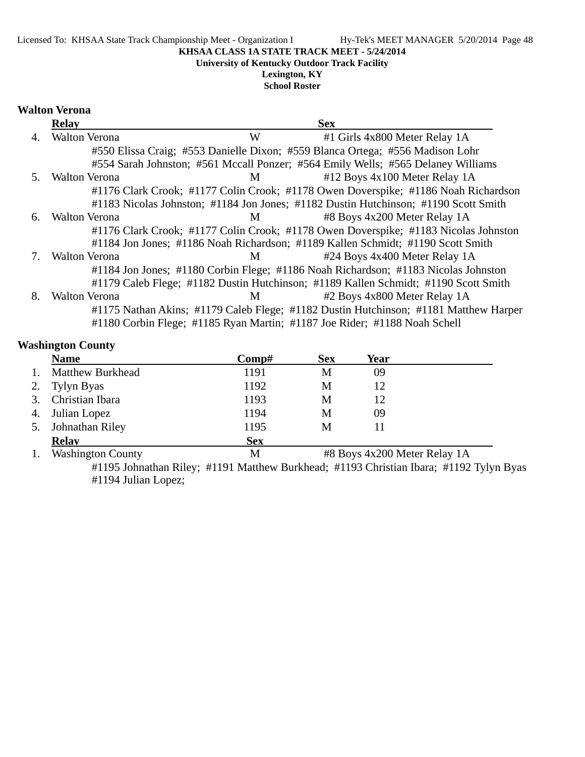#### Licensed To: KHSAA State Track Championship Meet - Organization I Hy-Tek's MEET MANAGER 5/20/2014 Page 48

#### **KHSAA CLASS 1A STATE TRACK MEET - 5/24/2014**

**University of Kentucky Outdoor Track Facility**

**Lexington, KY School Roster**

#### **Walton Verona**

|    | <b>Relay</b>         |                | <b>Sex</b>                                                                           |
|----|----------------------|----------------|--------------------------------------------------------------------------------------|
| 4. | <b>Walton Verona</b> | W              | #1 Girls 4x800 Meter Relay 1A                                                        |
|    |                      |                | #550 Elissa Craig; #553 Danielle Dixon; #559 Blanca Ortega; #556 Madison Lohr        |
|    |                      |                | #554 Sarah Johnston; #561 Mccall Ponzer; #564 Emily Wells; #565 Delaney Williams     |
| 5. | <b>Walton Verona</b> | $\mathbf{M}$   | $#12$ Boys 4x100 Meter Relay 1A                                                      |
|    |                      |                | #1176 Clark Crook; #1177 Colin Crook; #1178 Owen Doverspike; #1186 Noah Richardson   |
|    |                      |                | #1183 Nicolas Johnston; #1184 Jon Jones; #1182 Dustin Hutchinson; #1190 Scott Smith  |
| 6. | <b>Walton Verona</b> | M <sub>1</sub> | #8 Boys 4x200 Meter Relay 1A                                                         |
|    |                      |                | #1176 Clark Crook; #1177 Colin Crook; #1178 Owen Doverspike; #1183 Nicolas Johnston  |
|    |                      |                | #1184 Jon Jones; #1186 Noah Richardson; #1189 Kallen Schmidt; #1190 Scott Smith      |
|    | <b>Walton Verona</b> | M              | #24 Boys 4x400 Meter Relay 1A                                                        |
|    |                      |                | #1184 Jon Jones; #1180 Corbin Flege; #1186 Noah Richardson; #1183 Nicolas Johnston   |
|    |                      |                | #1179 Caleb Flege; #1182 Dustin Hutchinson; #1189 Kallen Schmidt; #1190 Scott Smith  |
| 8. | <b>Walton Verona</b> | $M \sim$       | #2 Boys 4x800 Meter Relay 1A                                                         |
|    |                      |                | #1175 Nathan Akins; #1179 Caleb Flege; #1182 Dustin Hutchinson; #1181 Matthew Harper |
|    |                      |                | #1180 Corbin Flege; #1185 Ryan Martin; #1187 Joe Rider; #1188 Noah Schell            |

### **Washington County**

|    | <b>Name</b>             | Comp#      | <b>Sex</b> | Year |  |
|----|-------------------------|------------|------------|------|--|
|    | <b>Matthew Burkhead</b> | 1191       | M          | 09   |  |
| 2. | Tylyn Byas              | 1192       | M          | 12   |  |
| 3. | Christian Ibara         | 1193       | M          | 12   |  |
| 4. | Julian Lopez            | 1194       | M          | 09   |  |
|    | Johnathan Riley         | 1195       | M          |      |  |
|    | <b>Relay</b>            | <b>Sex</b> |            |      |  |
|    |                         |            |            |      |  |

1. Washington County M #8 Boys 4x200 Meter Relay 1A #1195 Johnathan Riley; #1191 Matthew Burkhead; #1193 Christian Ibara; #1192 Tylyn Byas #1194 Julian Lopez;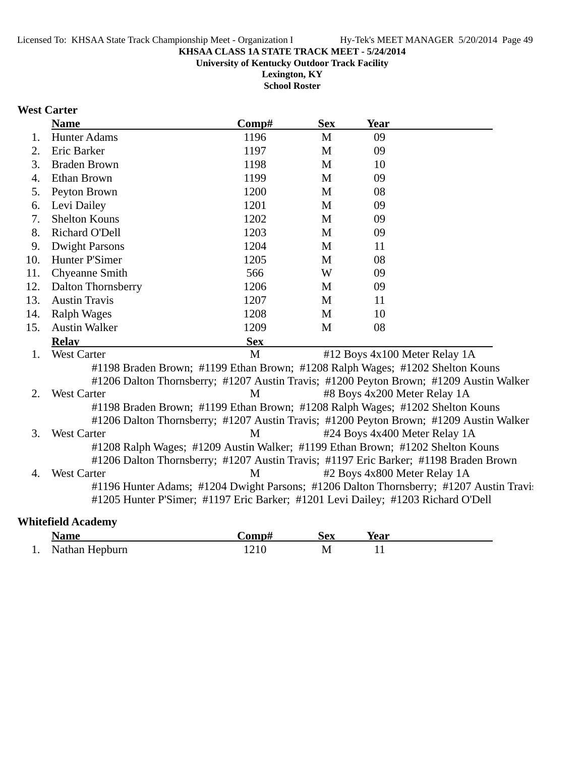**University of Kentucky Outdoor Track Facility**

**Lexington, KY School Roster**

## **West Carter**

|     | <b>Name</b>                                                                          | Comp#      | <b>Sex</b> | Year |                                                                                         |
|-----|--------------------------------------------------------------------------------------|------------|------------|------|-----------------------------------------------------------------------------------------|
| 1.  | <b>Hunter Adams</b>                                                                  | 1196       | M          | 09   |                                                                                         |
| 2.  | Eric Barker                                                                          | 1197       | M          | 09   |                                                                                         |
| 3.  | <b>Braden Brown</b>                                                                  | 1198       | M          | 10   |                                                                                         |
| 4.  | Ethan Brown                                                                          | 1199       | M          | 09   |                                                                                         |
| 5.  | Peyton Brown                                                                         | 1200       | M          | 08   |                                                                                         |
| 6.  | Levi Dailey                                                                          | 1201       | M          | 09   |                                                                                         |
| 7.  | <b>Shelton Kouns</b>                                                                 | 1202       | M          | 09   |                                                                                         |
| 8.  | Richard O'Dell                                                                       | 1203       | M          | 09   |                                                                                         |
| 9.  | <b>Dwight Parsons</b>                                                                | 1204       | M          | 11   |                                                                                         |
| 10. | Hunter P'Simer                                                                       | 1205       | M          | 08   |                                                                                         |
| 11. | Chyeanne Smith                                                                       | 566        | W          | 09   |                                                                                         |
| 12. | <b>Dalton Thornsberry</b>                                                            | 1206       | M          | 09   |                                                                                         |
| 13. | <b>Austin Travis</b>                                                                 | 1207       | M          | 11   |                                                                                         |
| 14. | <b>Ralph Wages</b>                                                                   | 1208       | M          | 10   |                                                                                         |
| 15. | <b>Austin Walker</b>                                                                 | 1209       | M          | 08   |                                                                                         |
|     | <b>Relay</b>                                                                         | <b>Sex</b> |            |      |                                                                                         |
| 1.  | <b>West Carter</b>                                                                   | M          |            |      | #12 Boys 4x100 Meter Relay 1A                                                           |
|     | #1198 Braden Brown; #1199 Ethan Brown; #1208 Ralph Wages; #1202 Shelton Kouns        |            |            |      |                                                                                         |
|     |                                                                                      |            |            |      | #1206 Dalton Thornsberry; #1207 Austin Travis; #1200 Peyton Brown; #1209 Austin Walker  |
| 2.  | <b>West Carter</b>                                                                   | M          |            |      | #8 Boys 4x200 Meter Relay 1A                                                            |
|     | #1198 Braden Brown; #1199 Ethan Brown; #1208 Ralph Wages; #1202 Shelton Kouns        |            |            |      |                                                                                         |
|     |                                                                                      |            |            |      | #1206 Dalton Thornsberry; #1207 Austin Travis; #1200 Peyton Brown; #1209 Austin Walker  |
| 3.  | <b>West Carter</b>                                                                   | M          |            |      | #24 Boys 4x400 Meter Relay 1A                                                           |
|     | #1208 Ralph Wages; #1209 Austin Walker; #1199 Ethan Brown; #1202 Shelton Kouns       |            |            |      |                                                                                         |
|     | #1206 Dalton Thornsberry; #1207 Austin Travis; #1197 Eric Barker; #1198 Braden Brown |            |            |      |                                                                                         |
| 4.  | <b>West Carter</b>                                                                   | M          |            |      | #2 Boys 4x800 Meter Relay 1A                                                            |
|     |                                                                                      |            |            |      | #1196 Hunter Adams; #1204 Dwight Parsons; #1206 Dalton Thornsberry; #1207 Austin Travis |
|     | #1205 Hunter P'Simer; #1197 Eric Barker; #1201 Levi Dailey; #1203 Richard O'Dell     |            |            |      |                                                                                         |
|     |                                                                                      |            |            |      |                                                                                         |

| <b>Whitefield Academy</b> |  |
|---------------------------|--|
|                           |  |

|     | <b>Name</b>    | `omp# | Sex | rear |  |
|-----|----------------|-------|-----|------|--|
| . . | Nathan Hepburn |       | LVJ | --   |  |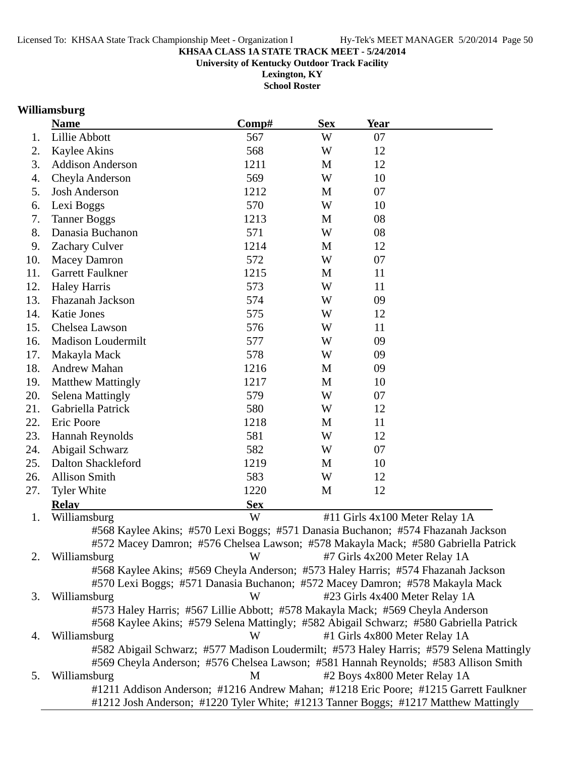**University of Kentucky Outdoor Track Facility**

**Lexington, KY School Roster**

# **Williamsburg**

|     | <b>Name</b>                                                                                                                                                                    | Comp#      | <b>Sex</b>  | <b>Year</b>                    |  |
|-----|--------------------------------------------------------------------------------------------------------------------------------------------------------------------------------|------------|-------------|--------------------------------|--|
| 1.  | Lillie Abbott                                                                                                                                                                  | 567        | W           | 07                             |  |
| 2.  | <b>Kaylee Akins</b>                                                                                                                                                            | 568        | W           | 12                             |  |
| 3.  | <b>Addison Anderson</b>                                                                                                                                                        | 1211       | M           | 12                             |  |
| 4.  | Cheyla Anderson                                                                                                                                                                | 569        | W           | 10                             |  |
| 5.  | <b>Josh Anderson</b>                                                                                                                                                           | 1212       | M           | 07                             |  |
| 6.  | Lexi Boggs                                                                                                                                                                     | 570        | W           | 10                             |  |
| 7.  | <b>Tanner Boggs</b>                                                                                                                                                            | 1213       | M           | 08                             |  |
| 8.  | Danasia Buchanon                                                                                                                                                               | 571        | W           | 08                             |  |
| 9.  | <b>Zachary Culver</b>                                                                                                                                                          | 1214       | M           | 12                             |  |
| 10. | <b>Macey Damron</b>                                                                                                                                                            | 572        | W           | 07                             |  |
| 11. | Garrett Faulkner                                                                                                                                                               | 1215       | M           | 11                             |  |
| 12. | <b>Haley Harris</b>                                                                                                                                                            | 573        | W           | 11                             |  |
| 13. | <b>Fhazanah Jackson</b>                                                                                                                                                        | 574        | W           | 09                             |  |
| 14. | <b>Katie Jones</b>                                                                                                                                                             | 575        | W           | 12                             |  |
| 15. | Chelsea Lawson                                                                                                                                                                 | 576        | W           | 11                             |  |
| 16. | <b>Madison Loudermilt</b>                                                                                                                                                      | 577        | W           | 09                             |  |
| 17. | Makayla Mack                                                                                                                                                                   | 578        | W           | 09                             |  |
| 18. | Andrew Mahan                                                                                                                                                                   | 1216       | M           | 09                             |  |
| 19. | <b>Matthew Mattingly</b>                                                                                                                                                       | 1217       | $\mathbf M$ | 10                             |  |
| 20. | <b>Selena Mattingly</b>                                                                                                                                                        | 579        | W           | 07                             |  |
| 21. | Gabriella Patrick                                                                                                                                                              | 580        | W           | 12                             |  |
| 22. | Eric Poore                                                                                                                                                                     | 1218       | M           | 11                             |  |
| 23. | Hannah Reynolds                                                                                                                                                                | 581        | W           | 12                             |  |
| 24. | Abigail Schwarz                                                                                                                                                                | 582        | W           | 07                             |  |
| 25. | <b>Dalton Shackleford</b>                                                                                                                                                      | 1219       | M           | 10                             |  |
| 26. | <b>Allison Smith</b>                                                                                                                                                           | 583        | W           | 12                             |  |
| 27. | <b>Tyler White</b>                                                                                                                                                             | 1220       | M           | 12                             |  |
|     | <b>Relay</b>                                                                                                                                                                   | <b>Sex</b> |             |                                |  |
| 1.  | Williamsburg                                                                                                                                                                   | W          |             | #11 Girls 4x100 Meter Relay 1A |  |
|     | #568 Kaylee Akins; #570 Lexi Boggs; #571 Danasia Buchanon; #574 Fhazanah Jackson                                                                                               |            |             |                                |  |
|     | #572 Macey Damron; #576 Chelsea Lawson; #578 Makayla Mack; #580 Gabriella Patrick                                                                                              |            |             |                                |  |
| 2.  | Williamsburg                                                                                                                                                                   | W          |             | #7 Girls 4x200 Meter Relay 1A  |  |
|     | #568 Kaylee Akins; #569 Cheyla Anderson; #573 Haley Harris; #574 Fhazanah Jackson                                                                                              |            |             |                                |  |
|     | #570 Lexi Boggs; #571 Danasia Buchanon; #572 Macey Damron; #578 Makayla Mack                                                                                                   |            |             |                                |  |
| 3.  | Williamsburg                                                                                                                                                                   | W          |             | #23 Girls 4x400 Meter Relay 1A |  |
|     | #573 Haley Harris; #567 Lillie Abbott; #578 Makayla Mack; #569 Cheyla Anderson                                                                                                 |            |             |                                |  |
|     | #568 Kaylee Akins; #579 Selena Mattingly; #582 Abigail Schwarz; #580 Gabriella Patrick                                                                                         |            |             |                                |  |
| 4.  | Williamsburg                                                                                                                                                                   | W          |             | #1 Girls 4x800 Meter Relay 1A  |  |
|     | #582 Abigail Schwarz; #577 Madison Loudermilt; #573 Haley Harris; #579 Selena Mattingly<br>#569 Cheyla Anderson; #576 Chelsea Lawson; #581 Hannah Reynolds; #583 Allison Smith |            |             |                                |  |
| 5.  | Williamsburg                                                                                                                                                                   | M          |             | #2 Boys 4x800 Meter Relay 1A   |  |
|     | #1211 Addison Anderson; #1216 Andrew Mahan; #1218 Eric Poore; #1215 Garrett Faulkner                                                                                           |            |             |                                |  |
|     | #1212 Josh Anderson; #1220 Tyler White; #1213 Tanner Boggs; #1217 Matthew Mattingly                                                                                            |            |             |                                |  |